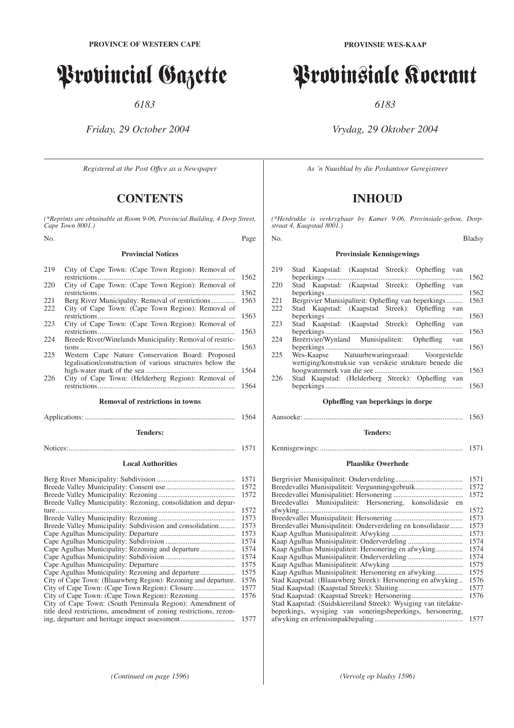# Provincial Gazette

*6183*

*Friday, 29 October 2004*

*Registered at the Post Offıce as a Newspaper*

# **CONTENTS**

*(\*Reprints are obtainable at Room 9-06, Provincial Building, 4 Dorp Street, Cape Town 8001.)*

No. Page

#### **Provincial Notices**

| 219  | City of Cape Town: (Cape Town Region): Removal of         |      |
|------|-----------------------------------------------------------|------|
|      |                                                           | 1562 |
| 220  | City of Cape Town: (Cape Town Region): Removal of         |      |
|      |                                                           | 1562 |
| 22.1 | Berg River Municipality: Removal of restrictions          | 1563 |
| 222  | City of Cape Town: (Cape Town Region): Removal of         |      |
|      |                                                           | 1563 |
| 223  | City of Cape Town: (Cape Town Region): Removal of         |      |
|      |                                                           | 1563 |
| 224  | Breede River/Winelands Municipality: Removal of restric-  |      |
|      |                                                           | 1563 |
| 225  | Western Cape Nature Conservation Board: Proposed          |      |
|      | legalisation/construction of various structures below the |      |
|      |                                                           | 1564 |
| 226  | City of Cape Town: (Helderberg Region): Removal of        |      |
|      |                                                           | 1564 |
|      |                                                           |      |
|      | <b>Removal of restrictions in towns</b>                   |      |
|      |                                                           | 1564 |

#### **Tenders:**

Notices:........................................................................................... 1571

# **Local Authorities**

|                                                                   | 1571 |
|-------------------------------------------------------------------|------|
|                                                                   | 1572 |
|                                                                   | 1572 |
| Breede Valley Municipality: Rezoning, consolidation and depar-    |      |
|                                                                   | 1572 |
|                                                                   | 1573 |
| Breede Valley Municipality: Subdivision and consolidation         | 1573 |
|                                                                   | 1573 |
|                                                                   | 1574 |
|                                                                   | 1574 |
|                                                                   | 1574 |
|                                                                   | 1575 |
|                                                                   | 1575 |
| City of Cape Town: (Blaauwberg Region): Rezoning and departure.   | 1576 |
|                                                                   | 1577 |
|                                                                   | 1576 |
| City of Cape Town: (South Peninsula Region): Amendment of         |      |
| title deed restrictions, amendment of zoning restrictions, rezon- |      |
|                                                                   | 1577 |

# Provinsiale Koerant

*6183*

# *Vrydag, 29 Oktober 2004*

*As 'n Nuusblad by die Poskantoor Geregistreer*

# **INHOUD**

*(\*Herdrukke is verkrygbaar by Kamer 9-06, Provinsiale-gebou, Dorpstraat 4, Kaapstad 8001.)*

# No. Bladsy

# **Provinsiale Kennisgewings**

| 219  | Stad Kaapstad: (Kaapstad Streek): Opheffing van         |      |
|------|---------------------------------------------------------|------|
|      |                                                         | 1562 |
| 220  | Stad Kaapstad: (Kaapstad Streek): Opheffing van         |      |
|      |                                                         | 1562 |
| 22.1 | Bergrivier Munisipaliteit: Opheffing van beperkings     | 1563 |
| 222  | Stad Kaapstad: (Kaapstad Streek): Opheffing van         |      |
|      |                                                         | 1563 |
| 223  | Stad Kaapstad: (Kaapstad Streek): Opheffing van         |      |
|      |                                                         | 1563 |
| 224  | Breërivier/Wynland Munisipaliteit: Opheffing van        |      |
|      |                                                         | 1563 |
| 225  | Wes-Kaapse Natuurbewaringsraad: Voorgestelde            |      |
|      | wettiging/konstruksie van verskeie strukture benede die |      |
|      |                                                         | 1563 |
| 226  | Stad Kaapstad: (Helderberg Streek): Opheffing van       |      |
|      |                                                         | 1563 |
|      |                                                         |      |
|      |                                                         |      |

#### **Opheffing van beperkings in dorpe**

#### Aansoeke: ....................................................................................... 1563

# **Tenders:**

|  |  |  | 1571 |
|--|--|--|------|
|--|--|--|------|

# **Plaaslike Owerhede**

|                                                                  | 1571 |
|------------------------------------------------------------------|------|
| Breedevallei Munisipaliteit: Vergunningsgebruik                  | 1572 |
|                                                                  | 1572 |
| Breedevallei Munisipaliteit: Hersonering, konsolidasie<br>en     |      |
|                                                                  | 1572 |
|                                                                  | 1573 |
| Breedevallei Munisipaliteit: Onderverdeling en konsolidasie      | 1573 |
|                                                                  | 1573 |
|                                                                  | 1574 |
|                                                                  | 1574 |
|                                                                  | 1574 |
|                                                                  | 1575 |
|                                                                  | 1575 |
| Stad Kaapstad: (Blaauwberg Streek): Hersonering en afwyking      | 1576 |
|                                                                  | 1577 |
|                                                                  | 1576 |
| Stad Kaapstad: (Suidskiereiland Streek): Wysiging van titelakte- |      |
| beperkings, wysiging van soneringsbeperkings, hersonering,       |      |
|                                                                  | 1577 |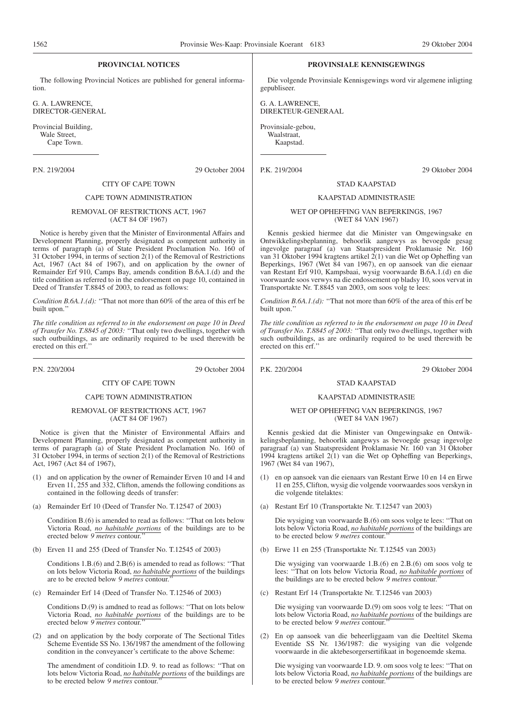#### **PROVINCIAL NOTICES**

The following Provincial Notices are published for general information.

G. A. LAWRENCE, DIRECTOR-GENERAL

Provincial Building, Wale Street, Cape Town.

P.N. 219/2004 29 October 2004

## CITY OF CAPE TOWN

#### CAPE TOWN ADMINISTRATION

## REMOVAL OF RESTRICTIONS ACT, 1967 (ACT 84 OF 1967)

Notice is hereby given that the Minister of Environmental Affairs and Development Planning, properly designated as competent authority in terms of paragraph (a) of State President Proclamation No. 160 of 31 October 1994, in terms of section 2(1) of the Removal of Restrictions Act, 1967 (Act 84 of 1967), and on application by the owner of Remainder Erf 910, Camps Bay, amends condition B.6A.1.(d) and the title condition as referred to in the endorsement on page 10, contained in Deed of Transfer T.8845 of 2003, to read as follows:

*Condition B.6A.1.(d):* "That not more than 60% of the area of this erf be built upon.''

*The title condition as referred to in the endorsement on page 10 in Deed of Transfer No. T.8845 of 2003:* ''That only two dwellings, together with such outbuildings, as are ordinarily required to be used therewith be erected on this erf.''

P.N. 220/2004 29 October 2004

# CITY OF CAPE TOWN

# CAPE TOWN ADMINISTRATION

#### REMOVAL OF RESTRICTIONS ACT, 1967 (ACT 84 OF 1967)

Notice is given that the Minister of Environmental Affairs and Development Planning, properly designated as competent authority in terms of paragraph (a) of State President Proclamation No. 160 of 31 October 1994, in terms of section 2(1) of the Removal of Restrictions Act, 1967 (Act 84 of 1967),

- (1) and on application by the owner of Remainder Erven 10 and 14 and Erven 11, 255 and 332, Clifton, amends the following conditions as contained in the following deeds of transfer:
- (a) Remainder Erf 10 (Deed of Transfer No. T.12547 of 2003)

Condition B.(6) is amended to read as follows: ''That on lots below Victoria Road, *no habitable portions* of the buildings are to be erected below *9 metres* contour.''

(b) Erven 11 and 255 (Deed of Transfer No. T.12545 of 2003)

Conditions 1.B.(6) and 2.B(6) is amended to read as follows: ''That on lots below Victoria Road, *no habitable portions* of the buildings are to be erected below 9 metres contour.

(c) Remainder Erf 14 (Deed of Transfer No. T.12546 of 2003)

Conditions D.(9) is amdned to read as follows: ''That on lots below Victoria Road, *no habitable portions* of the buildings are to be erected below *9 metres* contour.''

(2) and on application by the body corporate of The Sectional Titles Scheme Eventide SS No. 136/1987 the amendment of the following condition in the conveyancer's certificate to the above Scheme:

The amendment of conditioin I.D. 9. to read as follows: ''That on lots below Victoria Road, *no habitable portions* of the buildings are to be erected below *9 metres* contour.''

#### **PROVINSIALE KENNISGEWINGS**

Die volgende Provinsiale Kennisgewings word vir algemene inligting gepubliseer.

G. A. LAWRENCE, DIREKTEUR-GENERAAL

Provinsiale-gebou, Waalstraat,

Kaapstad.

P.K. 219/2004 29 Oktober 2004

## STAD KAAPSTAD

#### KAAPSTAD ADMINISTRASIE

#### WET OP OPHEFFING VAN BEPERKINGS, 1967 (WET 84 VAN 1967)

Kennis geskied hiermee dat die Minister van Omgewingsake en Ontwikkelingsbeplanning, behoorlik aangewys as bevoegde gesag ingevolge paragraaf (a) van Staatspresident Proklamasie Nr. 160 van 31 Oktober 1994 kragtens artikel 2(1) van die Wet op Opheffing van Beperkings, 1967 (Wet 84 van 1967), en op aansoek van die eienaar van Restant Erf 910, Kampsbaai, wysig voorwaarde B.6A.1.(d) en die voorwaarde soos verwys na die endossement op bladsy 10, soos vervat in Transportakte Nr. T.8845 van 2003, om soos volg te lees:

*Condition B.6A.1.(d):* ''That not more than 60% of the area of this erf be built upon.''

*The title condition as referred to in the endorsement on page 10 in Deed of Transfer No. T.8845 of 2003:* ''That only two dwellings, together with such outbuildings, as are ordinarily required to be used therewith be erected on this erf.''

P.K. 220/2004 29 Oktober 2004

# STAD KAAPSTAD

#### KAAPSTAD ADMINISTRASIE

#### WET OP OPHEFFING VAN BEPERKINGS, 1967 (WET 84 VAN 1967)

Kennis geskied dat die Minister van Omgewingsake en Ontwikkelingsbeplanning, behoorlik aangewys as bevoegde gesag ingevolge paragraaf (a) van Staatspresident Proklamasie Nr. 160 van 31 Oktober 1994 kragtens artikel 2(1) van die Wet op Opheffing van Beperkings, 1967 (Wet 84 van 1967),

- (1) en op aansoek van die eienaars van Restant Erwe 10 en 14 en Erwe 11 en 255, Clifton, wysig die volgende voorwaardes soos verskyn in die volgende titelaktes:
- (a) Restant Erf 10 (Transportakte Nr. T.12547 van 2003)

Die wysiging van voorwaarde B.(6) om soos volge te lees: ''That on lots below Victoria Road, *no habitable portions* of the buildings are to be erected below *9 metres* contour.''

(b) Erwe 11 en 255 (Transportakte Nr. T.12545 van 2003)

Die wysiging van voorwaarde 1.B.(6) en 2.B.(6) om soos volg te lees: ''That on lots below Victoria Road, *no habitable portions* of the buildings are to be erected below *9 metres* contour.''

(c) Restant Erf 14 (Transportakte Nr. T.12546 van 2003)

Die wysiging van voorwaarde D.(9) om soos volg te lees: ''That on lots below Victoria Road, *no habitable portions* of the buildings are to be erected below *9 metres* contour.''

(2) En op aansoek van die beheerliggaam van die Deeltitel Skema Eventide SS Nr. 136/1987: die wysiging van die volgende voorwaarde in die aktebesorgersertifikaat in bogenoemde skema.

Die wysiging van voorwaarde I.D. 9. om soos volg te lees: ''That on lots below Victoria Road, *no habitable portions* of the buildings are to be erected below *9 metres* contour.''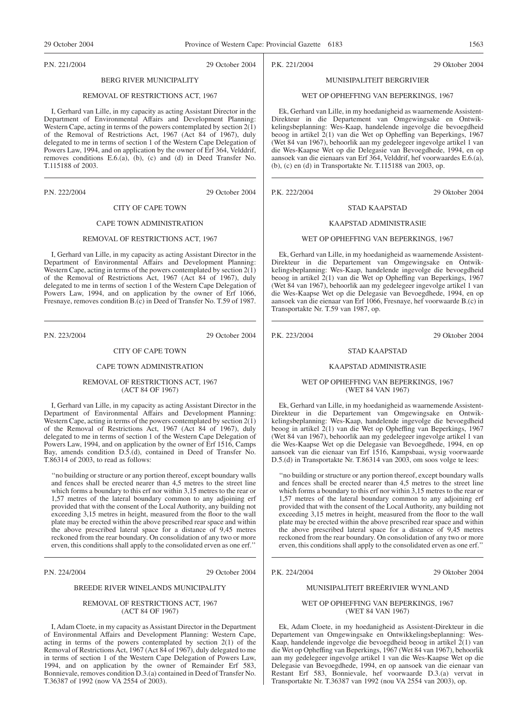P.N. 221/2004 29 October 2004

# BERG RIVER MUNICIPALITY

#### REMOVAL OF RESTRICTIONS ACT, 1967

I, Gerhard van Lille, in my capacity as acting Assistant Director in the Department of Environmental Affairs and Development Planning: Western Cape, acting in terms of the powers contemplated by section 2(1) of the Removal of Restrictions Act, 1967 (Act 84 of 1967), duly delegated to me in terms of section 1 of the Western Cape Delegation of Powers Law, 1994, and on application by the owner of Erf 364, Velddrif, removes conditions E.6.(a), (b), (c) and (d) in Deed Transfer No. T.115188 of 2003.

P.N. 222/2004 29 October 2004

# CITY OF CAPE TOWN

# CAPE TOWN ADMINISTRATION

#### REMOVAL OF RESTRICTIONS ACT, 1967

I, Gerhard van Lille, in my capacity as acting Assistant Director in the Department of Environmental Affairs and Development Planning: Western Cape, acting in terms of the powers contemplated by section  $2(\overline{1})$ of the Removal of Restrictions Act, 1967 (Act 84 of 1967), duly delegated to me in terms of section 1 of the Western Cape Delegation of Powers Law, 1994, and on application by the owner of Erf 1066, Fresnaye, removes condition B.(c) in Deed of Transfer No. T.59 of 1987.

P.N. 223/2004 29 October 2004

#### CITY OF CAPE TOWN

#### CAPE TOWN ADMINISTRATION

#### REMOVAL OF RESTRICTIONS ACT, 1967 (ACT 84 OF 1967)

I, Gerhard van Lille, in my capacity as acting Assistant Director in the Department of Environmental Affairs and Development Planning: Western Cape, acting in terms of the powers contemplated by section  $2(1)$ of the Removal of Restrictions Act, 1967 (Act 84 of 1967), duly delegated to me in terms of section 1 of the Western Cape Delegation of Powers Law, 1994, and on application by the owner of Erf 1516, Camps Bay, amends condition D.5.(d), contained in Deed of Transfer No. T.86314 of 2003, to read as follows:

''no building or structure or any portion thereof, except boundary walls and fences shall be erected nearer than 4,5 metres to the street line which forms a boundary to this erf nor within 3,15 metres to the rear or 1,57 metres of the lateral boundary common to any adjoining erf provided that with the consent of the Local Authority, any building not exceeding 3,15 metres in height, measured from the floor to the wall plate may be erected within the above prescribed rear space and within the above prescribed lateral space for a distance of 9,45 metres reckoned from the rear boundary. On consolidation of any two or more erven, this conditions shall apply to the consolidated erven as one erf.''

#### P.N. 224/2004 29 October 2004

#### BREEDE RIVER WINELANDS MUNICIPALITY

#### REMOVAL OF RESTRICTIONS ACT, 1967 (ACT 84 OF 1967)

I, Adam Cloete, in my capacity as Assistant Director in the Department of Environmental Affairs and Development Planning: Western Cape, acting in terms of the powers contemplated by section 2(1) of the Removal of Restrictions Act, 1967 (Act 84 of 1967), duly delegated to me in terms of section 1 of the Western Cape Delegation of Powers Law, 1994, and on application by the owner of Remainder Erf 583, Bonnievale, removes condition D.3.(a) contained in Deed of Transfer No. T.36387 of 1992 (now VA 2554 of 2003).

P.K. 221/2004 29 Oktober 2004

# MUNISIPALITEIT BERGRIVIER

#### WET OP OPHEFFING VAN BEPERKINGS, 1967

Ek, Gerhard van Lille, in my hoedanigheid as waarnemende Assistent-Direkteur in die Departement van Omgewingsake en Ontwikkelingsbeplanning: Wes-Kaap, handelende ingevolge die bevoegdheid beoog in artikel 2(1) van die Wet op Opheffing van Beperkings, 1967 (Wet 84 van 1967), behoorlik aan my gedelegeer ingevolge artikel 1 van die Wes-Kaapse Wet op die Delegasie van Bevoegdhede, 1994, en op aansoek van die eienaars van Erf 364, Velddrif, hef voorwaardes E.6.(a), (b), (c) en (d) in Transportakte Nr. T.115188 van 2003, op.

P.K. 222/2004 29 Oktober 2004

# STAD KAAPSTAD KAAPSTAD ADMINISTRASIE

#### WET OP OPHEFFING VAN BEPERKINGS, 1967

Ek, Gerhard van Lille, in my hoedanigheid as waarnemende Assistent-Direkteur in die Departement van Omgewingsake en Ontwikkelingsbeplanning: Wes-Kaap, handelende ingevolge die bevoegdheid beoog in artikel 2(1) van die Wet op Opheffing van Beperkings, 1967 (Wet 84 van 1967), behoorlik aan my gedelegeer ingevolge artikel 1 van die Wes-Kaapse Wet op die Delegasie van Bevoegdhede, 1994, en op aansoek van die eienaar van Erf 1066, Fresnaye, hef voorwaarde B.(c) in Transportakte Nr. T.59 van 1987, op.

P.K. 223/2004 29 Oktober 2004

#### STAD KAAPSTAD

#### KAAPSTAD ADMINISTRASIE

#### WET OP OPHEFFING VAN BEPERKINGS, 1967 (WET 84 VAN 1967)

Ek, Gerhard van Lille, in my hoedanigheid as waarnemende Assistent-Direkteur in die Departement van Omgewingsake en Ontwikkelingsbeplanning: Wes-Kaap, handelende ingevolge die bevoegdheid beoog in artikel 2(1) van die Wet op Opheffing van Beperkings, 1967 (Wet 84 van 1967), behoorlik aan my gedelegeer ingevolge artikel 1 van die Wes-Kaapse Wet op die Delegasie van Bevoegdhede, 1994, en op aansoek van die eienaar van Erf 1516, Kampsbaai, wysig voorwaarde D.5.(d) in Transportakte Nr. T.86314 van 2003, om soos volge te lees:

''no building or structure or any portion thereof, except boundary walls and fences shall be erected nearer than 4,5 metres to the street line which forms a boundary to this erf nor within 3,15 metres to the rear or 1,57 metres of the lateral boundary common to any adjoining erf provided that with the consent of the Local Authority, any building not exceeding 3,15 metres in height, measured from the floor to the wall plate may be erected within the above prescribed rear space and within the above prescribed lateral space for a distance of 9,45 metres reckoned from the rear boundary. On consolidation of any two or more erven, this conditions shall apply to the consolidated erven as one erf.''

#### P.K. 224/2004 29 Oktober 2004

#### MUNISIPALITEIT BREËRIVIER WYNLAND

#### WET OP OPHEFFING VAN BEPERKINGS, 1967 (WET 84 VAN 1967)

Ek, Adam Cloete, in my hoedanigheid as Assistent-Direkteur in die Departement van Omgewingsake en Ontwikkelingsbeplanning: Wes-Kaap, handelende ingevolge die bevoegdheid beoog in artikel  $2(1)$  van die Wet op Opheffing van Beperkings, 1967 (Wet 84 van 1967), behoorlik aan my gedelegeer ingevolge artikel 1 van die Wes-Kaapse Wet op die Delegasie van Bevoegdhede, 1994, en op aansoek van die eienaar van Restant Erf 583, Bonnievale, hef voorwaarde D.3.(a) vervat in Transportakte Nr. T.36387 van 1992 (nou VA 2554 van 2003), op.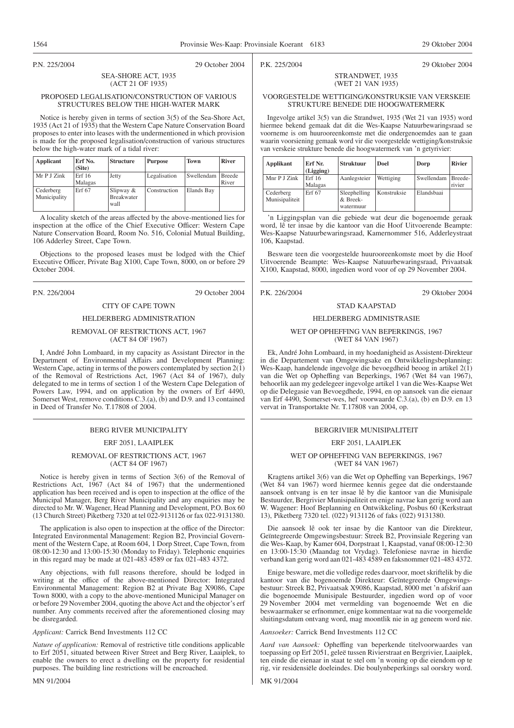P.N. 225/2004 29 October 2004

P.K. 225/2004 29 Oktober 2004

#### SEA-SHORE ACT, 1935 (ACT 21 OF 1935)

#### PROPOSED LEGALISATION/CONSTRUCTION OF VARIOUS STRUCTURES BELOW THE HIGH-WATER MARK

Notice is hereby given in terms of section 3(5) of the Sea-Shore Act, 1935 (Act 21 of 1935) that the Western Cape Nature Conservation Board proposes to enter into leases with the undermentioned in which provision is made for the proposed legalisation/construction of various structures below the high-water mark of a tidal river:

| Applicant                 | Erf No.<br>(Site) | <b>Structure</b>                         | <b>Purpose</b> | Town       | <b>River</b>           |
|---------------------------|-------------------|------------------------------------------|----------------|------------|------------------------|
| Mr P J Zink               | Erf16<br>Malagas  | Jetty                                    | Legalisation   | Swellendam | <b>Breede</b><br>River |
| Cederberg<br>Municipality | Erf 67            | Slipway $&$<br><b>Breakwater</b><br>wall | Construction   | Elands Bay |                        |

A locality sketch of the areas affected by the above-mentioned lies for inspection at the office of the Chief Executive Officer: Western Cape Nature Conservation Board, Room No. 516, Colonial Mutual Building, 106 Adderley Street, Cape Town.

Objections to the proposed leases must be lodged with the Chief Executive Officer, Private Bag X100, Cape Town, 8000, on or before 29 October 2004.

P.N. 226/2004 29 October 2004

# CITY OF CAPE TOWN

# HELDERBERG ADMINISTRATION

## REMOVAL OF RESTRICTIONS ACT, 1967 (ACT 84 OF 1967)

I, André John Lombaard, in my capacity as Assistant Director in the Department of Environmental Affairs and Development Planning: Western Cape, acting in terms of the powers contemplated by section  $2(\overline{1})$ of the Removal of Restrictions Act, 1967 (Act 84 of 1967), duly delegated to me in terms of section 1 of the Western Cape Delegation of Powers Law, 1994, and on application by the owners of Erf 4490, Somerset West, remove conditions C.3.(a), (b) and D.9. and 13 contained in Deed of Transfer No. T.17808 of 2004.

# BERG RIVER MUNICIPALITY

#### ERF 2051, LAAIPLEK

#### REMOVAL OF RESTRICTIONS ACT, 1967 (ACT 84 OF 1967)

Notice is hereby given in terms of Section 3(6) of the Removal of Restrictions Act, 1967 (Act 84 of 1967) that the undermentioned application has been received and is open to inspection at the office of the Municipal Manager, Berg River Municipality and any enquiries may be directed to Mr. W. Wagener, Head Planning and Development, P.O. Box 60 (13 Church Street) Piketberg 7320 at tel 022-9131126 or fax 022-9131380.

The application is also open to inspection at the office of the Director: Integrated Environmental Management: Region B2, Provincial Government of the Western Cape, at Room 604, 1 Dorp Street, Cape Town, from 08:00-12:30 and 13:00-15:30 (Monday to Friday). Telephonic enquiries in this regard may be made at 021-483 4589 or fax 021-483 4372.

Any objections, with full reasons therefore, should be lodged in writing at the office of the above-mentioned Director: Integrated Environmental Management: Region B2 at Private Bag X9086, Cape Town 8000, with a copy to the above-mentioned Municipal Manager on or before 29 November 2004, quoting the above Act and the objector's erf number. Any comments received after the aforementioned closing may be disregarded.

*Applicant:* Carrick Bend Investments 112 CC

*Nature of application:* Removal of restrictive title conditions applicable to Erf 2051, situated between River Street and Berg River, Laaiplek, to enable the owners to erect a dwelling on the property for residential purposes. The building line restrictions will be encroached.

MN 91/2004

STRANDWET, 1935 (WET 21 VAN 1935)

#### VOORGESTELDE WETTIGING/KONSTRUKSIE VAN VERSKEIE STRUKTURE BENEDE DIE HOOGWATERMERK

Ingevolge artikel 3(5) van die Strandwet, 1935 (Wet 21 van 1935) word hiermee bekend gemaak dat dit die Wes-Kaapse Natuurbewaringsraad se voorneme is om huurooreenkomste met die ondergenoemdes aan te gaan waarin voorsiening gemaak word vir die voorgestelde wettiging/konstruksie van verskeie strukture benede die hoogwatermerk van 'n getyrivier:

| <b>Applikant</b>            | Erf Nr.<br>(Ligging) | <b>Struktuur</b>                      | Doel        | Dorp       | <b>Rivier</b>     |
|-----------------------------|----------------------|---------------------------------------|-------------|------------|-------------------|
| Mnr P J Zink                | Erf 16<br>Malagas    | Aanlegsteier                          | Wettiging   | Swellendam | Breede-<br>rivier |
| Cederberg<br>Munisipaliteit | Erf 67               | Sleephelling<br>& Breek-<br>watermuur | Konstruksie | Elandsbaai |                   |

'n Liggingsplan van die gebiede wat deur die bogenoemde geraak word, lê ter insae by die kantoor van die Hoof Uitvoerende Beampte: Wes-Kaapse Natuurbewaringsraad, Kamernommer 516, Adderleystraat 106, Kaapstad.

Besware teen die voorgestelde huurooreenkomste moet by die Hoof Uitvoerende Beampte: Wes-Kaapse Natuurbewaringsraad, Privaatsak X100, Kaapstad, 8000, ingedien word voor of op 29 November 2004.

# STAD KAAPSTAD

# HELDERBERG ADMINISTRASIE

#### WET OP OPHEFFING VAN BEPERKINGS, 1967 (WET 84 VAN 1967)

Ek, André John Lombaard, in my hoedanigheid as Assistent-Direkteur in die Departement van Omgewingsake en Ontwikkelingsbeplanning: Wes-Kaap, handelende ingevolge die bevoegdheid beoog in artikel  $2(1)$ van die Wet op Opheffing van Beperkings, 1967 (Wet 84 van 1967), behoorlik aan my gedelegeer ingevolge artikel 1 van die Wes-Kaapse Wet op die Delegasie van Bevoegdhede, 1994, en op aansoek van die eienaar van Erf 4490, Somerset-wes, hef voorwaarde C.3.(a), (b) en D.9. en 13 vervat in Transportakte Nr. T.17808 van 2004, op.

#### BERGRIVIER MUNISIPALITEIT

#### ERF 2051, LAAIPLEK

#### WET OP OPHEFFING VAN BEPERKINGS, 1967 (WET 84 VAN 1967)

Kragtens artikel 3(6) van die Wet op Opheffing van Beperkings, 1967 (Wet 84 van 1967) word hiermee kennis gegee dat die onderstaande aansoek ontvang is en ter insae lê by die kantoor van die Munisipale Bestuurder, Bergrivier Munisipaliteit en enige navrae kan gerig word aan W. Wagener: Hoof Beplanning en Ontwikkeling, Posbus 60 (Kerkstraat 13), Piketberg 7320 tel. (022) 9131126 of faks (022) 9131380.

Die aansoek lê ook ter insae by die Kantoor van die Direkteur, Geïntegreerde Omgewingsbestuur: Streek B2, Provinsiale Regering van die Wes-Kaap, by Kamer 604, Dorpstraat 1, Kaapstad, vanaf 08:00-12:30 en 13:00-15:30 (Maandag tot Vrydag). Telefoniese navrae in hierdie verband kan gerig word aan 021-483 4589 en faksnommer 021-483 4372.

Enige besware, met die volledige redes daarvoor, moet skriftelik by die kantoor van die bogenoemde Direkteur: Geïntegreerde Omgewingsbestuur: Streek B2, Privaatsak X9086, Kaapstad, 8000 met 'n afskrif aan die bogenoemde Munisipale Bestuurder, ingedien word op of voor 29 November 2004 met vermelding van bogenoemde Wet en die beswaarmaker se erfnommer, enige kommentaar wat na die voorgemelde sluitingsdatum ontvang word, mag moontlik nie in ag geneem word nie.

*Aansoeker:* Carrick Bend Investments 112 CC

*Aard van Aansoek:* Opheffing van beperkende titelvoorwaardes van toepassing op Erf 2051, geleë tussen Rivierstraat en Bergrivier, Laaiplek, ten einde die eienaar in staat te stel om 'n woning op die eiendom op te rig, vir residensiële doeleindes. Die boulynbeperkings sal oorskry word.

MK 91/2004

P.K. 226/2004 29 Oktober 2004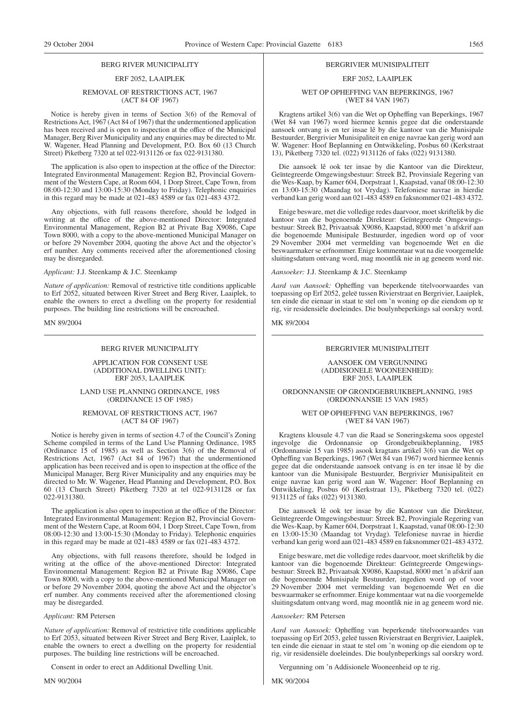#### BERG RIVER MUNICIPALITY

# ERF 2052, LAAIPLEK

#### REMOVAL OF RESTRICTIONS ACT, 1967 (ACT 84 OF 1967)

Notice is hereby given in terms of Section 3(6) of the Removal of Restrictions Act, 1967 (Act 84 of 1967) that the undermentioned application has been received and is open to inspection at the office of the Municipal Manager, Berg River Municipality and any enquiries may be directed to Mr. W. Wagener, Head Planning and Development, P.O. Box 60 (13 Church Street) Piketberg 7320 at tel 022-9131126 or fax 022-9131380.

The application is also open to inspection at the office of the Director: Integrated Environmental Management: Region B2, Provincial Government of the Western Cape, at Room 604, 1 Dorp Street, Cape Town, from 08:00-12:30 and 13:00-15:30 (Monday to Friday). Telephonic enquiries in this regard may be made at 021-483 4589 or fax 021-483 4372.

Any objections, with full reasons therefore, should be lodged in writing at the office of the above-mentioned Director: Integrated Environmental Management, Region B2 at Private Bag X9086, Cape Town 8000, with a copy to the above-mentioned Municipal Manager on or before 29 November 2004, quoting the above Act and the objector's erf number. Any comments received after the aforementioned closing may be disregarded.

#### *Applicant:* J.J. Steenkamp & J.C. Steenkamp

*Nature of application:* Removal of restrictive title conditions applicable to Erf 2052, situated between River Street and Berg River, Laaiplek, to enable the owners to erect a dwelling on the property for residential purposes. The building line restrictions will be encroached.

MN 89/2004

#### BERG RIVER MUNICIPALITY

#### APPLICATION FOR CONSENT USE (ADDITIONAL DWELLING UNIT): ERF 2053, LAAIPLEK

#### LAND USE PLANNING ORDINANCE, 1985 (ORDINANCE 15 OF 1985)

#### REMOVAL OF RESTRICTIONS ACT, 1967 (ACT 84 OF 1967)

Notice is hereby given in terms of section 4.7 of the Council's Zoning Scheme compiled in terms of the Land Use Planning Ordinance, 1985 (Ordinance 15 of 1985) as well as Section 3(6) of the Removal of Restrictions Act, 1967 (Act 84 of 1967) that the undermentioned application has been received and is open to inspection at the office of the Municipal Manager, Berg River Municipality and any enquiries may be directed to Mr. W. Wagener, Head Planning and Development, P.O. Box 60 (13 Church Street) Piketberg 7320 at tel 022-9131128 or fax 022-9131380.

The application is also open to inspection at the office of the Director: Integrated Environmental Management: Region B2, Provincial Government of the Western Cape, at Room 604, 1 Dorp Street, Cape Town, from 08:00-12:30 and 13:00-15:30 (Monday to Friday). Telephonic enquiries in this regard may be made at 021-483 4589 or fax 021-483 4372.

Any objections, with full reasons therefore, should be lodged in writing at the office of the above-mentioned Director: Integrated Environmental Management: Region B2 at Private Bag X9086, Cape Town 8000, with a copy to the above-mentioned Municipal Manager on or before 29 November 2004, quoting the above Act and the objector's erf number. Any comments received after the aforementioned closing may be disregarded.

#### *Applicant:* RM Petersen

*Nature of application:* Removal of restrictive title conditions applicable to Erf 2053, situated between River Street and Berg River, Laaiplek, to enable the owners to erect a dwelling on the property for residential purposes. The building line restrictions will be encroached.

Consent in order to erect an Additional Dwelling Unit.

MN 90/2004

#### BERGRIVIER MUNISIPALITEIT

# ERF 2052, LAAIPLEK

#### WET OP OPHEFFING VAN BEPERKINGS, 1967 (WET 84 VAN 1967)

Kragtens artikel 3(6) van die Wet op Opheffing van Beperkings, 1967 (Wet 84 van 1967) word hiermee kennis gegee dat die onderstaande aansoek ontvang is en ter insae lê by die kantoor van die Munisipale Bestuurder, Bergrivier Munisipaliteit en enige navrae kan gerig word aan W. Wagener: Hoof Beplanning en Ontwikkeling, Posbus 60 (Kerkstraat 13), Piketberg 7320 tel. (022) 9131126 of faks (022) 9131380.

Die aansoek lê ook ter insae by die Kantoor van die Direkteur, Geïntegreerde Omgewingsbestuur: Streek B2, Provinsiale Regering van die Wes-Kaap, by Kamer 604, Dorpstraat 1, Kaapstad, vanaf 08:00-12:30 en 13:00-15:30 (Maandag tot Vrydag). Telefoniese navrae in hierdie verband kan gerig word aan 021-483 4589 en faksnommer 021-483 4372.

Enige besware, met die volledige redes daarvoor, moet skriftelik by die kantoor van die bogenoemde Direkteur: Geïntegreerde Omgewingsbestuur: Streek B2, Privaatsak X9086, Kaapstad, 8000 met 'n afskrif aan die bogenoemde Munisipale Bestuurder, ingedien word op of voor 29 November 2004 met vermelding van bogenoemde Wet en die beswaarmaker se erfnommer. Enige kommentaar wat na die voorgemelde sluitingsdatum ontvang word, mag moontlik nie in ag geneem word nie.

*Aansoeker:* J.J. Steenkamp & J.C. Steenkamp

*Aard van Aansoek:* Opheffing van beperkende titelvoorwaardes van toepassing op Erf 2052, geleë tussen Rivierstraat en Bergrivier, Laaiplek, ten einde die eienaar in staat te stel om 'n woning op die eiendom op te rig, vir residensiële doeleindes. Die boulynbeperkings sal oorskry word.

MK 89/2004

#### BERGRIVIER MUNISIPALITEIT

AANSOEK OM VERGUNNING (ADDISIONELE WOONEENHEID): ERF 2053, LAAIPLEK

ORDONNANSIE OP GRONDGEBRUIKBEPLANNING, 1985 (ORDONNANSIE 15 VAN 1985)

#### WET OP OPHEFFING VAN BEPERKINGS, 1967 (WET 84 VAN 1967)

Kragtens klousule 4.7 van die Raad se Soneringskema soos opgestel ingevolge die Ordonnansie op Grondgebruikbeplanning, 1985 (Ordonnansie 15 van 1985) asook kragtans artikel 3(6) van die Wet op Opheffing van Beperkings, 1967 (Wet 84 van 1967) word hiermee kennis gegee dat die onderstaande aansoek ontvang is en ter insae lê by die kantoor van die Munisipale Bestuurder, Bergrivier Munisipaliteit en enige navrae kan gerig word aan W. Wagener: Hoof Beplanning en Ontwikkeling, Posbus 60 (Kerkstraat 13), Piketberg 7320 tel. (022) 9131125 of faks (022) 9131380.

Die aansoek lê ook ter insae by die Kantoor van die Direkteur, Geïntegreerde Omgewingsbestuur: Streek B2, Provingiale Regering van die Wes-Kaap, by Kamer 604, Dorpstraat 1, Kaapstad, vanaf 08:00-12:30 en 13:00-15:30 (Maandag tot Vrydag). Telefoniese navrae in hierdie verband kan gerig word aan 021-483 4589 en faksnommer 021-483 4372.

Enige besware, met die volledige redes daarvoor, moet skriftelik by die kantoor van die bogenoemde Direkteur: Geïntegreerde Omgewingsbestuur: Streek B2, Privaatsak X9086, Kaapstad, 8000 met 'n afskrif aan die bogenoemde Munisipale Bestuurder, ingedien word op of voor 29 November 2004 met vermelding van bogenoemde Wet en die beswaarmaker se erfnommer. Enige kommentaar wat na die voorgemelde sluitingsdatum ontvang word, mag moontlik nie in ag geneem word nie.

*Aansoeker:* RM Petersen

*Aard van Aansoek:* Opheffing van beperkende titelvoorwaardes van toepassing op Erf 2053, geleë tussen Rivierstraat en Bergrivier, Laaiplek, ten einde die eienaar in staat te stel om 'n woning op die eiendom op te rig, vir residensiële doeleindes. Die boulynbeperkings sal oorskry word.

Vergunning om 'n Addisionele Wooneenheid op te rig.

MK 90/2004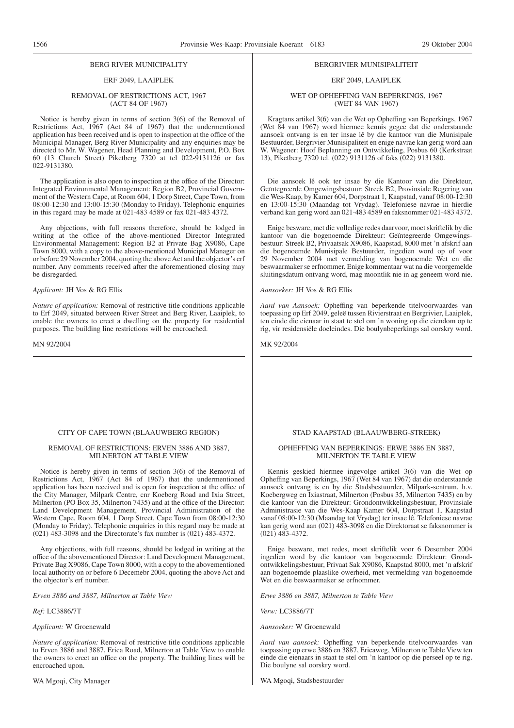#### BERG RIVER MUNICIPALITY

# ERF 2049, LAAIPLEK

#### REMOVAL OF RESTRICTIONS ACT, 1967 (ACT 84 OF 1967)

Notice is hereby given in terms of section 3(6) of the Removal of Restrictions Act, 1967 (Act 84 of 1967) that the undermentioned application has been received and is open to inspection at the office of the Municipal Manager, Berg River Municipality and any enquiries may be directed to Mr. W. Wagener, Head Planning and Development, P.O. Box 60 (13 Church Street) Piketberg 7320 at tel 022-9131126 or fax 022-9131380.

The application is also open to inspection at the office of the Director: Integrated Environmental Management: Region B2, Provincial Government of the Western Cape, at Room 604, 1 Dorp Street, Cape Town, from 08:00-12:30 and 13:00-15:30 (Monday to Friday). Telephonic enquiries in this regard may be made at 021-483 4589 or fax 021-483 4372.

Any objections, with full reasons therefore, should be lodged in writing at the office of the above-mentioned Director Integrated Environmental Management: Region B2 at Private Bag X9086, Cape Town 8000, with a copy to the above-mentioned Municipal Manager on or before 29 November 2004, quoting the above Act and the objector's erf number. Any comments received after the aforementioned closing may be disregarded.

*Applicant:* JH Vos & RG Ellis

*Nature of application:* Removal of restrictive title conditions applicable to Erf 2049, situated between River Street and Berg River, Laaiplek, to enable the owners to erect a dwelling on the property for residential purposes. The building line restrictions will be encroached.

MN 92/2004

#### CITY OF CAPE TOWN (BLAAUWBERG REGION)

#### REMOVAL OF RESTRICTIONS: ERVEN 3886 AND 3887, MILNERTON AT TABLE VIEW

Notice is hereby given in terms of section 3(6) of the Removal of Restrictions Act, 1967 (Act 84 of 1967) that the undermentioned application has been received and is open for inspection at the office of the City Manager, Milpark Centre, cnr Koeberg Road and Ixia Street, Milnerton (PO Box 35, Milnerton 7435) and at the office of the Director: Land Development Management, Provincial Administration of the Western Cape, Room 604, 1 Dorp Street, Cape Town from 08:00-12:30 (Monday to Friday). Telephonic enquiries in this regard may be made at (021) 483-3098 and the Directorate's fax number is (021) 483-4372.

Any objections, with full reasons, should be lodged in writing at the office of the abovementioned Director: Land Development Management, Private Bag X9086, Cape Town 8000, with a copy to the abovementioned local authority on or before 6 Decemebr 2004, quoting the above Act and the objector's erf number.

*Erven 3886 and 3887, Milnerton at Table View*

*Ref:* LC3886/7T

#### *Applicant:* W Groenewald

*Nature of application:* Removal of restrictive title conditions applicable to Erven 3886 and 3887, Erica Road, Milnerton at Table View to enable the owners to erect an office on the property. The building lines will be encroached upon.

WA Mgoqi, City Manager

#### BERGRIVIER MUNISIPALITEIT

# ERF 2049, LAAIPLEK

WET OP OPHEFFING VAN BEPERKINGS, 1967 (WET 84 VAN 1967)

Kragtans artikel 3(6) van die Wet op Opheffing van Beperkings, 1967 (Wet 84 van 1967) word hiermee kennis gegee dat die onderstaande aansoek ontvang is en ter insae lê by die kantoor van die Munisipale Bestuurder, Bergrivier Munisipaliteit en enige navrae kan gerig word aan W. Wagener: Hoof Beplanning en Ontwikkeling, Posbus 60 (Kerkstraat 13), Piketberg 7320 tel. (022) 9131126 of faks (022) 9131380.

Die aansoek lê ook ter insae by die Kantoor van die Direkteur, Geïntegreerde Omgewingsbestuur: Streek B2, Provinsiale Regering van die Wes-Kaap, by Kamer 604, Dorpstraat 1, Kaapstad, vanaf 08:00-12:30 en 13:00-15:30 (Maandag tot Vrydag). Telefoniese navrae in hierdie verband kan gerig word aan 021-483 4589 en faksnommer 021-483 4372.

Enige besware, met die volledige redes daarvoor, moet skriftelik by die kantoor van die bogenoemde Direkteur: Geïntegreerde Omgewingsbestuur: Streek B2, Privaatsak X9086, Kaapstad, 8000 met 'n afskrif aan die bogenoemde Munisipale Bestuurder, ingedien word op of voor 29 November 2004 met vermelding van bogenoemde Wet en die beswaarmaker se erfnommer. Enige kommentaar wat na die voorgemelde sluitingsdatum ontvang word, mag moontlik nie in ag geneem word nie.

#### *Aansoeker:* JH Vos & RG Ellis

*Aard van Aansoek:* Opheffing van beperkende titelvoorwaardes van toepassing op Erf 2049, geleë tussen Rivierstraat en Bergrivier, Laaiplek, ten einde die eienaar in staat te stel om 'n woning op die eiendom op te rig, vir residensiële doeleindes. Die boulynbeperkings sal oorskry word.

MK 92/2004

#### STAD KAAPSTAD (BLAAUWBERG-STREEK)

#### OPHEFFING VAN BEPERKINGS: ERWE 3886 EN 3887, MILNERTON TE TABLE VIEW

Kennis geskied hiermee ingevolge artikel 3(6) van die Wet op Opheffing van Beperkings, 1967 (Wet 84 van 1967) dat die onderstaande aansoek ontvang is en by die Stadsbestuurder, Milpark-sentrum, h.v. Koebergweg en Ixiastraat, Milnerton (Posbus 35, Milnerton 7435) en by die kantoor van die Direkteur: Grondontwikkelingsbestuur, Provinsiale Administrasie van die Wes-Kaap Kamer 604, Dorpstraat 1, Kaapstad vanaf 08:00-12:30 (Maandag tot Vrydag) ter insae lê. Telefoniese navrae kan gerig word aan (021) 483-3098 en die Direktoraat se faksnommer is (021) 483-4372.

Enige besware, met redes, moet skriftelik voor 6 Desember 2004 ingedien word by die kantoor van bogenoemde Direkteur: Grondontwikkelingsbestuur, Privaat Sak X9086, Kaapstad 8000, met 'n afskrif aan bogenoemde plaaslike owerheid, met vermelding van bogenoemde Wet en die beswaarmaker se erfnommer.

*Erwe 3886 en 3887, Milnerton te Table View*

*Verw:* LC3886/7T

*Aansoeker:* W Groenewald

*Aard van aansoek:* Opheffing van beperkende titelvoorwaardes van toepassing op erwe 3886 en 3887, Ericaweg, Milnerton te Table View ten einde die eienaars in staat te stel om 'n kantoor op die perseel op te rig. Die boulyne sal oorskry word.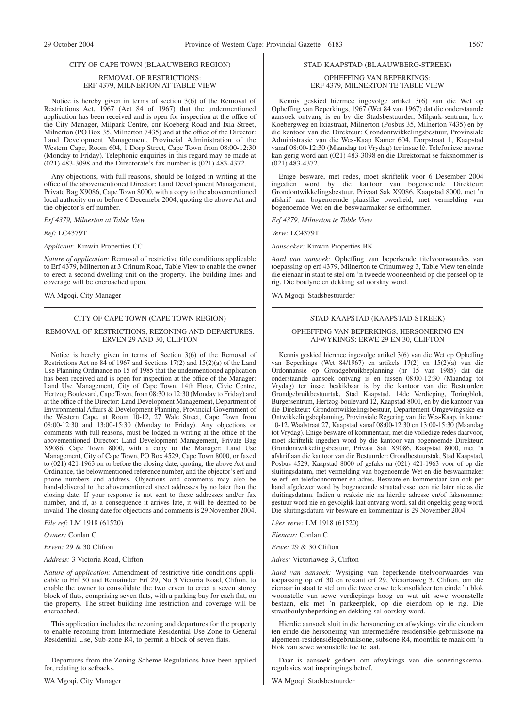#### CITY OF CAPE TOWN (BLAAUWBERG REGION)

#### REMOVAL OF RESTRICTIONS: ERF 4379, MILNERTON AT TABLE VIEW

Notice is hereby given in terms of section 3(6) of the Removal of Restrictions Act, 1967 (Act 84 of 1967) that the undermentioned application has been received and is open for inspection at the office of the City Manager, Milpark Centre, cnr Koeberg Road and Ixia Street, Milnerton (PO Box 35, Milnerton 7435) and at the office of the Director: Land Development Management, Provincial Administration of the Western Cape, Room 604, 1 Dorp Street, Cape Town from 08:00-12:30 (Monday to Friday). Telephonic enquiries in this regard may be made at (021) 483-3098 and the Directorate's fax number is (021) 483-4372.

Any objections, with full reasons, should be lodged in writing at the office of the abovementioned Director: Land Development Management, Private Bag X9086, Cape Town 8000, with a copy to the abovementioned local authority on or before 6 Decemebr 2004, quoting the above Act and the objector's erf number.

*Erf 4379, Milnerton at Table View*

*Ref:* LC4379T

*Applicant:* Kinwin Properties CC

*Nature of application:* Removal of restrictive title conditions applicable to Erf 4379, Milnerton at 3 Crinum Road, Table View to enable the owner to erect a second dwelling unit on the property. The building lines and coverage will be encroached upon.

WA Mgoqi, City Manager

# CITY OF CAPE TOWN (CAPE TOWN REGION)

#### REMOVAL OF RESTRICTIONS, REZONING AND DEPARTURES: ERVEN 29 AND 30, CLIFTON

Notice is hereby given in terms of Section 3(6) of the Removal of Restrictions Act no 84 of 1967 and Sections 17(2) and 15(2)(a) of the Land Use Planning Ordinance no 15 of 1985 that the undermentioned application has been received and is open for inspection at the office of the Manager: Land Use Management, City of Cape Town, 14th Floor, Civic Centre, Hertzog Boulevard, Cape Town, from 08:30 to 12:30 (Monday to Friday) and at the office of the Director: Land Development Management, Department of Environmental Affairs & Development Planning, Provincial Government of the Western Cape, at Room 10-12, 27 Wale Street, Cape Town from 08:00-12:30 and 13:00-15:30 (Monday to Friday). Any objections or comments with full reasons, must be lodged in writing at the office of the abovementioned Director: Land Development Management, Private Bag X9086, Cape Town 8000, with a copy to the Manager: Land Use Management, City of Cape Town, PO Box 4529, Cape Town 8000, or faxed to (021) 421-1963 on or before the closing date, quoting, the above Act and Ordinance, the belowmentioned reference number, and the objector's erf and phone numbers and address. Objections and comments may also be hand-delivered to the abovementioned street addresses by no later than the closing date. If your response is not sent to these addresses and/or fax number, and if, as a consequence it arrives late, it will be deemed to be invalid. The closing date for objections and comments is 29 November 2004.

*File ref:* LM 1918 (61520)

*Owner:* Conlan C

*Erven:* 29 & 30 Clifton

*Address:* 3 Victoria Road, Clifton

*Nature of application:* Amendment of restrictive title conditions applicable to Erf 30 and Remainder Erf 29, No 3 Victoria Road, Clifton, to enable the owner to consolidate the two erven to erect a seven storey block of flats, comprising seven flats, with a parking bay for each flat, on the property. The street building line restriction and coverage will be encroached.

This application includes the rezoning and departures for the property to enable rezoning from Intermediate Residential Use Zone to General Residential Use, Sub-zone R4, to permit a block of seven flats.

Departures from the Zoning Scheme Regulations have been applied for, relating to setbacks.

WA Mgoqi, City Manager

# STAD KAAPSTAD (BLAAUWBERG-STREEK)

#### OPHEFFING VAN BEPERKINGS: ERF 4379, MILNERTON TE TABLE VIEW

Kennis geskied hiermee ingevolge artikel 3(6) van die Wet op Opheffing van Beperkings, 1967 (Wet 84 van 1967) dat die onderstaande aansoek ontvang is en by die Stadsbestuurder, Milpark-sentrum, h.v. Koebergweg en Ixiastraat, Milnerton (Posbus 35, Milnerton 7435) en by die kantoor van die Direkteur: Grondontwikkelingsbestuur, Provinsiale Administrasie van die Wes-Kaap Kamer 604, Dorpstraat 1, Kaapstad vanaf 08:00-12:30 (Maandag tot Vrydag) ter insae lê. Telefoniese navrae kan gerig word aan (021) 483-3098 en die Direktoraat se faksnommer is (021) 483-4372.

Enige besware, met redes, moet skriftelik voor 6 Desember 2004 ingedien word by die kantoor van bogenoemde Direkteur: Grondontwikkelingsbestuur, Privaat Sak X9086, Kaapstad 8000, met 'n afskrif aan bogenoemde plaaslike owerheid, met vermelding van bogenoemde Wet en die beswaarmaker se erfnommer.

*Erf 4379, Milnerton te Table View*

*Verw:* LC4379T

*Aansoeker:* Kinwin Properties BK

*Aard van aansoek:* Opheffing van beperkende titelvoorwaardes van toepassing op erf 4379, Milnerton te Crinumweg 3, Table View ten einde die eienaar in staat te stel om 'n tweede wooneenheid op die perseel op te rig. Die boulyne en dekking sal oorskry word.

WA Mgoqi, Stadsbestuurder

# STAD KAAPSTAD (KAAPSTAD-STREEK)

#### OPHEFFING VAN BEPERKINGS, HERSONERING EN AFWYKINGS: ERWE 29 EN 30, CLIFTON

Kennis geskied hiermee ingevolge artikel 3(6) van die Wet op Opheffing van Beperkings (Wet 84/1967) en artikels 17(2) en 15(2)(a) van die Ordonnansie op Grondgebruikbeplanning (nr 15 van 1985) dat die onderstaande aansoek ontvang is en tussen 08:00-12:30 (Maandag tot Vrydag) ter insae beskikbaar is by die kantoor van die Bestuurder: Grondgebruikbestuurtak, Stad Kaapstad, 14de Verdieping, Toringblok, Burgersentrum, Hertzog-boulevard 12, Kaapstad 8001, en by die kantoor van die Direkteur: Grondontwikkelingsbestuur, Departement Omgewingsake en Ontwikkelingsbeplanning, Provinsiale Regering van die Wes-Kaap, in kamer 10-12, Waalstraat 27, Kaapstad vanaf 08:00-12:30 en 13:00-15:30 (Maandag tot Vrydag). Enige besware of kommentaar, met die volledige redes daarvoor, moet skriftelik ingedien word by die kantoor van bogenoemde Direkteur: Grondontwikkelingsbestuur, Privaat Sak X9086, Kaapstad 8000, met 'n afskrif aan die kantoor van die Bestuurder: Grondbestuurstak, Stad Kaapstad, Posbus 4529, Kaapstad 8000 of gefaks na (021) 421-1963 voor of op die sluitingsdatum, met vermelding van bogenoemde Wet en die beswaarmaker se erf- en telefoonnommer en adres. Besware en kommentaar kan ook per hand afgelewer word by bogenoemde straatadresse teen nie later nie as die sluitingsdatum. Indien u reaksie nie na hierdie adresse en/of faksnommer gestuur word nie en gevolglik laat ontvang word, sal dit ongeldig geag word. Die sluitingsdatum vir besware en kommentaar is 29 November 2004.

*Lêer verw:* LM 1918 (61520)

*Eienaar:* Conlan C

*Erwe:* 29 & 30 Clifton

*Adres:* Victoriaweg 3, Clifton

*Aard van aansoek:* Wysiging van beperkende titelvoorwaardes van toepassing op erf 30 en restant erf 29, Victoriaweg 3, Clifton, om die eienaar in staat te stel om die twee erwe te konsolideer ten einde 'n blok woonstelle van sewe verdiepings hoog en wat uit sewe woonstelle bestaan, elk met 'n parkeerplek, op die eiendom op te rig. Die straatboulynbeperking en dekking sal oorskry word.

Hierdie aansoek sluit in die hersonering en afwykings vir die eiendom ten einde die hersonering van intermediêre residensiële-gebruiksone na algemeen-residensiëlegebruiksone, subsone R4, moontlik te maak om 'n blok van sewe woonstelle toe te laat.

Daar is aansoek gedoen om afwykings van die soneringskemaregulasies wat inspringings betref.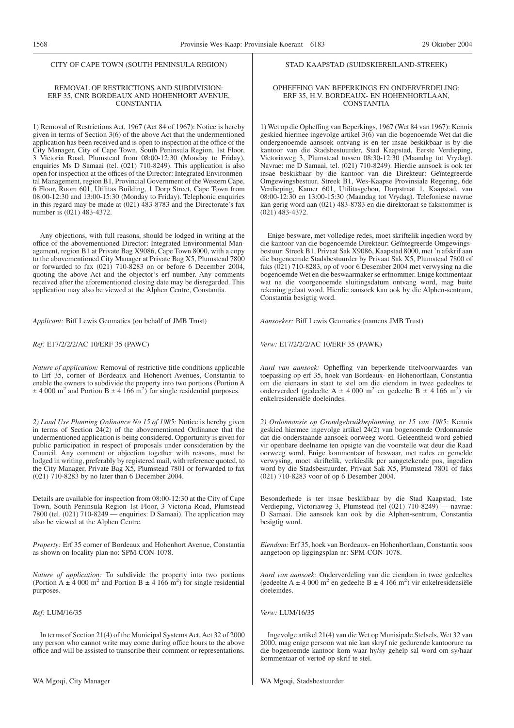#### CITY OF CAPE TOWN (SOUTH PENINSULA REGION)

#### REMOVAL OF RESTRICTIONS AND SUBDIVISION: ERF 35, CNR BORDEAUX AND HOHENHORT AVENUE, CONSTANTIA

1) Removal of Restrictions Act, 1967 (Act 84 of 1967): Notice is hereby given in terms of Section 3(6) of the above Act that the undermentioned application has been received and is open to inspection at the office of the City Manager, City of Cape Town, South Peninsula Region, 1st Floor, 3 Victoria Road, Plumstead from 08:00-12:30 (Monday to Friday), enquiries Ms D Samaai (tel. (021) 710-8249). This application is also open for inspection at the offices of the Director: Integrated Environmental Management, region B1, Provincial Government of the Western Cape, 6 Floor, Room 601, Utilitas Building, 1 Dorp Street, Cape Town from 08:00-12:30 and 13:00-15:30 (Monday to Friday). Telephonic enquiries in this regard may be made at (021) 483-8783 and the Directorate's fax number is (021) 483-4372.

Any objections, with full reasons, should be lodged in writing at the office of the abovementioned Director: Integrated Environmental Management, region B1 at Private Bag X9086, Cape Town 8000, with a copy to the abovementioned City Manager at Private Bag X5, Plumstead 7800 or forwarded to fax (021) 710-8283 on or before 6 December 2004, quoting the above Act and the objector's erf number. Any comments received after the aforementioned closing date may be disregarded. This application may also be viewed at the Alphen Centre, Constantia.

*Applicant:* Biff Lewis Geomatics (on behalf of JMB Trust)

*Ref:* E17/2/2/2/AC 10/ERF 35 (PAWC)

*Nature of application:* Removal of restrictive title conditions applicable to Erf 35, corner of Bordeaux and Hohenort Avenues, Constantia to enable the owners to subdivide the property into two portions (Portion A  $\pm$  4 000 m<sup>2</sup> and Portion B  $\pm$  4 166 m<sup>2</sup>) for single residential purposes.

*2) Land Use Planning Ordinance No 15 of 1985:* Notice is hereby given in terms of Section 24(2) of the abovementioned Ordinance that the undermentioned application is being considered. Opportunity is given for public participation in respect of proposals under consideration by the Council. Any comment or objection together with reasons, must be lodged in writing, preferably by registered mail, with reference quoted, to the City Manager, Private Bag X5, Plumstead 7801 or forwarded to fax (021) 710-8283 by no later than 6 December 2004.

Details are available for inspection from 08:00-12:30 at the City of Cape Town, South Peninsula Region 1st Floor, 3 Victoria Road, Plumstead 7800 (tel. (021) 710-8249 — enquiries: D Samaai). The application may also be viewed at the Alphen Centre.

*Property:* Erf 35 corner of Bordeaux and Hohenhort Avenue, Constantia as shown on locality plan no: SPM-CON-1078.

*Nature of application:* To subdivide the property into two portions (Portion A  $\pm$  4 000 m<sup>2</sup> and Portion B  $\pm$  4 166 m<sup>2</sup>) for single residential purposes.

#### *Ref:* LUM/16/35

In terms of Section 21(4) of the Municipal Systems Act, Act 32 of 2000 any person who cannot write may come during office hours to the above office and will be assisted to transcribe their comment or representations.

#### STAD KAAPSTAD (SUIDSKIEREILAND-STREEK)

#### OPHEFFING VAN BEPERKINGS EN ONDERVERDELING: ERF 35, H.V. BORDEAUX- EN HOHENHORTLAAN, CONSTANTIA

1) Wet op die Opheffing van Beperkings, 1967 (Wet 84 van 1967): Kennis geskied hiermee ingevolge artikel 3(6) van die bogenoemde Wet dat die ondergenoemde aansoek ontvang is en ter insae beskikbaar is by die kantoor van die Stadsbestuurder, Stad Kaapstad, Eerste Verdieping, Victoriaweg 3, Plumstead tussen 08:30-12:30 (Maandag tot Vrydag). Navrae: me D Samaai, tel. (021) 710-8249). Hierdie aansoek is ook ter insae beskikbaar by die kantoor van die Direkteur: Geïntegreerde Omgewingsbestuur, Streek B1, Wes-Kaapse Provinsiale Regering, 6de Verdieping, Kamer 601, Utilitasgebou, Dorpstraat 1, Kaapstad, van 08:00-12:30 en 13:00-15:30 (Maandag tot Vrydag). Telefoniese navrae kan gerig word aan (021) 483-8783 en die direktoraat se faksnommer is (021) 483-4372.

Enige besware, met volledige redes, moet skriftelik ingedien word by die kantoor van die bogenoemde Direkteur: Geïntegreerde Omgewingsbestuur: Streek B1, Privaat Sak X9086, Kaapstad 8000, met 'n afskrif aan die bogenoemde Stadsbestuurder by Privaat Sak X5, Plumstead 7800 of faks (021) 710-8283, op of voor 6 Desember 2004 met verwysing na die bogenoemde Wet en die beswaarmaker se erfnommer. Enige kommentaar wat na die voorgenoemde sluitingsdatum ontvang word, mag buite rekening gelaat word. Hierdie aansoek kan ook by die Alphen-sentrum, Constantia besigtig word.

*Aansoeker:* Biff Lewis Geomatics (namens JMB Trust)

*Verw:* E17/2/2/2/AC 10/ERF 35 (PAWK)

*Aard van aansoek:* Opheffing van beperkende titelvoorwaardes van toepassing op erf 35, hoek van Bordeaux- en Hohenortlaan, Constantia om die eienaars in staat te stel om die eiendom in twee gedeeltes te onderverdeel (gedeelte A  $\pm$  4 000 m<sup>2</sup> en gedeelte B  $\pm$  4 166 m<sup>2</sup>) vir enkelresidensiële doeleindes.

*2) Ordonnansie op Grondgebruikbeplanning, nr 15 van 1985:* Kennis geskied hiermee ingevolge artikel 24(2) van bogenoemde Ordonnansie dat die onderstaande aansoek oorweeg word. Geleentheid word gebied vir openbare deelname ten opsigte van die voorstelle wat deur die Raad oorweeg word. Enige kommentaar of beswaar, met redes en gemelde verwysing, moet skriftelik, verkieslik per aangetekende pos, ingedien word by die Stadsbestuurder, Privaat Sak X5, Plumstead 7801 of faks (021) 710-8283 voor of op 6 Desember 2004.

Besonderhede is ter insae beskikbaar by die Stad Kaapstad, 1ste Verdieping, Victoriaweg 3, Plumstead (tel (021) 710-8249) — navrae: D Samaai. Die aansoek kan ook by die Alphen-sentrum, Constantia besigtig word.

*Eiendom:* Erf 35, hoek van Bordeaux- en Hohenhortlaan, Constantia soos aangetoon op liggingsplan nr: SPM-CON-1078.

*Aard van aansoek:* Onderverdeling van die eiendom in twee gedeeltes (gedeelte A  $\pm$  4 000 m<sup>2</sup> en gedeelte B  $\pm$  4 166 m<sup>2</sup>) vir enkelresidensiële doeleindes.

*Verw:* LUM/16/35

Ingevolge artikel 21(4) van die Wet op Munisipale Stelsels, Wet 32 van 2000, mag enige persoon wat nie kan skryf nie gedurende kantoorure na die bogenoemde kantoor kom waar hy/sy gehelp sal word om sy/haar kommentaar of vertoë op skrif te stel.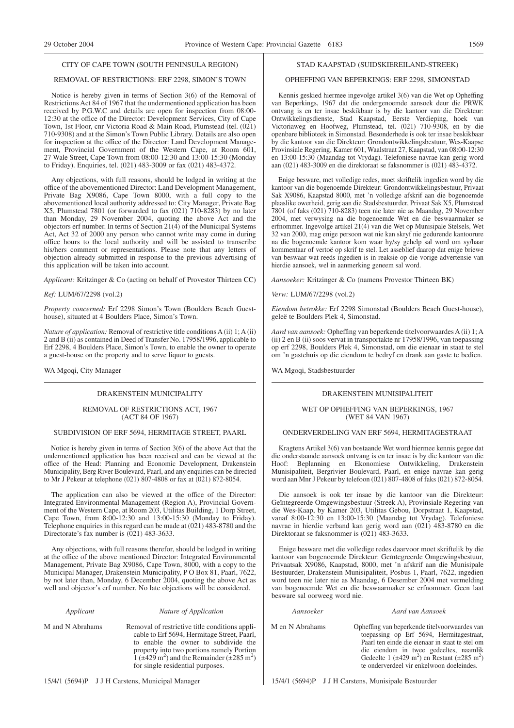#### CITY OF CAPE TOWN (SOUTH PENINSULA REGION)

#### REMOVAL OF RESTRICTIONS: ERF 2298, SIMON'S TOWN

Notice is hereby given in terms of Section 3(6) of the Removal of Restrictions Act 84 of 1967 that the undermentioned application has been received by P.G.W.C and details are open for inspection from 08:00- 12:30 at the office of the Director: Development Services, City of Cape Town, 1st Floor, cnr Victoria Road & Main Road, Plumstead (tel. (021) 710-9308) and at the Simon's Town Public Library. Details are also open for inspection at the office of the Director: Land Development Management, Provincial Government of the Western Cape, at Room 601, 27 Wale Street, Cape Town from 08:00-12:30 and 13:00-15:30 (Monday to Friday). Enquiries, tel. (021) 483-3009 or fax (021) 483-4372.

Any objections, with full reasons, should be lodged in writing at the office of the abovementioned Director: Land Development Management, Private Bag X9086, Cape Town 8000, with a full copy to the abovementioned local authority addressed to: City Manager, Private Bag X5, Plumstead 7801 (or forwarded to fax (021) 710-8283) by no later than Monday, 29 November 2004, quoting the above Act and the objectors erf number. In terms of Section 21(4) of the Municipal Systems Act, Act 32 of 2000 any person who cannot write may come in during office hours to the local authority and will be assisted to transcribe his/hers comment or representations. Please note that any letters of objection already submitted in response to the previous advertising of this application will be taken into account.

*Applicant:* Kritzinger & Co (acting on behalf of Provestor Thirteen CC)

*Ref:* LUM/67/2298 (vol.2)

*Property concerned:* Erf 2298 Simon's Town (Boulders Beach Guesthouse), situated at 4 Boulders Place, Simon's Town.

*Nature of application:* Removal of restrictive title conditions A (ii) 1; A (ii) 2 and B (ii) as contained in Deed of Transfer No. 17958/1996, applicable to Erf 2298, 4 Boulders Place, Simon's Town, to enable the owner to operate a guest-house on the property and to serve liquor to guests.

WA Mgoqi, City Manager

# DRAKENSTEIN MUNICIPALITY

#### REMOVAL OF RESTRICTIONS ACT, 1967 (ACT 84 OF 1967)

## SUBDIVISION OF ERF 5694, HERMITAGE STREET, PAARL

Notice is hereby given in terms of Section 3(6) of the above Act that the undermentioned application has been received and can be viewed at the office of the Head: Planning and Economic Development, Drakenstein Municipality, Berg River Boulevard, Paarl, and any enquiries can be directed to Mr J Pekeur at telephone (021) 807-4808 or fax at (021) 872-8054.

The application can also be viewed at the office of the Director: Integrated Environmental Management (Region A), Provincial Government of the Western Cape, at Room 203, Utilitas Building, 1 Dorp Street, Cape Town, from 8:00-12:30 and 13:00-15:30 (Monday to Friday). Telephone enquiries in this regard can be made at (021) 483-8780 and the Directorate's fax number is  $(021)$  483-3633.

Any objections, with full reasons therefor, should be lodged in writing at the office of the above mentioned Director: Integrated Environmental Management, Private Bag X9086, Cape Town, 8000, with a copy to the Municipal Manager, Drakenstein Municipality, P O Box 81, Paarl, 7622, by not later than, Monday, 6 December 2004, quoting the above Act as well and objector's erf number. No late objections will be considered.

*Applicant Nature of Application*

M and N Abrahams Removal of restrictive title conditions applicable to Erf 5694, Hermitage Street, Paarl, to enable the owner to subdivide the property into two portions namely Portion  $1$  ( $\pm$ 429 m<sup>2</sup>) and the Remainder ( $\pm$ 285 m<sup>2</sup>) for single residential purposes.

15/4/1 (5694)P J J H Carstens, Municipal Manager

#### STAD KAAPSTAD (SUIDSKIEREILAND-STREEK)

# OPHEFFING VAN BEPERKINGS: ERF 2298, SIMONSTAD

Kennis geskied hiermee ingevolge artikel 3(6) van die Wet op Opheffing van Beperkings, 1967 dat die ondergenoemde aansoek deur die PRWK ontvang is en ter insae beskikbaar is by die kantoor van die Direkteur: Ontwikkelingsdienste, Stad Kaapstad, Eerste Verdieping, hoek van Victoriaweg en Hoofweg, Plumstead, tel. (021) 710-9308, en by die openbare biblioteek in Simonstad. Besonderhede is ook ter insae beskikbaar by die kantoor van die Direkteur: Grondontwikkelingsbestuur, Wes-Kaapse Provinsiale Regering, Kamer 601, Waalstraat 27, Kaapstad, van 08:00-12:30 en 13:00-15:30 (Maandag tot Vrydag). Telefoniese navrae kan gerig word aan (021) 483-3009 en die direktoraat se faksnommer is (021) 483-4372.

Enige besware, met volledige redes, moet skriftelik ingedien word by die kantoor van die bogenoemde Direkteur: Grondontwikkelingsbestuur, Privaat Sak X9086, Kaapstad 8000, met 'n volledige afskrif aan die bogenoemde plaaslike owerheid, gerig aan die Stadsbestuurder, Privaat Sak X5, Plumstead 7801 (of faks (021) 710-8283) teen nie later nie as Maandag, 29 November 2004, met verwysing na die bogenoemde Wet en die beswaarmaker se erfnommer. Ingevolge artikel 21(4) van die Wet op Munisipale Stelsels, Wet 32 van 2000, mag enige persoon wat nie kan skryf nie gedurende kantoorure na die bogenoemde kantoor kom waar hy/sy gehelp sal word om sy/haar kommentaar of vertoë op skrif te stel. Let asseblief daarop dat enige briewe van beswaar wat reeds ingedien is in reaksie op die vorige advertensie van hierdie aansoek, wel in aanmerking geneem sal word.

*Aansoeker:* Kritzinger & Co (namens Provestor Thirteen BK)

*Verw:* LUM/67/2298 (vol.2)

*Eiendom betrokke:* Erf 2298 Simonstad (Boulders Beach Guest-house), geleë te Boulders Plek 4, Simonstad.

*Aard van aansoek:* Opheffing van beperkende titelvoorwaardes A (ii) 1; A (ii) 2 en B (ii) soos vervat in transportakte nr 17958/1996, van toepassing op erf 2298, Boulders Plek 4, Simonstad, om die eienaar in staat te stel om 'n gastehuis op die eiendom te bedryf en drank aan gaste te bedien.

WA Mgoqi, Stadsbestuurder

#### DRAKENSTEIN MUNISIPALITEIT

#### WET OP OPHEFFING VAN BEPERKINGS, 1967 (WET 84 VAN 1967)

## ONDERVERDELING VAN ERF 5694, HERMITAGESTRAAT

Kragtens Artikel 3(6) van bostaande Wet word hiermee kennis gegee dat die onderstaande aansoek ontvang is en ter insae is by die kantoor van die Hoof: Beplanning en Ekonomiese Ontwikkeling, Drakenstein Munisipaliteit, Bergrivier Boulevard, Paarl, en enige navrae kan gerig word aan Mnr J Pekeur by telefoon (021) 807-4808 of faks (021) 872-8054.

Die aansoek is ook ter insae by die kantoor van die Direkteur: Geïntegreerde Omgewingsbestuur (Streek A), Provinsiale Regering van die Wes-Kaap, by Kamer 203, Utilitas Gebou, Dorpstraat 1, Kaapstad, vanaf 8:00-12:30 en 13:00-15:30 (Maandag tot Vrydag). Telefoniese navrae in hierdie verband kan gerig word aan (021) 483-8780 en die Direktoraat se faksnommer is  $(021)$  483-3633.

Enige besware met die volledige redes daarvoor moet skriftelik by die kantoor van bogenoemde Direkteur: Geïntegreerde Omgewingsbestuur, Privaatsak X9086, Kaapstad, 8000, met 'n afskrif aan die Munisipale Bestuurder, Drakenstein Munisipaliteit, Posbus 1, Paarl, 7622, ingedien word teen nie later nie as Maandag, 6 Desember 2004 met vermelding van bogenoemde Wet en die beswaarmaker se erfnommer. Geen laat besware sal oorweeg word nie.

#### *Aansoeker Aard van Aansoek*

M en N Abrahams Opheffing van beperkende titelvoorwaardes van toepassing op Erf 5694, Hermitagestraat, Paarl ten einde die eienaar in staat te stel om die eiendom in twee gedeeltes, naamlik Gedeelte 1 ( $\pm$ 429 m<sup>2</sup>) en Restant ( $\pm$ 285 m<sup>2</sup>) te onderverdeel vir enkelwoon doeleindes.

15/4/1 (5694)P J J H Carstens, Munisipale Bestuurder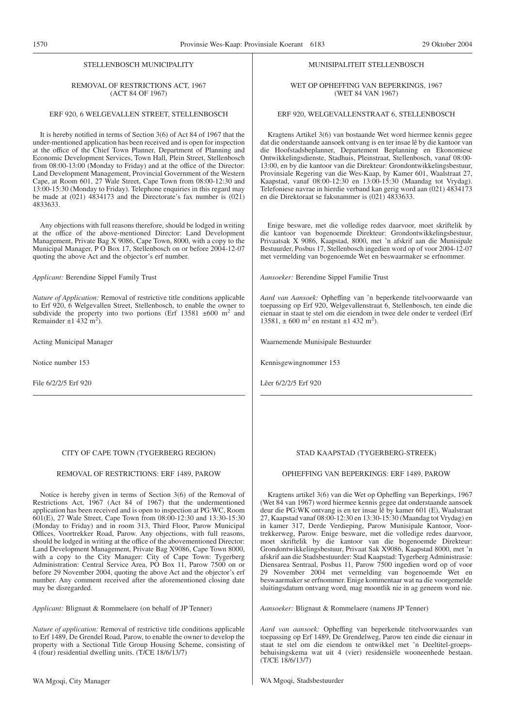#### STELLENBOSCH MUNICIPALITY

# REMOVAL OF RESTRICTIONS ACT, 1967 (ACT 84 OF 1967)

#### ERF 920, 6 WELGEVALLEN STREET, STELLENBOSCH

It is hereby notified in terms of Section 3(6) of Act 84 of 1967 that the under-mentioned application has been received and is open for inspection at the office of the Chief Town Planner, Department of Planning and Economic Development Services, Town Hall, Plein Street, Stellenbosch from 08:00-13:00 (Monday to Friday) and at the office of the Director: Land Development Management, Provincial Government of the Western Cape, at Room 601, 27 Wale Street, Cape Town from 08:00-12:30 and 13:00-15:30 (Monday to Friday). Telephone enquiries in this regard may be made at (021) 4834173 and the Directorate's fax number is (021) 4833633.

Any objections with full reasons therefore, should be lodged in writing at the office of the above-mentioned Director: Land Development Management, Private Bag X 9086, Cape Town, 8000, with a copy to the Municipal Manager, P O Box 17, Stellenbosch on or before 2004-12-07 quoting the above Act and the objector's erf number.

*Applicant:* Berendine Sippel Family Trust

*Nature of Application:* Removal of restrictive title conditions applicable to Erf 920, 6 Welgevallen Street, Stellenbosch, to enable the owner to subdivide the property into two portions (Erf 13581  $\pm 600$  m<sup>2</sup> and Remainder  $\pm 1$  432 m<sup>2</sup>).

Acting Municipal Manager

Notice number 153

File 6/2/2/5 Erf 920

#### CITY OF CAPE TOWN (TYGERBERG REGION)

# REMOVAL OF RESTRICTIONS: ERF 1489, PAROW

Notice is hereby given in terms of Section 3(6) of the Removal of Restrictions Act, 1967 (Act 84 of 1967) that the undermentioned application has been received and is open to inspection at PG:WC, Room 601(E), 27 Wale Street, Cape Town from 08:00-12:30 and 13:30-15:30 (Monday to Friday) and in room 313, Third Floor, Parow Municipal Offices, Voortrekker Road, Parow. Any objections, with full reasons, should be lodged in writing at the office of the abovementioned Director: Land Development Management, Private Bag X9086, Cape Town 8000, with a copy to the City Manager: City of Cape Town: Tygerberg Administration: Central Service Area, PO Box 11, Parow 7500 on or before 29 November 2004, quoting the above Act and the objector's erf number. Any comment received after the aforementioned closing date may be disregarded.

*Applicant:* Blignaut & Rommelaere (on behalf of JP Tenner)

*Nature of application:* Removal of restrictive title conditions applicable to Erf 1489, De Grendel Road, Parow, to enable the owner to develop the property with a Sectional Title Group Housing Scheme, consisting of 4 (four) residential dwelling units. (T/CE 18/6/13/7)

#### MUNISIPALITEIT STELLENBOSCH

WET OP OPHEFFING VAN BEPERKINGS, 1967 (WET 84 VAN 1967)

#### ERF 920, WELGEVALLENSTRAAT 6, STELLENBOSCH

Kragtens Artikel 3(6) van bostaande Wet word hiermee kennis gegee dat die onderstaande aansoek ontvang is en ter insae lê by die kantoor van die Hoofstadsbeplanner, Departement Beplanning en Ekonomiese Ontwikkelingsdienste, Stadhuis, Pleinstraat, Stellenbosch, vanaf 08:00- 13:00, en by die kantoor van die Direkteur: Grondontwikkelingsbestuur, Provinsiale Regering van die Wes-Kaap, by Kamer 601, Waalstraat 27, Kaapstad, vanaf 08:00-12:30 en 13:00-15:30 (Maandag tot Vrydag). Telefoniese navrae in hierdie verband kan gerig word aan (021) 4834173 en die Direktoraat se faksnammer is (021) 4833633.

Enige besware, met die volledige redes daarvoor, moet skriftelik by die kantoor van bogenoemde Direkteur: Grondontwikkelingsbestuur, Privaatsak X 9086, Kaapstad, 8000, met 'n afskrif aan die Munisipale Bestuurder, Posbus 17, Stellenbosch ingedien word op of voor 2004-12-07 met vermelding van bogenoemde Wet en beswaarmaker se erfnommer.

*Aansoeker:* Berendine Sippel Familie Trust

*Aard van Aansoek:* Opheffing van 'n beperkende titelvoorwaarde van toepassing op Erf 920, Welgevallenstraat 6, Stellenbosch, ten einde die eienaar in staat te stel om die eiendom in twee dele onder te verdeel (Erf 13581,  $\pm 600$  m<sup>2</sup> en restant  $\pm 1$  432 m<sup>2</sup>).

Waarnemende Munisipale Bestuurder

Kennisgewingnommer 153

Lêer 6/2/2/5 Erf 920

#### STAD KAAPSTAD (TYGERBERG-STREEK)

# OPHEFFING VAN BEPERKINGS: ERF 1489, PAROW

Kragtens artikel 3(6) van die Wet op Opheffing van Beperkings, 1967 (Wet 84 van 1967) word hiermee kennis gegee dat onderstaande aansoek deur die PG:WK ontvang is en ter insae lê by kamer 601 (E), Waalstraat 27, Kaapstad vanaf 08:00-12:30 en 13:30-15:30 (Maandag tot Vrydag) en in kamer 317, Derde Verdieping, Parow Munisipale Kantoor, Voortrekkerweg, Parow. Enige besware, met die volledige redes daarvoor, moet skriftelik by die kantoor van die bogenoemde Direkteur: Grondontwikkelingsbestuur, Privaat Sak X9086, Kaapstad 8000, met 'n afskrif aan die Stadsbestuurder: Stad Kaapstad: Tygerberg Administrasie: Diensarea Sentraal, Posbus 11, Parow 7500 ingedien word op of voor 29 November 2004 met vermelding van bogenoemde Wet en beswaarmaker se erfnommer. Enige kommentaar wat na die voorgemelde sluitingsdatum ontvang word, mag moontlik nie in ag geneem word nie.

*Aansoeker:* Blignaut & Rommelaere (namens JP Tenner)

*Aard van aansoek:* Opheffing van beperkende titelvoorwaardes van toepassing op Erf 1489, De Grendelweg, Parow ten einde die eienaar in staat te stel om die eiendom te ontwikkel met 'n Deeltitel-groepsbehuisingskema wat uit 4 (vier) residensiële wooneenhede bestaan. (T/CE 18/6/13/7)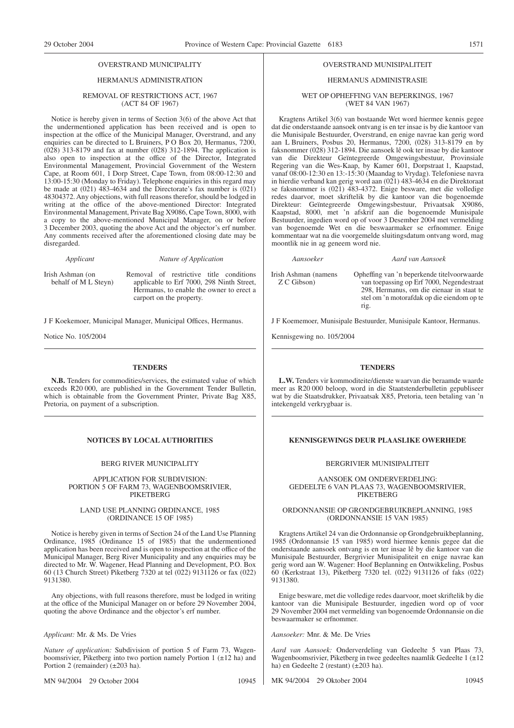# HERMANUS ADMINISTRATION

#### REMOVAL OF RESTRICTIONS ACT, 1967 (ACT 84 OF 1967)

Notice is hereby given in terms of Section 3(6) of the above Act that the undermentioned application has been received and is open to inspection at the office of the Municipal Manager, Overstrand, and any enquiries can be directed to L Bruiners, P O Box 20, Hermanus, 7200, (028) 313-8179 and fax at number (028) 312-1894. The application is also open to inspection at the office of the Director, Integrated Environmental Management, Provincial Government of the Western Cape, at Room 601, 1 Dorp Street, Cape Town, from 08:00-12:30 and 13:00-15:30 (Monday to Friday). Telephone enquiries in this regard may be made at (021) 483-4634 and the Directorate's fax number is (021) 48304372. Any objections, with full reasons therefor, should be lodged in writing at the office of the above-mentioned Director: Integrated Environmental Management, Private Bag X9086, Cape Town, 8000, with a copy to the above-mentioned Municipal Manager, on or before 3 December 2003, quoting the above Act and the objector's erf number. Any comments received after the aforementioned closing date may be disregarded.

*Applicant Nature of Application*

Irish Ashman (on behalf of M<sub>L</sub> Steyn) Removal of restrictive title conditions applicable to Erf 7000, 298 Ninth Street, Hermanus, to enable the owner to erect a carport on the property.

J F Koekemoer, Municipal Manager, Municipal Offices, Hermanus.

Notice No. 105/2004

#### **TENDERS**

**N.B.** Tenders for commodities/services, the estimated value of which exceeds R20 000, are published in the Government Tender Bulletin, which is obtainable from the Government Printer, Private Bag X85, Pretoria, on payment of a subscription.

#### BERG RIVER MUNICIPALITY

APPLICATION FOR SUBDIVISION: PORTION 5 OF FARM 73, WAGENBOOMSRIVIER, PIKETBERG

#### LAND USE PLANNING ORDINANCE, 1985 (ORDINANCE 15 OF 1985)

Notice is hereby given in terms of Section 24 of the Land Use Planning Ordinance, 1985 (Ordinance 15 of 1985) that the undermentioned application has been received and is open to inspection at the office of the Municipal Manager, Berg River Municipality and any enquiries may be directed to Mr. W. Wagener, Head Planning and Development, P.O. Box 60 (13 Church Street) Piketberg 7320 at tel (022) 9131126 or fax (022) 9131380.

Any objections, with full reasons therefore, must be lodged in writing at the office of the Municipal Manager on or before 29 November 2004, quoting the above Ordinance and the objector's erf number.

*Applicant:* Mr. & Ms. De Vries

*Nature of application:* Subdivision of portion 5 of Farm 73, Wagenboomsrivier, Piketberg into two portion namely Portion 1  $(\pm 12 \text{ ha})$  and Portion 2 (remainder) (±203 ha).

MN 94/2004 29 October 2004 10945

#### OVERSTRAND MUNISIPALITEIT

# HERMANUS ADMINISTRASIE

WET OP OPHEFFING VAN BEPERKINGS, 1967 (WET 84 VAN 1967)

Kragtens Artikel 3(6) van bostaande Wet word hiermee kennis gegee dat die onderstaande aansoek ontvang is en ter insae is by die kantoor van die Munisipale Bestuurder, Overstrand, en enige navrae kan gerig word aan L Bruiners, Posbus 20, Hermanus, 7200, (028) 313-8179 en by faksnommer (028) 312-1894. Die aansoek lê ook ter insae by die kantoor van die Direkteur Geïntegreerde Omgewingsbestuur, Provinsiale Regering van die Wes-Kaap, by Kamer 601, Dorpstraat 1, Kaapstad, vanaf 08:00-12:30 en 13:-15:30 (Maandag to Vrydag). Telefoniese navra in hierdie verband kan gerig word aan (021) 483-4634 en die Direktoraat se faksnommer is (021) 483-4372. Enige besware, met die volledige redes daarvor, moet skriftelik by die kantoor van die bogenoemde Direkteur: Geïntegreerde Omgewingsbestuur, Privaatsak X9086, Kaapstad, 8000, met 'n afskrif aan die bogenoemde Munisipale Bestuurder, ingedien word op of voor 3 Desember 2004 met vermelding van bogenoemde Wet en die beswaarmaker se erfnommer. Enige kommentaar wat na die voorgemelde sluitingsdatum ontvang word, mag moontlik nie in ag geneem word nie.

*Aansoeker Aard van Aansoek*

Irish Ashman (namens Z C Gibson)

Opheffing van 'n beperkende titelvoorwaarde van toepassing op Erf 7000, Negendestraat 298, Hermanus, om die eienaar in staat te stel om 'n motorafdak op die eiendom op te rig.

J F Koememoer, Munisipale Bestuurder, Munisipale Kantoor, Hermanus.

Kennisgewing no. 105/2004

#### **TENDERS**

**L.W.** Tenders vir kommoditeite/dienste waarvan die beraamde waarde meer as R20 000 beloop, word in die Staatstenderbulletin gepubliseer wat by die Staatsdrukker, Privaatsak X85, Pretoria, teen betaling van 'n intekengeld verkrygbaar is.

# **NOTICES BY LOCAL AUTHORITIES EXECUTES KENNISGEWINGS DEUR PLAASLIKE OWERHEDE**

#### BERGRIVIER MUNISIPALITEIT

AANSOEK OM ONDERVERDELING: GEDEELTE 6 VAN PLAAS 73, WAGENBOOMSRIVIER, PIKETBERG

#### ORDONNANSIE OP GRONDGEBRUIKBEPLANNING, 1985 (ORDONNANSIE 15 VAN 1985)

Kragtens Artikel 24 van die Ordonnansie op Grondgebruikbeplanning, 1985 (Ordonnansie 15 van 1985) word hiermee kennis gegee dat die onderstaande aansoek ontvang is en ter insae lê by die kantoor van die Munisipale Bestuurder, Bergrivier Munisipaliteit en enige navrae kan gerig word aan W. Wagener: Hoof Beplanning en Ontwikkeling, Posbus 60 (Kerkstraat 13), Piketberg 7320 tel. (022) 9131126 of faks (022) 9131380.

Enige besware, met die volledige redes daarvoor, moet skriftelik by die kantoor van die Munisipale Bestuurder, ingedien word op of voor 29 November 2004 met vermelding van bogenoemde Ordonnansie on die beswaarmaker se erfnommer.

*Aansoeker:* Mnr. & Me. De Vries

*Aard van Aansoek:* Onderverdeling van Gedeelte 5 van Plaas 73, Wagenboomsrivier, Piketberg in twee gedeeltes naamlik Gedeelte 1 (±12) ha) en Gedeelte 2 (restant) (±203 ha).

MK 94/2004 29 Oktober 2004 10945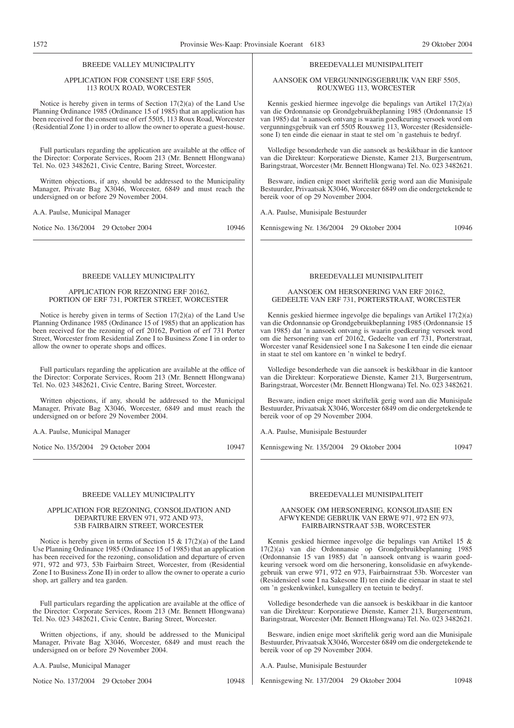# BREEDE VALLEY MUNICIPALITY

#### APPLICATION FOR CONSENT USE ERF 5505, 113 ROUX ROAD, WORCESTER

Notice is hereby given in terms of Section 17(2)(a) of the Land Use Planning Ordinance 1985 (Ordinance 15 of 1985) that an application has been received for the consent use of erf 5505, 113 Roux Road, Worcester (Residential Zone 1) in order to allow the owner to operate a guest-house.

Full particulars regarding the application are available at the office of the Director: Corporate Services, Room 213 (Mr. Bennett Hlongwana) Tel. No. 023 3482621, Civic Centre, Baring Street, Worcester.

Written objections, if any, should be addressed to the Municipality Manager, Private Bag X3046, Worcester, 6849 and must reach the undersigned on or before 29 November 2004.

A.A. Paulse, Municipal Manager

Notice No. 136/2004 29 October 2004 10946

#### BREEDE VALLEY MUNICIPALITY

#### APPLICATION FOR REZONING ERF 20162, PORTION OF ERF 731, PORTER STREET, WORCESTER

Notice is hereby given in terms of Section 17(2)(a) of the Land Use Planning Ordinance 1985 (Ordinance 15 of 1985) that an application has been received for the rezoning of erf 20162, Portion of erf 731 Porter Street, Worcester from Residential Zone I to Business Zone I in order to allow the owner to operate shops and offices.

Full particulars regarding the application are available at the office of the Director: Corporate Services, Room 213 (Mr. Bennett Hlongwana) Tel. No. 023 3482621, Civic Centre, Baring Street, Worcester.

Written objections, if any, should be addressed to the Municipal Manager, Private Bag X3046, Worcester, 6849 and must reach the undersigned on or before 29 November 2004.

A.A. Paulse, Municipal Manager

Notice No. 135/2004 29 October 2004 10947

#### BREEDE VALLEY MUNICIPALITY

#### APPLICATION FOR REZONING, CONSOLIDATION AND DEPARTURE ERVEN 971, 972 AND 973, 53B FAIRBAIRN STREET, WORCESTER

Notice is hereby given in terms of Section 15  $\&$  17(2)(a) of the Land Use Planning Ordinance 1985 (Ordinance 15 of 1985) that an application has been received for the rezoning, consolidation and departure of erven 971, 972 and 973, 53b Fairbairn Street, Worcester, from (Residential Zone I to Business Zone II) in order to allow the owner to operate a curio shop, art gallery and tea garden.

Full particulars regarding the application are available at the office of the Director: Corporate Services, Room 213 (Mr. Bennett Hlongwana) Tel. No. 023 3482621, Civic Centre, Baring Street, Worcester.

Written objections, if any, should be addressed to the Municipal Manager, Private Bag X3046, Worcester, 6849 and must reach the undersigned on or before 29 November 2004.

A.A. Paulse, Municipal Manager

Notice No. 137/2004 29 October 2004 10948

A.A. Paulse, Munisipale Bestuurder

Kennisgewing Nr. 137/2004 29 Oktober 2004 10948

# BREEDEVALLEI MUNISIPALITEIT

AANSOEK OM VERGUNNINGSGEBRUIK VAN ERF 5505, ROUXWEG 113, WORCESTER

Kennis geskied hiermee ingevolge die bepalings van Artikel 17(2)(a) van die Ordonnansie op Grondgebruikbeplanning 1985 (Ordonnansie 15 van 1985) dat 'n aansoek ontvang is waarin goedkeuring versoek word om vergunningsgebruik van erf 5505 Rouxweg 113, Worcester (Residensiëlesone I) ten einde die eienaar in staat te stel om 'n gastehuis te bedryf.

Volledige besonderhede van die aansoek as beskikbaar in die kantoor van die Direkteur: Korporatiewe Dienste, Kamer 213, Burgersentrum, Baringstraat, Worcester (Mr. Bennett Hlongwana) Tel. No. 023 3482621.

Besware, indien enige moet skriftelik gerig word aan die Munisipale Bestuurder, Privaatsak X3046, Worcester 6849 om die ondergetekende te bereik voor of op 29 November 2004.

A.A. Paulse, Munisipale Bestuurder

Kennisgewing Nr. 136/2004 29 Oktober 2004 10946

#### BREEDEVALLEI MUNISIPALITEIT

AANSOEK OM HERSONERING VAN ERF 20162, GEDEELTE VAN ERF 731, PORTERSTRAAT, WORCESTER

Kennis geskied hiermee ingevolge die bepalings van Artikel 17(2)(a) van die Ordonnansie op Grondgebruikbeplanning 1985 (Ordonnansie 15 van 1985) dat 'n aansoek ontvang is waarin goedkeuring versoek word om die hersonering van erf 20162, Gedeelte van erf 731, Porterstraat, Worcester vanaf Residensieel sone I na Sakesone I ten einde die eienaar in staat te stel om kantore en 'n winkel te bedryf.

Volledige besonderhede van die aansoek is beskikbaar in die kantoor van die Direkteur: Korporatiewe Dienste, Kamer 213, Burgersentrum, Baringstraat, Worcester (Mr. Bennett Hlongwana) Tel. No. 023 3482621.

Besware, indien enige moet skriftelik gerig word aan die Munisipale Bestuurder, Privaatsak X3046, Worcester 6849 om die ondergetekende te bereik voor of op 29 November 2004.

A.A. Paulse, Munisipale Bestuurder

Kennisgewing Nr. 135/2004 29 Oktober 2004 10947

#### BREEDEVALLEI MUNISIPALITEIT

#### AANSOEK OM HERSONERING, KONSOLIDASIE EN AFWYKENDE GEBRUIK VAN ERWE 971, 972 EN 973, FAIRBAIRNSTRAAT 53B, WORCESTER

Kennis geskied hiermee ingevolge die bepalings van Artikel 15 & 17(2)(a) van die Ordonnansie op Grondgebruikbeplanning 1985 (Ordonnansie 15 van 1985) dat 'n aansoek ontvang is waarin goedkeuring versoek word om die hersonering, konsolidasie en afwykendegebruik van erwe 971, 972 en 973, Fairbairnstraat 53b. Worcester van (Residensieel sone I na Sakesone II) ten einde die eienaar in staat te stel om 'n geskenkwinkel, kunsgallery en teetuin te bedryf.

Volledige besonderhede van die aansoek is beskikbaar in die kantoor van die Direkteur: Korporatiewe Dienste, Kamer 213, Burgersentrum, Baringstraat, Worcester (Mr. Bennett Hlongwana) Tel. No. 023 3482621.

Besware, indien enige moet skriftelik gerig word aan die Munisipale Bestuurder, Privaatsak X3046, Worcester 6849 om die ondergetekende te bereik voor of op 29 November 2004.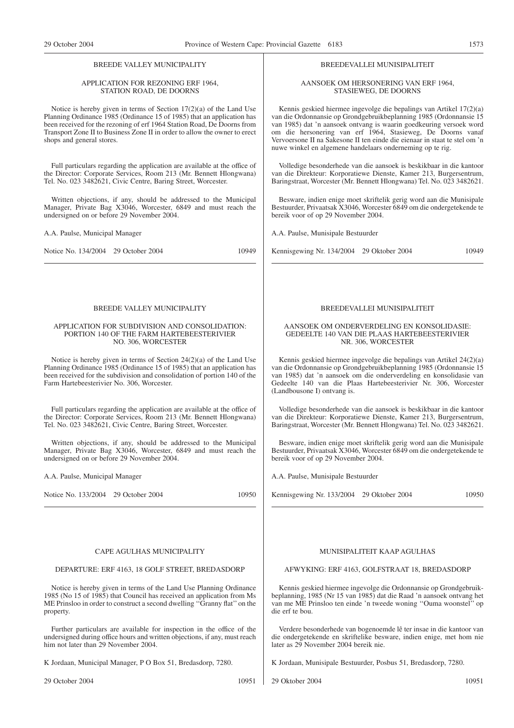## BREEDE VALLEY MUNICIPALITY

#### APPLICATION FOR REZONING ERF 1964, STATION ROAD, DE DOORNS

Notice is hereby given in terms of Section 17(2)(a) of the Land Use Planning Ordinance 1985 (Ordinance 15 of 1985) that an application has been received for the rezoning of erf 1964 Station Road, De Doorns from Transport Zone II to Business Zone II in order to allow the owner to erect shops and general stores.

Full particulars regarding the application are available at the office of the Director: Corporate Services, Room 213 (Mr. Bennett Hlongwana) Tel. No. 023 3482621, Civic Centre, Baring Street, Worcester.

Written objections, if any, should be addressed to the Municipal Manager, Private Bag X3046, Worcester, 6849 and must reach the undersigned on or before 29 November 2004.

A.A. Paulse, Municipal Manager

Notice No. 134/2004 29 October 2004 10949

#### BREEDE VALLEY MUNICIPALITY

#### APPLICATION FOR SUBDIVISION AND CONSOLIDATION: PORTION 140 OF THE FARM HARTEBEESTERIVIER NO. 306, WORCESTER

Notice is hereby given in terms of Section 24(2)(a) of the Land Use Planning Ordinance 1985 (Ordinance 15 of 1985) that an application has been received for the subdivision and consolidation of portion 140 of the Farm Hartebeesterivier No. 306, Worcester.

Full particulars regarding the application are available at the office of the Director: Corporate Services, Room 213 (Mr. Bennett Hlongwana) Tel. No. 023 3482621, Civic Centre, Baring Street, Worcester.

Written objections, if any, should be addressed to the Municipal Manager, Private Bag X3046, Worcester, 6849 and must reach the undersigned on or before 29 November 2004.

A.A. Paulse, Municipal Manager

Notice No. 133/2004 29 October 2004 10950

#### CAPE AGULHAS MUNICIPALITY

#### DEPARTURE: ERF 4163, 18 GOLF STREET, BREDASDORP

Notice is hereby given in terms of the Land Use Planning Ordinance 1985 (No 15 of 1985) that Council has received an application from Ms ME Prinsloo in order to construct a second dwelling ''Granny flat'' on the property.

Further particulars are available for inspection in the office of the undersigned during office hours and written objections, if any, must reach him not later than 29 November 2004.

K Jordaan, Municipal Manager, P O Box 51, Bredasdorp, 7280.

#### BREEDEVALLEI MUNISIPALITEIT

#### AANSOEK OM HERSONERING VAN ERF 1964, STASIEWEG, DE DOORNS

Kennis geskied hiermee ingevolge die bepalings van Artikel 17(2)(a) van die Ordonnansie op Grondgebruikbeplanning 1985 (Ordonnansie 15 van 1985) dat 'n aansoek ontvang is waarin goedkeuring versoek word om die hersonering van erf 1964, Stasieweg, De Doorns vanaf Vervoersone II na Sakesone II ten einde die eienaar in staat te stel om 'n nuwe winkel en algemene handelaars onderneming op te rig.

Volledige besonderhede van die aansoek is beskikbaar in die kantoor van die Direkteur: Korporatiewe Dienste, Kamer 213, Burgersentrum, Baringstraat, Worcester (Mr. Bennett Hlongwana) Tel. No. 023 3482621.

Besware, indien enige moet skriftelik gerig word aan die Munisipale Bestuurder, Privaatsak X3046, Worcester 6849 om die ondergetekende te bereik voor of op 29 November 2004.

A.A. Paulse, Munisipale Bestuurder

Kennisgewing Nr. 134/2004 29 Oktober 2004 10949

#### BREEDEVALLEI MUNISIPALITEIT

#### AANSOEK OM ONDERVERDELING EN KONSOLIDASIE: GEDEELTE 140 VAN DIE PLAAS HARTEBEESTERIVIER NR. 306, WORCESTER

Kennis geskied hiermee ingevolge die bepalings van Artikel 24(2)(a) van die Ordonnansie op Grondgebruikbeplanning 1985 (Ordonnansie 15 van 1985) dat 'n aansoek om die onderverdeling en konsolidasie van Gedeelte 140 van die Plaas Hartebeesterivier Nr. 306, Worcester (Landbousone I) ontvang is.

Volledige besonderhede van die aansoek is beskikbaar in die kantoor van die Direkteur: Korporatiewe Dienste, Kamer 213, Burgersentrum, Baringstraat, Worcester (Mr. Bennett Hlongwana) Tel. No. 023 3482621.

Besware, indien enige moet skriftelik gerig word aan die Munisipale Bestuurder, Privaatsak X3046, Worcester 6849 om die ondergetekende te bereik voor of op 29 November 2004.

A.A. Paulse, Munisipale Bestuurder

Kennisgewing Nr. 133/2004 29 Oktober 2004 10950

#### MUNISIPALITEIT KAAP AGULHAS

#### AFWYKING: ERF 4163, GOLFSTRAAT 18, BREDASDORP

Kennis geskied hiermee ingevolge die Ordonnansie op Grondgebruikbeplanning, 1985 (Nr 15 van 1985) dat die Raad 'n aansoek ontvang het van me ME Prinsloo ten einde 'n tweede woning ''Ouma woonstel'' op die erf te bou.

Verdere besonderhede van bogenoemde lê ter insae in die kantoor van die ondergetekende en skriftelike besware, indien enige, met hom nie later as 29 November 2004 bereik nie.

K Jordaan, Munisipale Bestuurder, Posbus 51, Bredasdorp, 7280.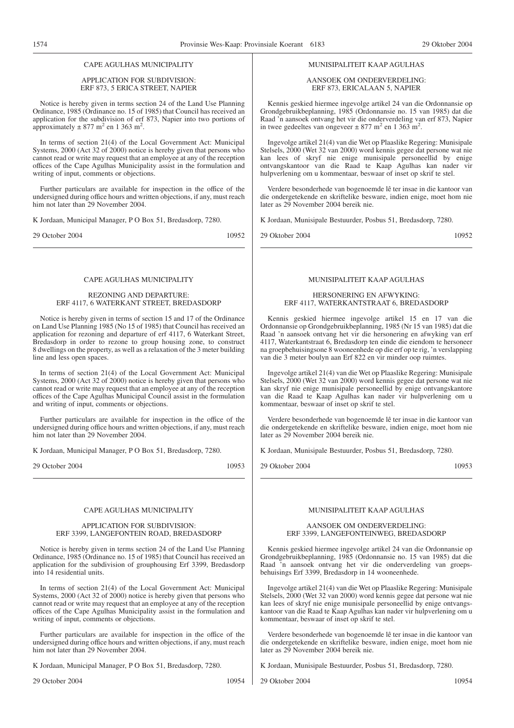# CAPE AGULHAS MUNICIPALITY

#### APPLICATION FOR SUBDIVISION: ERF 873, 5 ERICA STREET, NAPIER

Notice is hereby given in terms section 24 of the Land Use Planning Ordinance, 1985 (Ordinance no. 15 of 1985) that Council has received an application for the subdivision of erf 873, Napier into two portions of approximately  $\pm$  877 m<sup>2</sup> en 1 363 m<sup>2</sup>.

In terms of section 21(4) of the Local Government Act: Municipal Systems, 2000 (Act 32 of 2000) notice is hereby given that persons who cannot read or write may request that an employee at any of the reception offices of the Cape Agulhas Municipality assist in the formulation and writing of input, comments or objections.

Further particulars are available for inspection in the office of the undersigned during office hours and written objections, if any, must reach him not later than 29 November 2004.

K Jordaan, Municipal Manager, P O Box 51, Bredasdorp, 7280.

29 October 2004 10952

# CAPE AGULHAS MUNICIPALITY

#### REZONING AND DEPARTURE: ERF 4117, 6 WATERKANT STREET, BREDASDORP

Notice is hereby given in terms of section 15 and 17 of the Ordinance on Land Use Planning 1985 (No 15 of 1985) that Council has received an application for rezoning and departure of erf 4117, 6 Waterkant Street, Bredasdorp in order to rezone to group housing zone, to construct 8 dwellings on the property, as well as a relaxation of the 3 meter building line and less open spaces.

In terms of section 21(4) of the Local Government Act: Municipal Systems, 2000 (Act 32 of 2000) notice is hereby given that persons who cannot read or write may request that an employee at any of the reception offices of the Cape Agulhas Municipal Council assist in the formulation and writing of input, comments or objections.

Further particulars are available for inspection in the office of the undersigned during office hours and written objections, if any, must reach him not later than 29 November 2004.

K Jordaan, Municipal Manager, P O Box 51, Bredasdorp, 7280.

29 October 2004 10953

#### CAPE AGULHAS MUNICIPALITY

#### APPLICATION FOR SUBDIVISION: ERF 3399, LANGEFONTEIN ROAD, BREDASDORP

Notice is hereby given in terms section 24 of the Land Use Planning Ordinance, 1985 (Ordinance no. 15 of 1985) that Council has received an application for the subdivision of grouphousing Erf 3399, Bredasdorp into 14 residential units.

In terms of section 21(4) of the Local Government Act: Municipal Systems, 2000 (Act 32 of 2000) notice is hereby given that persons who cannot read or write may request that an employee at any of the reception offices of the Cape Agulhas Municipality assist in the formulation and writing of input, comments or objections.

Further particulars are available for inspection in the office of the undersigned during office hours and written objections, if any, must reach him not later than 29 November 2004.

K Jordaan, Municipal Manager, P O Box 51, Bredasdorp, 7280.

29 October 2004 10954

#### MUNISIPALITEIT KAAP AGULHAS

#### AANSOEK OM ONDERVERDELING: ERF 873, ERICALAAN 5, NAPIER

Kennis geskied hiermee ingevolge artikel 24 van die Ordonnansie op Grondgebruikbeplanning, 1985 (Ordonnansie no. 15 van 1985) dat die Raad 'n aansoek ontvang het vir die onderverdeling van erf 873, Napier in twee gedeeltes van ongeveer  $\pm$  877 m<sup>2</sup> en 1 363 m<sup>2</sup>.

Ingevolge artikel 21(4) van die Wet op Plaaslike Regering: Munisipale Stelsels, 2000 (Wet 32 van 2000) word kennis gegee dat persone wat nie kan lees of skryf nie enige munisipale personeellid by enige ontvangskantoor van die Raad te Kaap Agulhas kan nader vir hulpverlening om u kommentaar, beswaar of inset op skrif te stel.

Verdere besonderhede van bogenoemde lê ter insae in die kantoor van die ondergetekende en skriftelike besware, indien enige, moet hom nie later as 29 November 2004 bereik nie.

K Jordaan, Munisipale Bestuurder, Posbus 51, Bredasdorp, 7280.

29 Oktober 2004 10952

# MUNISIPALITEIT KAAP AGULHAS

#### HERSONERING EN AFWYKING: ERF 4117, WATERKANTSTRAAT 6, BREDASDORP

Kennis geskied hiermee ingevolge artikel 15 en 17 van die Ordonnansie op Grondgebruikbeplanning, 1985 (Nr 15 van 1985) dat die Raad 'n aansoek ontvang het vir die hersonering en afwyking van erf 4117, Waterkantstraat 6, Bredasdorp ten einde die eiendom te hersoneer na groepbehuisingsone 8 wooneenhede op die erf op te rig, 'n verslapping van die 3 meter boulyn aan Erf 822 en vir minder oop ruimtes.

Ingevolge artikel 21(4) van die Wet op Plaaslike Regering: Munisipale Stelsels, 2000 (Wet 32 van 2000) word kennis gegee dat persone wat nie kan skryf nie enige munisipale personeellid by enige ontvangskantore van die Raad te Kaap Agulhas kan nader vir hulpverlening om u kommentaar, beswaar of inset op skrif te stel.

Verdere besonderhede van bogenoemde lê ter insae in die kantoor van die ondergetekende en skriftelike besware, indien enige, moet hom nie later as 29 November 2004 bereik nie.

K Jordaan, Munisipale Bestuurder, Posbus 51, Bredasdorp, 7280.

29 Oktober 2004 10953

# MUNISIPALITEIT KAAP AGULHAS

#### AANSOEK OM ONDERVERDELING: ERF 3399, LANGEFONTEINWEG, BREDASDORP

Kennis geskied hiermee ingevolge artikel 24 van die Ordonnansie op Grondgebruikbeplanning, 1985 (Ordonnansie no. 15 van 1985) dat die Raad 'n aansoek ontvang het vir die onderverdeling van groepsbehuisings Erf 3399, Bredasdorp in 14 wooneenhede.

Ingevolge artikel 21(4) van die Wet op Plaaslike Regering: Munisipale Stelsels, 2000 (Wet 32 van 2000) word kennis gegee dat persone wat nie kan lees of skryf nie enige munisipale personeellid by enige ontvangskantoor van die Raad te Kaap Agulhas kan nader vir hulpverlening om u kommentaar, beswaar of inset op skrif te stel.

Verdere besonderhede van bogenoemde lê ter insae in die kantoor van die ondergetekende en skriftelike besware, indien enige, moet hom nie later as 29 November 2004 bereik nie.

K Jordaan, Munisipale Bestuurder, Posbus 51, Bredasdorp, 7280.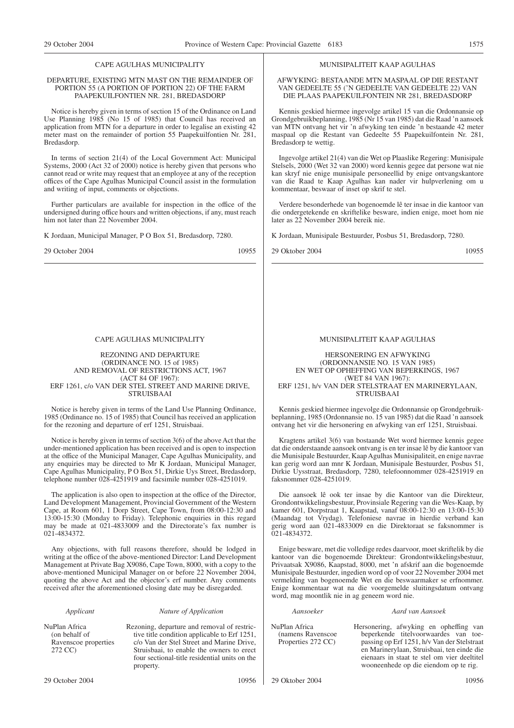# CAPE AGULHAS MUNICIPALITY

#### DEPARTURE, EXISTING MTN MAST ON THE REMAINDER OF PORTION 55 (A PORTION OF PORTION 22) OF THE FARM PAAPEKUILFONTIEN NR. 281, BREDASDORP

Notice is hereby given in terms of section 15 of the Ordinance on Land Use Planning 1985 (No 15 of 1985) that Council has received an application from MTN for a departure in order to legalise an existing 42 meter mast on the remainder of portion 55 Paapekuilfontien Nr. 281, Bredasdorp.

In terms of section 21(4) of the Local Government Act: Municipal Systems, 2000 (Act 32 of 2000) notice is hereby given that persons who cannot read or write may request that an employee at any of the reception offices of the Cape Agulhas Municipal Council assist in the formulation and writing of input, comments or objections.

Further particulars are available for inspection in the office of the undersigned during office hours and written objections, if any, must reach him not later than 22 November 2004.

K Jordaan, Municipal Manager, P O Box 51, Bredasdorp, 7280.

29 October 2004 10955

#### CAPE AGULHAS MUNICIPALITY

#### REZONING AND DEPARTURE (ORDINANCE NO. 15 of 1985) AND REMOVAL OF RESTRICTIONS ACT, 1967 (ACT 84 OF 1967): ERF 1261, c/o VAN DER STEL STREET AND MARINE DRIVE, STRUISBAAI

Notice is hereby given in terms of the Land Use Planning Ordinance, 1985 (Ordinance no. 15 of 1985) that Council has received an application for the rezoning and departure of erf 1251, Struisbaai.

Notice is hereby given in terms of section 3(6) of the above Act that the under-mentioned application has been received and is open to inspection at the office of the Municipal Manager, Cape Agulhas Municipality, and any enquiries may be directed to Mr K Jordaan, Municipal Manager, Cape Agulhas Municipality, P O Box 51, Dirkie Uys Street, Bredasdorp, telephone number 028-4251919 and facsimile number 028-4251019.

The application is also open to inspection at the office of the Director, Land Development Management, Provincial Government of the Western Cape, at Room 601, 1 Dorp Street, Cape Town, from 08:00-12:30 and 13:00-15:30 (Monday to Friday). Telephonic enquiries in this regard may be made at 021-4833009 and the Directorate's fax number is 021-4834372.

Any objections, with full reasons therefore, should be lodged in writing at the office of the above-mentioned Director: Land Development Management at Private Bag X9086, Cape Town, 8000, with a copy to the above-mentioned Municipal Manager on or before 22 November 2004, quoting the above Act and the objector's erf number. Any comments received after the aforementioned closing date may be disregarded.

#### *Applicant Nature of Application*

NuPlan Africa (on behalf of Ravenscoe properties 272 CC)

Rezoning, departure and removal of restrictive title condition applicable to Erf 1251, c/o Van der Stel Street and Marine Drive, Struisbaai, to enable the owners to erect four sectional-title residential units on the property.

# MUNISIPALITEIT KAAP AGULHAS

AFWYKING: BESTAANDE MTN MASPAAL OP DIE RESTANT VAN GEDEELTE 55 ('N GEDEELTE VAN GEDEELTE 22) VAN DIE PLAAS PAAPEKUILFONTEIN NR 281, BREDASDORP

Kennis geskied hiermee ingevolge artikel 15 van die Ordonnansie op Grondgebruikbeplanning, 1985 (Nr 15 van 1985) dat die Raad 'n aansoek van MTN ontvang het vir 'n afwyking ten einde 'n bestaande 42 meter maspaal op die Restant van Gedeelte 55 Paapekuilfontein Nr. 281, Bredasdorp te wettig.

Ingevolge artikel 21(4) van die Wet op Plaaslike Regering: Munisipale Stelsels, 2000 (Wet 32 van 2000) word kennis gegee dat persone wat nie kan skryf nie enige munisipale personeellid by enige ontvangskantore van die Raad te Kaap Agulhas kan nader vir hulpverlening om u kommentaar, beswaar of inset op skrif te stel.

Verdere besonderhede van bogenoemde lê ter insae in die kantoor van die ondergetekende en skriftelike besware, indien enige, moet hom nie later as 22 November 2004 bereik nie.

K Jordaan, Munisipale Bestuurder, Posbus 51, Bredasdorp, 7280.

29 Oktober 2004 10955

#### MUNISIPALITEIT KAAP AGULHAS

#### HERSONERING EN AFWYKING (ORDONNANSIE NO. 15 VAN 1985) EN WET OP OPHEFFING VAN BEPERKINGS, 1967 (WET 84 VAN 1967): ERF 1251, h/v VAN DER STELSTRAAT EN MARINERYLAAN, STRUISBAAI

Kennis geskied hiermee ingevolge die Ordonnansie op Grondgebruikbeplanning, 1985 (Ordonnansie no. 15 van 1985) dat die Raad 'n aansoek ontvang het vir die hersonering en afwyking van erf 1251, Struisbaai.

Kragtens artikel 3(6) van bostaande Wet word hiermee kennis gegee dat die onderstaande aansoek ontvang is en ter insae lê by die kantoor van die Munisipale Bestuurder, Kaap Agulhas Munisipaliteit, en enige navrae kan gerig word aan mnr K Jordaan, Munisipale Bestuurder, Posbus 51, Dirkie Uysstraat, Bredasdorp, 7280, telefoonnommer 028-4251919 en faksnommer 028-4251019.

Die aansoek lê ook ter insae by die Kantoor van die Direkteur, Grondontwikkelingsbestuur, Provinsiale Regering van die Wes-Kaap, by kamer 601, Dorpstraat 1, Kaapstad, vanaf 08:00-12:30 en 13:00-15:30 (Maandag tot Vrydag). Telefoniese navrae in hierdie verband kan gerig word aan 021-4833009 en die Direktoraat se faksnommer is 021-4834372.

Enige besware, met die volledige redes daarvoor, moet skriftelik by die kantoor van die bogenoemde Direkteur: Grondontwikkelingsbestuur, Privaatsak X9086, Kaapstad, 8000, met 'n afskrif aan die bogenoemde Munisipale Bestuurder, ingedien word op of voor 22 November 2004 met vermelding van bogenoemde Wet en die beswaarmaker se erfnommer. Enige kommentaar wat na die voorgemelde sluitingsdatum ontvang word, mag moontlik nie in ag geneem word nie.

#### *Aansoeker Aard van Aansoek*

NuPlan Africa (namens Ravenscoe Properties 272 CC)

Hersonering, afwyking en opheffing van beperkende titelvoorwaardes van toepassing op Erf 1251, h/v Van der Stelstraat en Marinerylaan, Struisbaai, ten einde die eienaars in staat te stel om vier deeltitel wooneenhede op die eiendom op te rig.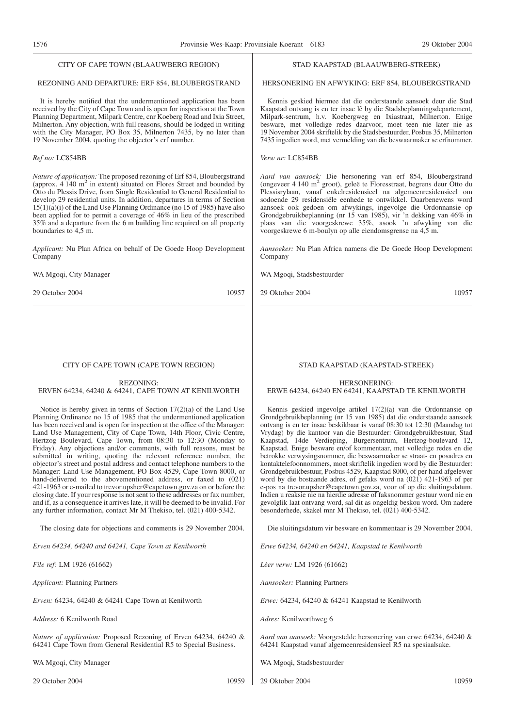#### CITY OF CAPE TOWN (BLAAUWBERG REGION)

# REZONING AND DEPARTURE: ERF 854, BLOUBERGSTRAND

It is hereby notified that the undermentioned application has been received by the City of Cape Town and is open for inspection at the Town Planning Department, Milpark Centre, cnr Koeberg Road and Ixia Street, Milnerton. Any objection, with full reasons, should be lodged in writing with the City Manager, PO Box 35, Milnerton 7435, by no later than 19 November 2004, quoting the objector's erf number.

## *Ref no:* LC854BB

*Nature of application:* The proposed rezoning of Erf 854, Bloubergstrand (approx. 4 140 m2 in extent) situated on Flores Street and bounded by Otto du Plessis Drive, from Single Residential to General Residential to develop 29 residential units. In addition, departures in terms of Section 15(1)(a)(i) of the Land Use Planning Ordinance (no 15 of 1985) have also been applied for to permit a coverage of 46% in lieu of the prescribed 35% and a departure from the 6 m building line required on all property boundaries to 4,5 m.

*Applicant:* Nu Plan Africa on behalf of De Goede Hoop Development Company

WA Mgoqi, City Manager

29 October 2004 10957

#### CITY OF CAPE TOWN (CAPE TOWN REGION)

# REZONING:

#### ERVEN 64234, 64240 & 64241, CAPE TOWN AT KENILWORTH

Notice is hereby given in terms of Section 17(2)(a) of the Land Use Planning Ordinance no 15 of 1985 that the undermentioned application has been received and is open for inspection at the office of the Manager: Land Use Management, City of Cape Town, 14th Floor, Civic Centre, Hertzog Boulevard, Cape Town, from 08:30 to 12:30 (Monday to Friday). Any objections and/or comments, with full reasons, must be submitted in writing, quoting the relevant reference number, the objector's street and postal address and contact telephone numbers to the Manager: Land Use Management, PO Box 4529, Cape Town 8000, or hand-delivered to the abovementioned address, or faxed to (021) 421-1963 or e-mailed to trevor.upsher@capetown.gov.za on or before the closing date. If your response is not sent to these addresses or fax number, and if, as a consequence it arrives late, it will be deemed to be invalid. For any further information, contact Mr M Thekiso, tel. (021) 400-5342.

The closing date for objections and comments is 29 November 2004.

*Erven 64234, 64240 and 64241, Cape Town at Kenilworth*

*File ref:* LM 1926 (61662)

*Applicant:* Planning Partners

*Erven:* 64234, 64240 & 64241 Cape Town at Kenilworth

*Address:* 6 Kenilworth Road

*Nature of application:* Proposed Rezoning of Erven 64234, 64240 & 64241 Cape Town from General Residential R5 to Special Business.

WA Mgoqi, City Manager

#### STAD KAAPSTAD (BLAAUWBERG-STREEK)

HERSONERING EN AFWYKING: ERF 854, BLOUBERGSTRAND

Kennis geskied hiermee dat die onderstaande aansoek deur die Stad Kaapstad ontvang is en ter insae lê by die Stadsbeplanningsdepartement, Milpark-sentrum, h.v. Koebergweg en Ixiastraat, Milnerton. Enige besware, met volledige redes daarvoor, moet teen nie later nie as 19 November 2004 skriftelik by die Stadsbestuurder, Posbus 35, Milnerton 7435 ingedien word, met vermelding van die beswaarmaker se erfnommer.

*Verw nr:* LC854BB

*Aard van aansoek:* Die hersonering van erf 854, Bloubergstrand (ongeveer 4 140 m2 groot), geleë te Floresstraat, begrens deur Otto du Plessisrylaan, vanaf enkelresidensieel na algemeenresidensieel om sodoende 29 residensiële eenhede te ontwikkel. Daarbenewens word aansoek ook gedoen om afwykings, ingevolge die Ordonnansie op Grondgebruikbeplanning (nr 15 van 1985), vir 'n dekking van 46% in plaas van die voorgeskrewe 35%, asook 'n afwyking van die voorgeskrewe 6 m-boulyn op alle eiendomsgrense na 4,5 m.

*Aansoeker:* Nu Plan Africa namens die De Goede Hoop Development Company

WA Mgoqi, Stadsbestuurder

29 Oktober 2004 10957

# STAD KAAPSTAD (KAAPSTAD-STREEK)

# HERSONERING: ERWE 64234, 64240 EN 64241, KAAPSTAD TE KENILWORTH

Kennis geskied ingevolge artikel 17(2)(a) van die Ordonnansie op Grondgebruikbeplanning (nr 15 van 1985) dat die onderstaande aansoek ontvang is en ter insae beskikbaar is vanaf 08:30 tot 12:30 (Maandag tot Vrydag) by die kantoor van die Bestuurder: Grondgebruikbestuur, Stad Kaapstad, 14de Verdieping, Burgersentrum, Hertzog-boulevard 12, Kaapstad. Enige besware en/of kommentaar, met volledige redes en die betrokke verwysingsnommer, die beswaarmaker se straat- en posadres en kontaktelefoonnommers, moet skriftelik ingedien word by die Bestuurder: Grondgebruikbestuur, Posbus 4529, Kaapstad 8000, of per hand afgelewer word by die bostaande adres, of gefaks word na (021) 421-1963 of per e-pos na trevor.upsher@capetown.gov.za, voor of op die sluitingsdatum. Indien u reaksie nie na hierdie adresse of faksnommer gestuur word nie en gevolglik laat ontvang word, sal dit as ongeldig beskou word. Om nadere besonderhede, skakel mnr M Thekiso, tel. (021) 400-5342.

Die sluitingsdatum vir besware en kommentaar is 29 November 2004.

*Erwe 64234, 64240 en 64241, Kaapstad te Kenilworth*

*Lêer verw:* LM 1926 (61662)

*Aansoeker:* Planning Partners

*Erwe:* 64234, 64240 & 64241 Kaapstad te Kenilworth

*Adres:* Kenilworthweg 6

*Aard van aansoek:* Voorgestelde hersonering van erwe 64234, 64240 & 64241 Kaapstad vanaf algemeenresidensieel R5 na spesiaalsake.

WA Mgoqi, Stadsbestuurder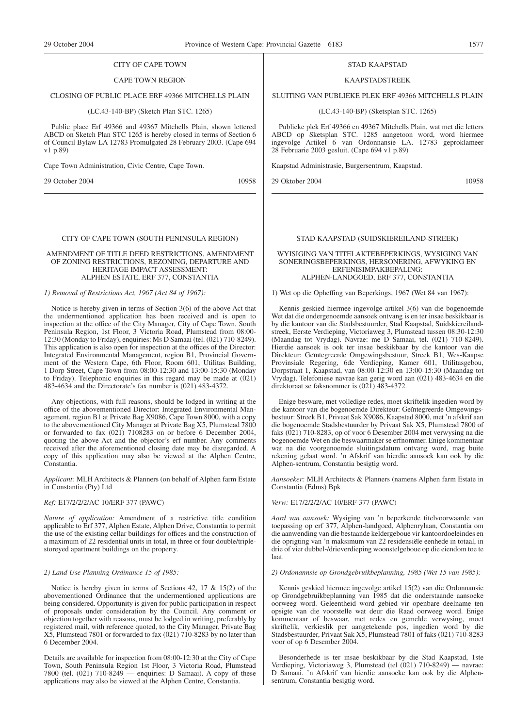#### CITY OF CAPE TOWN

#### CAPE TOWN REGION

#### CLOSING OF PUBLIC PLACE ERF 49366 MITCHELLS PLAIN

#### (LC.43-140-BP) (Sketch Plan STC. 1265)

Public place Erf 49366 and 49367 Mitchells Plain, shown lettered ABCD on Sketch Plan STC 1265 is hereby closed in terms of Section 6 of Council Bylaw LA 12783 Promulgated 28 February 2003. (Cape 694 v1 p.89)

Cape Town Administration, Civic Centre, Cape Town.

29 October 2004 10958

#### CITY OF CAPE TOWN (SOUTH PENINSULA REGION)

#### AMENDMENT OF TITLE DEED RESTRICTIONS, AMENDMENT OF ZONING RESTRICTIONS, REZONING, DEPARTURE AND HERITAGE IMPACT ASSESSMENT: ALPHEN ESTATE, ERF 377, CONSTANTIA

#### *1) Removal of Restrictions Act, 1967 (Act 84 of 1967):*

Notice is hereby given in terms of Section 3(6) of the above Act that the undermentioned application has been received and is open to inspection at the office of the City Manager, City of Cape Town, South Peninsula Region, 1st Floor, 3 Victoria Road, Plumstead from 08:00- 12:30 (Monday to Friday), enquiries: Ms D Samaai (tel. (021) 710-8249). This application is also open for inspection at the offices of the Director: Integrated Environmental Management, region B1, Provincial Government of the Western Cape, 6th Floor, Room 601, Utilitas Building, 1 Dorp Street, Cape Town from 08:00-12:30 and 13:00-15:30 (Monday to Friday). Telephonic enquiries in this regard may be made at (021) 483-4634 and the Directorate's fax number is (021) 483-4372.

Any objections, with full reasons, should be lodged in writing at the office of the abovementioned Director: Integrated Environmental Management, region B1 at Private Bag X9086, Cape Town 8000, with a copy to the abovementioned City Manager at Private Bag X5, Plumstead 7800 or forwarded to fax (021) 7108283 on or before 6 December 2004, quoting the above Act and the objector's erf number. Any comments received after the aforementioned closing date may be disregarded. A copy of this application may also be viewed at the Alphen Centre, Constantia.

*Applicant:* MLH Architects & Planners (on behalf of Alphen farm Estate in Constantia (Pty) Ltd

#### *Ref:* E17/2/2/2/AC 10/ERF 377 (PAWC)

*Nature of application:* Amendment of a restrictive title condition applicable to Erf 377, Alphen Estate, Alphen Drive, Constantia to permit the use of the existing cellar buildings for offices and the construction of a maximum of 22 residential units in total, in three or four double/triplestoreyed apartment buildings on the property.

#### *2) Land Use Planning Ordinance 15 of 1985:*

Notice is hereby given in terms of Sections 42, 17 & 15(2) of the abovementioned Ordinance that the undermentioned applications are being considered. Opportunity is given for public participation in respect of proposals under consideration by the Council. Any comment or objection together with reasons, must be lodged in writing, preferably by registered mail, with reference quoted, to the City Manager, Private Bag X5, Plumstead 7801 or forwarded to fax (021) 710-8283 by no later than 6 December 2004.

Details are available for inspection from 08:00-12:30 at the City of Cape Town, South Peninsula Region 1st Floor, 3 Victoria Road, Plumstead 7800 (tel. (021) 710-8249 — enquiries: D Samaai). A copy of these applications may also be viewed at the Alphen Centre, Constantia.

#### STAD KAAPSTAD

#### KAAPSTADSTREEK

SLUITlNG VAN PUBLIEKE PLEK ERF 49366 MITCHELLS PLAIN

(LC.43-140-BP) (Sketsplan STC. 1265)

Publieke plek Erf 49366 en 49367 Mitchells Plain, wat met die letters ABCD op Sketsplan STC. 1285 aangetoon word, word hiermee ingevolge Artikel 6 van Ordonnansie LA. 12783 geproklameer 28 Februarie 2003 gesluit. (Cape 694 v1 p.89)

Kaapstad Administrasie, Burgersentrum, Kaapstad.

29 Oktober 2004 10958

#### STAD KAAPSTAD (SUIDSKIEREILAND-STREEK)

#### WYISIGING VAN TITELAKTEBEPERKINGS, WYSIGING VAN SONERINGSBEPERKINGS, HERSONERING, AFWYKING EN ERFENISIMPAKBEPALING: ALPHEN-LANDGOED, ERF 377, CONSTANTIA

1) Wet op die Opheffing van Beperkings, 1967 (Wet 84 van 1967):

Kennis geskied hiermee ingevolge artikel 3(6) van die bogenoemde Wet dat die ondergenoemde aansoek ontvang is en ter insae beskikbaar is by die kantoor van die Stadsbestuurder, Stad Kaapstad, Suidskiereilandstreek, Eerste Verdieping, Victoriaweg 3, Plumstead tussen 08:30-12:30 (Maandag tot Vrydag). Navrae: me D Samaai, tel. (021) 710-8249). Hierdie aansoek is ook ter insae beskikbaar by die kantoor van die Direkteur: Geïntegreerde Omgewingsbestuur, Streek B1, Wes-Kaapse Provinsiale Regering, 6de Verdieping, Kamer 601, Utilitasgebou, Dorpstraat 1, Kaapstad, van 08:00-12:30 en 13:00-15:30 (Maandag tot Vrydag). Telefoniese navrae kan gerig word aan (021) 483-4634 en die direktoraat se faksnommer is (021) 483-4372.

Enige besware, met volledige redes, moet skriftelik ingedien word by die kantoor van die bogenoemde Direkteur: Geïntegreerde Omgewingsbestuur: Streek B1, Privaat Sak X9086, Kaapstad 8000, met 'n afskrif aan die bogenoemde Stadsbestuurder by Privaat Sak X5, Plumstead 7800 of faks (021) 710-8283, op of voor 6 Desember 2004 met verwysing na die bogenoemde Wet en die beswaarmaker se erfnommer. Enige kommentaar wat na die voorgenoemde sluitingsdatum ontvang word, mag buite rekening gelaat word. 'n Afskrif van hierdie aansoek kan ook by die Alphen-sentrum, Constantia besigtig word.

*Aansoeker:* MLH Architects & Planners (namens Alphen farm Estate in Constantia (Edms) Bpk

#### *Verw:* E17/2/2/2/AC 10/ERF 377 (PAWC)

*Aard van aansoek:* Wysiging van 'n beperkende titelvoorwaarde van toepassing op erf 377, Alphen-landgoed, Alphenrylaan, Constantia om die aanwending van die bestaande keldergeboue vir kantoordoeleindes en die oprigting van 'n maksimum van 22 residensiële eenhede in totaal, in drie of vier dubbel-/drieverdieping woonstelgeboue op die eiendom toe te laat.

#### *2) Ordonannsie op Grondgebruikbeplanning, 1985 (Wet 15 van 1985):*

Kennis geskied hiermee ingevolge artikel 15(2) van die Ordonnansie op Grondgebruikbeplanning van 1985 dat die onderstaande aansoeke oorweeg word. Geleentheid word gebied vir openbare deelname ten opsigte van die voorstelle wat deur die Raad oorweeg word. Enige kommentaar of beswaar, met redes en gemelde verwysing, moet skriftelik, verkieslik per aangetekende pos, ingedien word by die Stadsbestuurder, Privaat Sak X5, Plumstead 7801 of faks (021) 710-8283 voor of op 6 Desember 2004.

Besonderhede is ter insae beskikbaar by die Stad Kaapstad, 1ste Verdieping, Victoriaweg 3, Plumstead (tel (021) 710-8249) — navrae: D Samaai. 'n Afskrif van hierdie aansoeke kan ook by die Alphensentrum, Constantia besigtig word.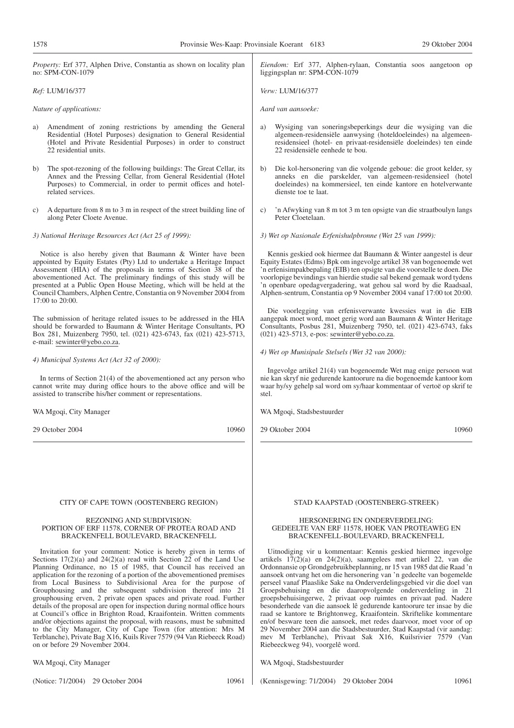| <i>Property:</i> Erf 377, Alphen Drive, Constantia as shown on locality plan<br>no: SPM-CON-1079                                                                                                                                                                                                                                                                                                                                                                                                                                                                                                                                                                                                                                                                                                                                                                          | Eiendom: Erf 377, Alphen-rylaan, Constantia soos aangetoon op<br>liggingsplan nr: SPM-CON-1079                                                                                                                                                                                                                                                                                                                                                                                                                                                                                                                                                                                                                                                                                                                                                                      |
|---------------------------------------------------------------------------------------------------------------------------------------------------------------------------------------------------------------------------------------------------------------------------------------------------------------------------------------------------------------------------------------------------------------------------------------------------------------------------------------------------------------------------------------------------------------------------------------------------------------------------------------------------------------------------------------------------------------------------------------------------------------------------------------------------------------------------------------------------------------------------|---------------------------------------------------------------------------------------------------------------------------------------------------------------------------------------------------------------------------------------------------------------------------------------------------------------------------------------------------------------------------------------------------------------------------------------------------------------------------------------------------------------------------------------------------------------------------------------------------------------------------------------------------------------------------------------------------------------------------------------------------------------------------------------------------------------------------------------------------------------------|
| Ref: LUM/16/377                                                                                                                                                                                                                                                                                                                                                                                                                                                                                                                                                                                                                                                                                                                                                                                                                                                           | Verw: LUM/16/377                                                                                                                                                                                                                                                                                                                                                                                                                                                                                                                                                                                                                                                                                                                                                                                                                                                    |
| Nature of applications:                                                                                                                                                                                                                                                                                                                                                                                                                                                                                                                                                                                                                                                                                                                                                                                                                                                   | Aard van aansoeke:                                                                                                                                                                                                                                                                                                                                                                                                                                                                                                                                                                                                                                                                                                                                                                                                                                                  |
| Amendment of zoning restrictions by amending the General<br>a)<br>Residential (Hotel Purposes) designation to General Residential<br>(Hotel and Private Residential Purposes) in order to construct<br>22 residential units.                                                                                                                                                                                                                                                                                                                                                                                                                                                                                                                                                                                                                                              | Wysiging van soneringsbeperkings deur die wysiging van die<br>a)<br>algemeen-residensiële aanwysing (hoteldoeleindes) na algemeen-<br>residensieel (hotel- en privaat-residensiële doeleindes) ten einde<br>22 residensiële eenhede te bou.                                                                                                                                                                                                                                                                                                                                                                                                                                                                                                                                                                                                                         |
| The spot-rezoning of the following buildings: The Great Cellar, its<br>b)<br>Annex and the Pressing Cellar, from General Residential (Hotel<br>Purposes) to Commercial, in order to permit offices and hotel-<br>related services.                                                                                                                                                                                                                                                                                                                                                                                                                                                                                                                                                                                                                                        | Die kol-hersonering van die volgende geboue: die groot kelder, sy<br>b)<br>anneks en die parskelder, van algemeen-residensieel (hotel<br>doeleindes) na kommersieel, ten einde kantore en hotelverwante<br>dienste toe te laat.                                                                                                                                                                                                                                                                                                                                                                                                                                                                                                                                                                                                                                     |
| A departure from 8 m to 3 m in respect of the street building line of<br>c)<br>along Peter Cloete Avenue.                                                                                                                                                                                                                                                                                                                                                                                                                                                                                                                                                                                                                                                                                                                                                                 | 'n Afwyking van 8 m tot 3 m ten opsigte van die straatboulyn langs<br>C)<br>Peter Cloetelaan.                                                                                                                                                                                                                                                                                                                                                                                                                                                                                                                                                                                                                                                                                                                                                                       |
| 3) National Heritage Resources Act (Act 25 of 1999):                                                                                                                                                                                                                                                                                                                                                                                                                                                                                                                                                                                                                                                                                                                                                                                                                      | 3) Wet op Nasionale Erfenishulpbronne (Wet 25 van 1999):                                                                                                                                                                                                                                                                                                                                                                                                                                                                                                                                                                                                                                                                                                                                                                                                            |
| Notice is also hereby given that Baumann & Winter have been<br>appointed by Equity Estates (Pty) Ltd to undertake a Heritage Impact<br>Assessment (HIA) of the proposals in terms of Section 38 of the<br>abovementioned Act. The preliminary findings of this study will be<br>presented at a Public Open House Meeting, which will be held at the<br>Council Chambers, Alphen Centre, Constantia on 9 November 2004 from<br>17:00 to 20:00.                                                                                                                                                                                                                                                                                                                                                                                                                             | Kennis geskied ook hiermee dat Baumann & Winter aangestel is deur<br>Equity Estates (Edms) Bpk om ingevolge artikel 38 van bogenoemde wet<br>'n erfenisimpakbepaling (EIB) ten opsigte van die voorstelle te doen. Die<br>voorlopige bevindings van hierdie studie sal bekend gemaak word tydens<br>'n openbare opedagvergadering, wat gehou sal word by die Raadsaal,<br>Alphen-sentrum, Constantia op 9 November 2004 vanaf 17:00 tot 20:00.                                                                                                                                                                                                                                                                                                                                                                                                                      |
| The submission of heritage related issues to be addressed in the HIA<br>should be forwarded to Baumann & Winter Heritage Consultants, PO<br>Box 281, Muizenberg 7950, tel. (021) 423-6743, fax (021) 423-5713,<br>e-mail: sewinter@yebo.co.za.                                                                                                                                                                                                                                                                                                                                                                                                                                                                                                                                                                                                                            | Die voorlegging van erfenisverwante kwessies wat in die EIB<br>aangepak moet word, moet gerig word aan Baumann & Winter Heritage<br>Consultants, Posbus 281, Muizenberg 7950, tel. (021) 423-6743, faks<br>(021) 423-5713, e-pos: sewinter@yebo.co.za.                                                                                                                                                                                                                                                                                                                                                                                                                                                                                                                                                                                                              |
| 4) Municipal Systems Act (Act 32 of 2000):                                                                                                                                                                                                                                                                                                                                                                                                                                                                                                                                                                                                                                                                                                                                                                                                                                | 4) Wet op Munisipale Stelsels (Wet 32 van 2000):                                                                                                                                                                                                                                                                                                                                                                                                                                                                                                                                                                                                                                                                                                                                                                                                                    |
| In terms of Section $21(4)$ of the above mentioned act any person who<br>cannot write may during office hours to the above office and will be<br>assisted to transcribe his/her comment or representations.                                                                                                                                                                                                                                                                                                                                                                                                                                                                                                                                                                                                                                                               | Ingevolge artikel 21(4) van bogenoemde Wet mag enige persoon wat<br>nie kan skryf nie gedurende kantoorure na die bogenoemde kantoor kom<br>waar hy/sy gehelp sal word om sy/haar kommentaar of vertoë op skrif te<br>stel.                                                                                                                                                                                                                                                                                                                                                                                                                                                                                                                                                                                                                                         |
| WA Mgoqi, City Manager                                                                                                                                                                                                                                                                                                                                                                                                                                                                                                                                                                                                                                                                                                                                                                                                                                                    | WA Mgoqi, Stadsbestuurder                                                                                                                                                                                                                                                                                                                                                                                                                                                                                                                                                                                                                                                                                                                                                                                                                                           |
| 29 October 2004<br>10960                                                                                                                                                                                                                                                                                                                                                                                                                                                                                                                                                                                                                                                                                                                                                                                                                                                  | 10960<br>29 Oktober 2004                                                                                                                                                                                                                                                                                                                                                                                                                                                                                                                                                                                                                                                                                                                                                                                                                                            |
|                                                                                                                                                                                                                                                                                                                                                                                                                                                                                                                                                                                                                                                                                                                                                                                                                                                                           |                                                                                                                                                                                                                                                                                                                                                                                                                                                                                                                                                                                                                                                                                                                                                                                                                                                                     |
| CITY OF CAPE TOWN (OOSTENBERG REGION)                                                                                                                                                                                                                                                                                                                                                                                                                                                                                                                                                                                                                                                                                                                                                                                                                                     | STAD KAAPSTAD (OOSTENBERG-STREEK)                                                                                                                                                                                                                                                                                                                                                                                                                                                                                                                                                                                                                                                                                                                                                                                                                                   |
| <b>REZONING AND SUBDIVISION:</b><br>PORTION OF ERF 11578, CORNER OF PROTEA ROAD AND<br>BRACKENFELL BOULEVARD, BRACKENFELL                                                                                                                                                                                                                                                                                                                                                                                                                                                                                                                                                                                                                                                                                                                                                 | HERSONERING EN ONDERVERDELING:<br>GEDEELTE VAN ERF 11578, HOEK VAN PROTEAWEG EN<br>BRACKENFELL-BOULEVARD, BRACKENFELL                                                                                                                                                                                                                                                                                                                                                                                                                                                                                                                                                                                                                                                                                                                                               |
| Invitation for your comment: Notice is hereby given in terms of<br>Sections $17(2)(a)$ and $24(2)(a)$ read with Section 22 of the Land Use<br>Planning Ordinance, no 15 of 1985, that Council has received an<br>application for the rezoning of a portion of the abovementioned premises<br>from Local Business to Subdivisional Area for the purpose of<br>Grouphousing and the subsequent subdivision thereof into 21<br>grouphousing erven, 2 private open spaces and private road. Further<br>details of the proposal are open for inspection during normal office hours<br>at Council's office in Brighton Road, Kraaifontein. Written comments<br>and/or objections against the proposal, with reasons, must be submitted<br>to the City Manager, City of Cape Town (for attention: Mrs M<br>Terblanche), Private Bag X16, Kuils River 7579 (94 Van Riebeeck Road) | Uitnodiging vir u kommentaar: Kennis geskied hiermee ingevolge<br>artikels $17(2)(a)$ en $24(2)(a)$ , saamgelees met artikel 22, van die<br>Ordonnansie op Grondgebruikbeplanning, nr 15 van 1985 dat die Raad 'n<br>aansoek ontvang het om die hersonering van 'n gedeelte van bogemelde<br>perseel vanaf Plaaslike Sake na Onderverdelingsgebied vir die doel van<br>Groepsbehuising en die daaropvolgende onderverdeling in 21<br>groepsbehuisingerwe, 2 privaat oop ruimtes en privaat pad. Nadere<br>besonderhede van die aansoek lê gedurende kantoorure ter insae by die<br>raad se kantore te Brightonweg, Kraaifontein. Skriftelike kommentare<br>en/of besware teen die aansoek, met redes daarvoor, moet voor of op<br>29 November 2004 aan die Stadsbestuurder, Stad Kaapstad (vir aandag:<br>mev M Terblanche), Privaat Sak X16, Kuilsrivier 7579 (Van |

WA Mgoqi, City Manager

(Notice: 71/2004) 29 October 2004 10961

on or before 29 November 2004.

(Kennisgewing: 71/2004) 29 Oktober 2004 10961

Riebeeckweg 94), voorgelê word.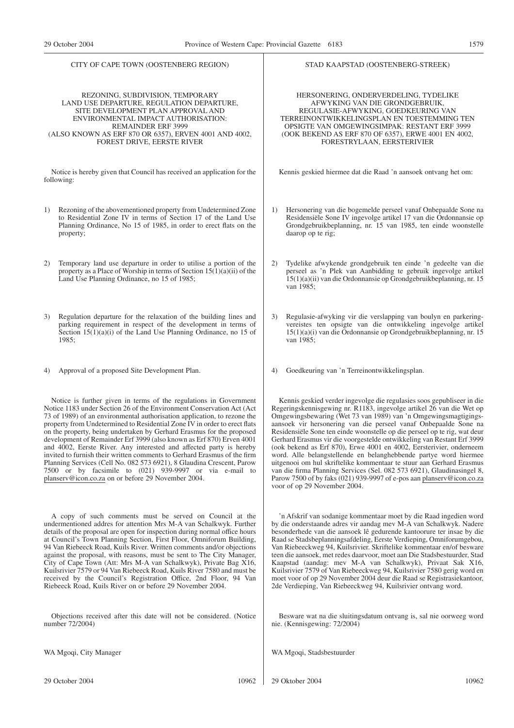| CITY OF CAPE TOWN (OOSTENBERG REGION)                                                                                                                                                                                                                                                                                                                                                                                                                                                                                                                                                                                                                                                                                                                                                              | STAD KAAPSTAD (OOSTENBERG-STREEK)                                                                                                                                                                                                                                                                                                                                                                                                                                                                                                                                                                                                                                                                                                                                                                                                                  |
|----------------------------------------------------------------------------------------------------------------------------------------------------------------------------------------------------------------------------------------------------------------------------------------------------------------------------------------------------------------------------------------------------------------------------------------------------------------------------------------------------------------------------------------------------------------------------------------------------------------------------------------------------------------------------------------------------------------------------------------------------------------------------------------------------|----------------------------------------------------------------------------------------------------------------------------------------------------------------------------------------------------------------------------------------------------------------------------------------------------------------------------------------------------------------------------------------------------------------------------------------------------------------------------------------------------------------------------------------------------------------------------------------------------------------------------------------------------------------------------------------------------------------------------------------------------------------------------------------------------------------------------------------------------|
| REZONING, SUBDIVISION, TEMPORARY                                                                                                                                                                                                                                                                                                                                                                                                                                                                                                                                                                                                                                                                                                                                                                   | HERSONERING, ONDERVERDELING, TYDELIKE                                                                                                                                                                                                                                                                                                                                                                                                                                                                                                                                                                                                                                                                                                                                                                                                              |
| LAND USE DEPARTURE, REGULATION DEPARTURE,                                                                                                                                                                                                                                                                                                                                                                                                                                                                                                                                                                                                                                                                                                                                                          | AFWYKING VAN DIE GRONDGEBRUIK,                                                                                                                                                                                                                                                                                                                                                                                                                                                                                                                                                                                                                                                                                                                                                                                                                     |
| SITE DEVELOPMENT PLAN APPROVAL AND                                                                                                                                                                                                                                                                                                                                                                                                                                                                                                                                                                                                                                                                                                                                                                 | REGULASIE-AFWYKING, GOEDKEURING VAN                                                                                                                                                                                                                                                                                                                                                                                                                                                                                                                                                                                                                                                                                                                                                                                                                |
| ENVIRONMENTAL IMPACT AUTHORISATION:                                                                                                                                                                                                                                                                                                                                                                                                                                                                                                                                                                                                                                                                                                                                                                | TERREINONTWIKKELINGSPLAN EN TOESTEMMING TEN                                                                                                                                                                                                                                                                                                                                                                                                                                                                                                                                                                                                                                                                                                                                                                                                        |
| <b>REMAINDER ERF 3999</b>                                                                                                                                                                                                                                                                                                                                                                                                                                                                                                                                                                                                                                                                                                                                                                          | OPSIGTE VAN OMGEWINGSIMPAK: RESTANT ERF 3999                                                                                                                                                                                                                                                                                                                                                                                                                                                                                                                                                                                                                                                                                                                                                                                                       |
| (ALSO KNOWN AS ERF 870 OR 6357), ERVEN 4001 AND 4002,                                                                                                                                                                                                                                                                                                                                                                                                                                                                                                                                                                                                                                                                                                                                              | (OOK BEKEND AS ERF 870 OF 6357), ERWE 4001 EN 4002,                                                                                                                                                                                                                                                                                                                                                                                                                                                                                                                                                                                                                                                                                                                                                                                                |
| FOREST DRIVE, EERSTE RIVER                                                                                                                                                                                                                                                                                                                                                                                                                                                                                                                                                                                                                                                                                                                                                                         | FORESTRYLAAN, EERSTERIVIER                                                                                                                                                                                                                                                                                                                                                                                                                                                                                                                                                                                                                                                                                                                                                                                                                         |
| Notice is hereby given that Council has received an application for the<br>following:                                                                                                                                                                                                                                                                                                                                                                                                                                                                                                                                                                                                                                                                                                              | Kennis geskied hiermee dat die Raad 'n aansoek ontvang het om:                                                                                                                                                                                                                                                                                                                                                                                                                                                                                                                                                                                                                                                                                                                                                                                     |
| Rezoning of the abovementioned property from Undetermined Zone                                                                                                                                                                                                                                                                                                                                                                                                                                                                                                                                                                                                                                                                                                                                     | Hersonering van die bogemelde perseel vanaf Onbepaalde Sone na                                                                                                                                                                                                                                                                                                                                                                                                                                                                                                                                                                                                                                                                                                                                                                                     |
| 1)                                                                                                                                                                                                                                                                                                                                                                                                                                                                                                                                                                                                                                                                                                                                                                                                 | 1)                                                                                                                                                                                                                                                                                                                                                                                                                                                                                                                                                                                                                                                                                                                                                                                                                                                 |
| to Residential Zone IV in terms of Section 17 of the Land Use                                                                                                                                                                                                                                                                                                                                                                                                                                                                                                                                                                                                                                                                                                                                      | Residensiële Sone IV ingevolge artikel 17 van die Ordonnansie op                                                                                                                                                                                                                                                                                                                                                                                                                                                                                                                                                                                                                                                                                                                                                                                   |
| Planning Ordinance, No 15 of 1985, in order to erect flats on the                                                                                                                                                                                                                                                                                                                                                                                                                                                                                                                                                                                                                                                                                                                                  | Grondgebruikbeplanning, nr. 15 van 1985, ten einde woonstelle                                                                                                                                                                                                                                                                                                                                                                                                                                                                                                                                                                                                                                                                                                                                                                                      |
| property;                                                                                                                                                                                                                                                                                                                                                                                                                                                                                                                                                                                                                                                                                                                                                                                          | daarop op te rig;                                                                                                                                                                                                                                                                                                                                                                                                                                                                                                                                                                                                                                                                                                                                                                                                                                  |
| 2)<br>Temporary land use departure in order to utilise a portion of the<br>property as a Place of Worship in terms of Section $15(1)(a)(ii)$ of the<br>Land Use Planning Ordinance, no 15 of 1985;                                                                                                                                                                                                                                                                                                                                                                                                                                                                                                                                                                                                 | Tydelike afwykende grondgebruik ten einde 'n gedeelte van die<br>2)<br>perseel as 'n Plek van Aanbidding te gebruik ingevolge artikel<br>$15(1)(a)(ii)$ van die Ordonnansie op Grondgebruikbeplanning, nr. 15<br>van 1985;                                                                                                                                                                                                                                                                                                                                                                                                                                                                                                                                                                                                                         |
| Regulation departure for the relaxation of the building lines and                                                                                                                                                                                                                                                                                                                                                                                                                                                                                                                                                                                                                                                                                                                                  | Regulasie-afwyking vir die verslapping van boulyn en parkering-                                                                                                                                                                                                                                                                                                                                                                                                                                                                                                                                                                                                                                                                                                                                                                                    |
| 3)                                                                                                                                                                                                                                                                                                                                                                                                                                                                                                                                                                                                                                                                                                                                                                                                 | 3)                                                                                                                                                                                                                                                                                                                                                                                                                                                                                                                                                                                                                                                                                                                                                                                                                                                 |
| parking requirement in respect of the development in terms of                                                                                                                                                                                                                                                                                                                                                                                                                                                                                                                                                                                                                                                                                                                                      | vereistes ten opsigte van die ontwikkeling ingevolge artikel                                                                                                                                                                                                                                                                                                                                                                                                                                                                                                                                                                                                                                                                                                                                                                                       |
| Section $15(1)(a)(i)$ of the Land Use Planning Ordinance, no 15 of                                                                                                                                                                                                                                                                                                                                                                                                                                                                                                                                                                                                                                                                                                                                 | $15(1)(a)(i)$ van die Ordonnansie op Grondgebruikbeplanning, nr. 15                                                                                                                                                                                                                                                                                                                                                                                                                                                                                                                                                                                                                                                                                                                                                                                |
| 1985;                                                                                                                                                                                                                                                                                                                                                                                                                                                                                                                                                                                                                                                                                                                                                                                              | van 1985;                                                                                                                                                                                                                                                                                                                                                                                                                                                                                                                                                                                                                                                                                                                                                                                                                                          |
| Approval of a proposed Site Development Plan.                                                                                                                                                                                                                                                                                                                                                                                                                                                                                                                                                                                                                                                                                                                                                      | Goedkeuring van 'n Terreinontwikkelingsplan.                                                                                                                                                                                                                                                                                                                                                                                                                                                                                                                                                                                                                                                                                                                                                                                                       |
| 4)                                                                                                                                                                                                                                                                                                                                                                                                                                                                                                                                                                                                                                                                                                                                                                                                 | 4)                                                                                                                                                                                                                                                                                                                                                                                                                                                                                                                                                                                                                                                                                                                                                                                                                                                 |
| Notice is further given in terms of the regulations in Government<br>Notice 1183 under Section 26 of the Environment Conservation Act (Act)<br>73 of 1989) of an environmental authorisation application, to rezone the<br>property from Undetermined to Residential Zone IV in order to erect flats<br>on the property, being undertaken by Gerhard Erasmus for the proposed<br>development of Remainder Erf 3999 (also known as Erf 870) Erven 4001<br>and 4002, Eerste River. Any interested and affected party is hereby<br>invited to furnish their written comments to Gerhard Erasmus of the firm<br>Planning Services (Cell No. 082 573 6921), 8 Glaudina Crescent, Parow<br>7500 or by facsimile to (021) 939-9997 or via e-mail to<br>planserv@icon.co.za on or before 29 November 2004. | Kennis geskied verder ingevolge die regulasies soos gepubliseer in die<br>Regeringskennisgewing nr. R1183, ingevolge artikel 26 van die Wet op<br>Omgewingsbewaring (Wet 73 van 1989) van 'n Omgewingsmagtigings-<br>aansoek vir hersonering van die perseel vanaf Onbepaalde Sone na<br>Residensiële Sone ten einde woonstelle op die perseel op te rig, wat deur<br>Gerhard Erasmus vir die voorgestelde ontwikkeling van Restant Erf 3999<br>(ook bekend as Erf 870), Erwe 4001 en 4002, Eersterivier, onderneem<br>word. Alle belangstellende en belanghebbende partye word hiermee<br>uitgenooi om hul skriftelike kommentaar te stuur aan Gerhard Erasmus<br>van die firma Planning Services (Sel. 082 573 6921), Glaudinasingel 8,<br>Parow 7500 of by faks (021) 939-9997 of e-pos aan planserv@icon.co.za<br>voor of op 29 November 2004. |
| A copy of such comments must be served on Council at the                                                                                                                                                                                                                                                                                                                                                                                                                                                                                                                                                                                                                                                                                                                                           | 'n Afskrif van sodanige kommentaar moet by die Raad ingedien word                                                                                                                                                                                                                                                                                                                                                                                                                                                                                                                                                                                                                                                                                                                                                                                  |
| undermentioned addres for attention Mrs M-A van Schalkwyk. Further                                                                                                                                                                                                                                                                                                                                                                                                                                                                                                                                                                                                                                                                                                                                 | by die onderstaande adres vir aandag mev M-A van Schalkwyk. Nadere                                                                                                                                                                                                                                                                                                                                                                                                                                                                                                                                                                                                                                                                                                                                                                                 |
| details of the proposal are open for inspection during normal office hours                                                                                                                                                                                                                                                                                                                                                                                                                                                                                                                                                                                                                                                                                                                         | besonderhede van die aansoek lê gedurende kantoorure ter insae by die                                                                                                                                                                                                                                                                                                                                                                                                                                                                                                                                                                                                                                                                                                                                                                              |
| at Council's Town Planning Section, First Floor, Omniforum Building,                                                                                                                                                                                                                                                                                                                                                                                                                                                                                                                                                                                                                                                                                                                               | Raad se Stadsbeplanningsafdeling, Eerste Verdieping, Omniforumgebou,                                                                                                                                                                                                                                                                                                                                                                                                                                                                                                                                                                                                                                                                                                                                                                               |
| 94 Van Riebeeck Road, Kuils River. Written comments and/or objections                                                                                                                                                                                                                                                                                                                                                                                                                                                                                                                                                                                                                                                                                                                              | Van Riebeeckweg 94, Kuilsrivier. Skriftelike kommentaar en/of besware                                                                                                                                                                                                                                                                                                                                                                                                                                                                                                                                                                                                                                                                                                                                                                              |
| against the proposal, with reasons, must be sent to The City Manager,                                                                                                                                                                                                                                                                                                                                                                                                                                                                                                                                                                                                                                                                                                                              | teen die aansoek, met redes daarvoor, moet aan Die Stadsbestuurder, Stad                                                                                                                                                                                                                                                                                                                                                                                                                                                                                                                                                                                                                                                                                                                                                                           |
| City of Cape Town (Att: Mrs M-A van Schalkwyk), Private Bag X16,                                                                                                                                                                                                                                                                                                                                                                                                                                                                                                                                                                                                                                                                                                                                   | Kaapstad (aandag: mev M-A van Schalkwyk), Privaat Sak X16,                                                                                                                                                                                                                                                                                                                                                                                                                                                                                                                                                                                                                                                                                                                                                                                         |
| Kuilsrivier 7579 or 94 Van Riebeeck Road, Kuils River 7580 and must be                                                                                                                                                                                                                                                                                                                                                                                                                                                                                                                                                                                                                                                                                                                             | Kuilsrivier 7579 of Van Riebeeckweg 94, Kuilsrivier 7580 gerig word en                                                                                                                                                                                                                                                                                                                                                                                                                                                                                                                                                                                                                                                                                                                                                                             |
| received by the Council's Registration Office, 2nd Floor, 94 Van                                                                                                                                                                                                                                                                                                                                                                                                                                                                                                                                                                                                                                                                                                                                   | moet voor of op 29 November 2004 deur die Raad se Registrasiekantoor,                                                                                                                                                                                                                                                                                                                                                                                                                                                                                                                                                                                                                                                                                                                                                                              |
| Riebeeck Road, Kuils River on or before 29 November 2004.                                                                                                                                                                                                                                                                                                                                                                                                                                                                                                                                                                                                                                                                                                                                          | 2de Verdieping, Van Riebeeckweg 94, Kuilsrivier ontvang word.                                                                                                                                                                                                                                                                                                                                                                                                                                                                                                                                                                                                                                                                                                                                                                                      |
| Objections received after this date will not be considered. (Notice                                                                                                                                                                                                                                                                                                                                                                                                                                                                                                                                                                                                                                                                                                                                | Besware wat na die sluitingsdatum ontvang is, sal nie oorweeg word                                                                                                                                                                                                                                                                                                                                                                                                                                                                                                                                                                                                                                                                                                                                                                                 |
| number 72/2004)                                                                                                                                                                                                                                                                                                                                                                                                                                                                                                                                                                                                                                                                                                                                                                                    | nie. (Kennisgewing: 72/2004)                                                                                                                                                                                                                                                                                                                                                                                                                                                                                                                                                                                                                                                                                                                                                                                                                       |
| WA Mgoqi, City Manager                                                                                                                                                                                                                                                                                                                                                                                                                                                                                                                                                                                                                                                                                                                                                                             | WA Mgoqi, Stadsbestuurder                                                                                                                                                                                                                                                                                                                                                                                                                                                                                                                                                                                                                                                                                                                                                                                                                          |
| 29 October 2004                                                                                                                                                                                                                                                                                                                                                                                                                                                                                                                                                                                                                                                                                                                                                                                    | 29 Oktober 2004                                                                                                                                                                                                                                                                                                                                                                                                                                                                                                                                                                                                                                                                                                                                                                                                                                    |
| 10962                                                                                                                                                                                                                                                                                                                                                                                                                                                                                                                                                                                                                                                                                                                                                                                              | 10962                                                                                                                                                                                                                                                                                                                                                                                                                                                                                                                                                                                                                                                                                                                                                                                                                                              |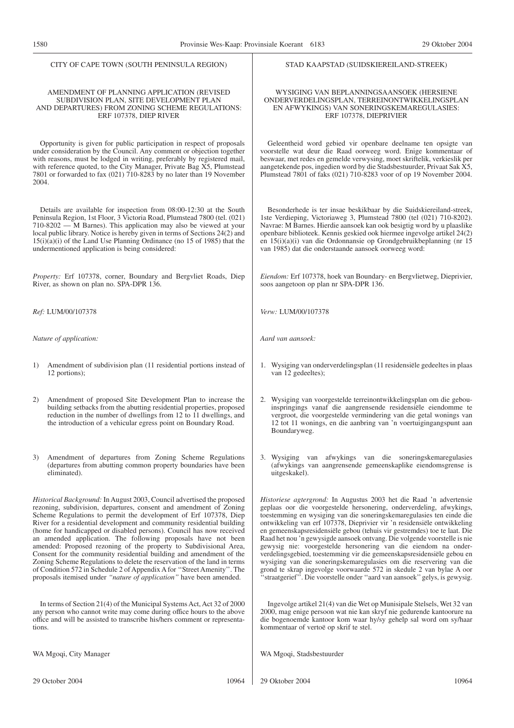|        | CITY OF CAPE TOWN (SOUTH PENINSULA REGION)                                                                                                                                                                                                                                                                                                                                                                                                                                                                                                                                                                                                                                                                                                                                                                          | STAD KAAPSTAD (SUIDSKIEREILAND-STREEK)                                                                                                                                                                                                                                                                                                                                                                                                                                                                                                                                                                                                                                                                                                                                                                                                      |  |  |
|--------|---------------------------------------------------------------------------------------------------------------------------------------------------------------------------------------------------------------------------------------------------------------------------------------------------------------------------------------------------------------------------------------------------------------------------------------------------------------------------------------------------------------------------------------------------------------------------------------------------------------------------------------------------------------------------------------------------------------------------------------------------------------------------------------------------------------------|---------------------------------------------------------------------------------------------------------------------------------------------------------------------------------------------------------------------------------------------------------------------------------------------------------------------------------------------------------------------------------------------------------------------------------------------------------------------------------------------------------------------------------------------------------------------------------------------------------------------------------------------------------------------------------------------------------------------------------------------------------------------------------------------------------------------------------------------|--|--|
|        | AMENDMENT OF PLANNING APPLICATION (REVISED<br>SUBDIVISION PLAN, SITE DEVELOPMENT PLAN<br>AND DEPARTURES) FROM ZONING SCHEME REGULATIONS:<br>ERF 107378, DIEP RIVER                                                                                                                                                                                                                                                                                                                                                                                                                                                                                                                                                                                                                                                  | WYSIGING VAN BEPLANNINGSAANSOEK (HERSIENE<br>ONDERVERDELINGSPLAN, TERREINONTWIKKELINGSPLAN<br>EN AFWYKINGS) VAN SONERINGSKEMAREGULASIES:<br>ERF 107378, DIEPRIVIER                                                                                                                                                                                                                                                                                                                                                                                                                                                                                                                                                                                                                                                                          |  |  |
| 2004.  | Opportunity is given for public participation in respect of proposals<br>under consideration by the Council. Any comment or objection together<br>with reasons, must be lodged in writing, preferably by registered mail,<br>with reference quoted, to the City Manager, Private Bag X5, Plumstead<br>7801 or forwarded to fax (021) 710-8283 by no later than 19 November                                                                                                                                                                                                                                                                                                                                                                                                                                          | Geleentheid word gebied vir openbare deelname ten opsigte van<br>voorstelle wat deur die Raad oorweeg word. Enige kommentaar of<br>beswaar, met redes en gemelde verwysing, moet skriftelik, verkieslik per<br>aangetekende pos, ingedien word by die Stadsbestuurder, Privaat Sak X5,<br>Plumstead 7801 of faks (021) 710-8283 voor of op 19 November 2004.                                                                                                                                                                                                                                                                                                                                                                                                                                                                                |  |  |
|        | Details are available for inspection from 08:00-12:30 at the South<br>Peninsula Region, 1st Floor, 3 Victoria Road, Plumstead 7800 (tel. (021)<br>710-8202 - M Barnes). This application may also be viewed at your<br>local public library. Notice is hereby given in terms of Sections 24(2) and<br>$15(i)(a)(i)$ of the Land Use Planning Ordinance (no 15 of 1985) that the<br>undermentioned application is being considered:                                                                                                                                                                                                                                                                                                                                                                                  | Besonderhede is ter insae beskikbaar by die Suidskiereiland-streek,<br>1ste Verdieping, Victoriaweg 3, Plumstead 7800 (tel (021) 710-8202).<br>Navrae: M Barnes. Hierdie aansoek kan ook besigtig word by u plaaslike<br>openbare biblioteek. Kennis geskied ook hiermee ingevolge artikel 24(2)<br>en 15(i)(a)(i) van die Ordonnansie op Grondgebruikbeplanning (nr 15<br>van 1985) dat die onderstaande aansoek oorweeg word:                                                                                                                                                                                                                                                                                                                                                                                                             |  |  |
|        | Property: Erf 107378, corner, Boundary and Bergvliet Roads, Diep<br>River, as shown on plan no. SPA-DPR 136.                                                                                                                                                                                                                                                                                                                                                                                                                                                                                                                                                                                                                                                                                                        | Eiendom: Erf 107378, hoek van Boundary- en Bergvlietweg, Dieprivier,<br>soos aangetoon op plan nr SPA-DPR 136.                                                                                                                                                                                                                                                                                                                                                                                                                                                                                                                                                                                                                                                                                                                              |  |  |
|        | Ref: LUM/00/107378                                                                                                                                                                                                                                                                                                                                                                                                                                                                                                                                                                                                                                                                                                                                                                                                  | Verw: LUM/00/107378                                                                                                                                                                                                                                                                                                                                                                                                                                                                                                                                                                                                                                                                                                                                                                                                                         |  |  |
|        | Nature of application:                                                                                                                                                                                                                                                                                                                                                                                                                                                                                                                                                                                                                                                                                                                                                                                              | Aard van aansoek:                                                                                                                                                                                                                                                                                                                                                                                                                                                                                                                                                                                                                                                                                                                                                                                                                           |  |  |
| 1)     | Amendment of subdivision plan (11 residential portions instead of<br>12 portions);                                                                                                                                                                                                                                                                                                                                                                                                                                                                                                                                                                                                                                                                                                                                  | 1. Wysiging van onderverdelingsplan (11 residensiële gedeeltes in plaas<br>van 12 gedeeltes);                                                                                                                                                                                                                                                                                                                                                                                                                                                                                                                                                                                                                                                                                                                                               |  |  |
| 2)     | Amendment of proposed Site Development Plan to increase the<br>building setbacks from the abutting residential properties, proposed<br>reduction in the number of dwellings from 12 to 11 dwellings, and<br>the introduction of a vehicular egress point on Boundary Road.                                                                                                                                                                                                                                                                                                                                                                                                                                                                                                                                          | 2. Wysiging van voorgestelde terreinontwikkelingsplan om die gebou-<br>inspringings vanaf die aangrensende residensiële eiendomme te<br>vergroot, die voorgestelde vermindering van die getal wonings van<br>12 tot 11 wonings, en die aanbring van 'n voertuigingangspunt aan<br>Boundaryweg.                                                                                                                                                                                                                                                                                                                                                                                                                                                                                                                                              |  |  |
| 3)     | Amendment of departures from Zoning Scheme Regulations<br>(departures from abutting common property boundaries have been<br>eliminated).                                                                                                                                                                                                                                                                                                                                                                                                                                                                                                                                                                                                                                                                            | 3. Wysiging<br>afwykings van die soneringskemaregulasies<br>van<br>(afwykings van aangrensende gemeenskaplike eiendomsgrense is<br>uitgeskakel).                                                                                                                                                                                                                                                                                                                                                                                                                                                                                                                                                                                                                                                                                            |  |  |
|        | <i>Historical Background:</i> In August 2003, Council advertised the proposed<br>rezoning, subdivision, departures, consent and amendment of Zoning<br>Scheme Regulations to permit the development of Erf 107378, Diep<br>River for a residential development and community residential building<br>(home for handicapped or disabled persons). Council has now received<br>an amended application. The following proposals have not been<br>amended: Proposed rezoning of the property to Subdivisional Area,<br>Consent for the community residential building and amendment of the<br>Zoning Scheme Regulations to delete the reservation of the land in terms<br>of Condition 572 in Schedule 2 of Appendix A for "Street Amenity". The<br>proposals itemised under "nature of application" have been amended. | <i>Historiese agtergrond:</i> In Augustus 2003 het die Raad 'n advertensie<br>geplaas oor die voorgestelde hersonering, onderverdeling, afwykings,<br>toestemming en wysiging van die soneringskemaregulasies ten einde die<br>ontwikkeling van erf 107378, Dieprivier vir 'n residensiële ontwikkeling<br>en gemeenskapsresidensiële gebou (tehuis vir gestremdes) toe te laat. Die<br>Raad het nou 'n gewysigde aansoek ontvang. Die volgende voorstelle is nie<br>gewysig nie: voorgestelde hersonering van die eiendom na onder-<br>verdelingsgebied, toestemming vir die gemeenskapsresidensiële gebou en<br>wysiging van die soneringskemaregulasies om die reservering van die<br>grond te skrap ingevolge voorwaarde 572 in skedule 2 van bylae A oor<br>"straatgerief". Die voorstelle onder "aard van aansoek" gelys, is gewysig. |  |  |
| tions. | In terms of Section 21(4) of the Municipal Systems Act, Act 32 of 2000<br>any person who cannot write may come during office hours to the above<br>office and will be assisted to transcribe his/hers comment or representa-                                                                                                                                                                                                                                                                                                                                                                                                                                                                                                                                                                                        | Ingevolge artikel 21(4) van die Wet op Munisipale Stelsels, Wet 32 van<br>2000, mag enige persoon wat nie kan skryf nie gedurende kantoorure na<br>die bogenoemde kantoor kom waar hy/sy gehelp sal word om sy/haar<br>kommentaar of vertoë op skrif te stel.                                                                                                                                                                                                                                                                                                                                                                                                                                                                                                                                                                               |  |  |
|        | WA Mgoqi, City Manager                                                                                                                                                                                                                                                                                                                                                                                                                                                                                                                                                                                                                                                                                                                                                                                              | WA Mgoqi, Stadsbestuurder                                                                                                                                                                                                                                                                                                                                                                                                                                                                                                                                                                                                                                                                                                                                                                                                                   |  |  |
|        | 29 October 2004<br>10964                                                                                                                                                                                                                                                                                                                                                                                                                                                                                                                                                                                                                                                                                                                                                                                            | 29 Oktober 2004<br>10964                                                                                                                                                                                                                                                                                                                                                                                                                                                                                                                                                                                                                                                                                                                                                                                                                    |  |  |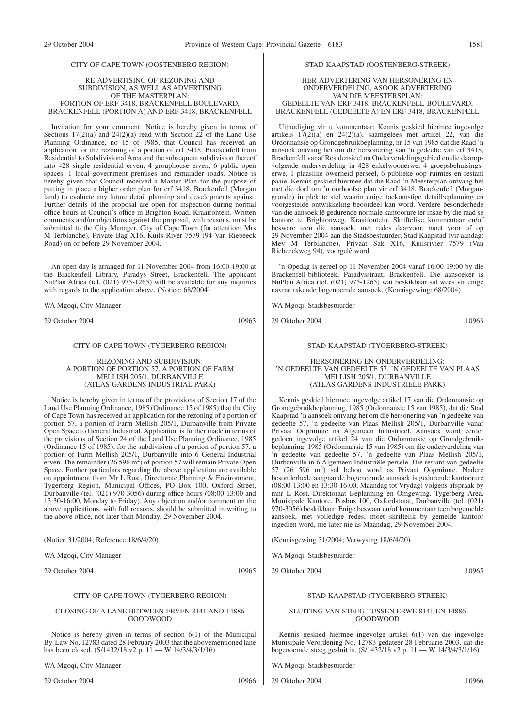#### CITY OF CAPE TOWN (OOSTENBERG REGION)

#### RE-ADVERTISING OF REZONING AND SUBDIVISION, AS WELL AS ADVERTISING OF THE MASTERPLAN: PORTION OF ERF 3418, BRACKENFELL BOULEVARD, BRACKENFELL (PORTION A) AND ERF 3418, BRACKENFELL

Invitation for your comment: Notice is hereby given in terms of Sections 17(2)(a) and 24(2)(a) read with Section 22 of the Land Use Planning Ordinance, no 15 of 1985, that Council has received an application for the rezoning of a portion of erf 3418, Brackenfell from Residential to Subdivisional Area and the subsequent subdivision thereof into 428 single residential erven, 4 grouphouse erven, 6 public open spaces, 1 local government premises and remainder roads. Notice is hereby given that Council received a Master Plan for the purpose of putting in place a higher order plan for erf 3418, Brackenfell (Morgan land) to evaluate any future detail planning and developments against. Further details of the proposal are open for inspection during normal office hours at Council's office in Brighton Road, Kraaifontein. Written comments and/or objections against the proposal, with reasons, must be submitted to the City Manager, City of Cape Town (for attention: Mrs M Terblanche), Private Bag X16, Kuils River 7579 (94 Van Riebeeck Road) on or before 29 November 2004.

An open day is arranged for 11 November 2004 from 16:00-19:00 at the Brackenfell Library, Paradys Street, Brackenfell. The applicant NuPlan Africa (tel. (021) 975-1265) will be available for any inquiries with regards to the application above. (Notice: 68/2004)

WA Mgoqi, City Manager

29 October 2004 10963

#### CITY OF CAPE TOWN (TYGERBERG REGION)

REZONING AND SUBDIVISION: A PORTION OF PORTION 57, A PORTION OF FARM MELLISH 205/1, DURBANVILLE (ATLAS GARDENS INDUSTRIAL PARK)

Notice is hereby given in terms of the provisions of Section 17 of the Land Use Planning Ordinance, 1985 (Ordinance 15 of 1985) that the City of Cape Town has received an application for the rezoning of a portion of portion 57, a portion of Farm Mellish 205/1, Durbanville from Private Open Space to General Industrial. Application is further made in terms of the provisions of Section 24 of the Land Use Planning Ordinance, 1985 (Ordinance 15 of 1985), for the subdivision of a portion of portion 57, a portion of Farm Mellish 205/1, Durbanville into 6 General Industrial erven. The remainder  $(26596 \text{ m}^2)$  of portion 57 will remain Private Open Space. Further particulars regarding the above application are available on appointment from Mr L Rost, Directorate Planning & Environment, Tygerberg Region, Municipal Offices, PO Box 100, Oxford Street, Durbanville (tel. (021) 970-3056) during office hours (08:00-13:00 and 13:30-16:00, Monday to Friday). Any objection and/or comment on the above applications, with full reasons, should be submitted in writing to the above office, not later than Monday, 29 November 2004.

(Notice 31/2004; Reference 18/6/4/20)

WA Mgoqi, City Manager

29 October 2004 10965

# CITY OF CAPE TOWN (TYGERBERG REGION)

#### CLOSING OF A LANE BETWEEN ERVEN 8141 AND 14886 GOODWOOD

Notice is hereby given in terms of section 6(1) of the Municipal By-Law No. 12783 dated 28 February 2003 that the abovementioned lane has been closed. (S/1432/18 v2 p. 11 — W 14/3/4/3/1/16)

WA Mgoqi, City Manager

29 October 2004 10966

#### STAD KAAPSTAD (OOSTENBERG-STREEK)

#### HER-ADVERTERING VAN HERSONERING EN ONDERVERDELING, ASOOK ADVERTERING VAN DIE MEESTERSPLAN: GEDEELTE VAN ERF 3418, BRACKENFELL-BOULEVARD, BRACKENFELL (GEDEELTE A) EN ERF 3418, BRACKENFELL

Uitnodiging vir u kommentaar: Kennis geskied hiermee ingevolge artikels 17(2)(a) en 24(2)(a), saamgelees met artikel 22, van die Ordonnansie op Grondgebruikbeplanning, nr 15 van 1985 dat die Raad 'n aansoek ontvang het om die hersonering van 'n gedeelte van erf 3418, Brackenfell vanaf Residensieel na Onderverdelingsgebied en die daaropvolgende onderverdeling in 428 enkelwoonerwe, 4 groepsbehuisingserwe, 1 plaaslike owerheid perseel, 6 publieke oop ruimtes en restant paaie. Kennis geskied hiermee dat die Raad 'n Meesterplan ontvang het met die doel om 'n oorhoofse plan vir erf 3418, Brackenfell (Morgangronde) in plek te stel waarin enige toekomstige detailbeplanning en voorgestelde ontwikkeling beoordeel kan word. Verdere besonderhede van die aansoek lê gedurende normale kantoorure ter insae by die raad se kantore te Brightonweg, Kraaifontein. Skriftelike kommentaar en/of besware teen die aansoek, met redes daarvoor, moet voor of op 29 November 2004 aan die Stadsbestuurder, Stad Kaapstad (vir aandag: Mev M Terblanche), Privaat Sak X16, Kuilsrivier 7579 (Van Riebeeckweg 94), voorgelê word.

'n Opedag is gereël op 11 November 2004 vanaf 16:00-19:00 by die Brackenfell-biblioteek, Paradysstraat, Brackenfell. Die aansoeker is NuPlan Africa (tel. (021) 975-1265) wat beskikbaar sal wees vir enige navrae rakende bogenoemde aansoek. (Kennisgewing: 68/2004)

WA Mgoqi, Stadsbestuurder

29 Oktober 2004 10963

#### STAD KAAPSTAD (TYGERBERG-STREEK)

#### HERSONERING EN ONDERVERDELING: 'N GEDEELTE VAN GEDEELTE 57, 'N GEDEELTE VAN PLAAS MELLISH 205/1, DURBANVILLE (ATLAS GARDENS INDUSTRIËLE PARK)

Kennis geskied hiermee ingevolge artikel 17 van die Ordonnansie op Grondgebruikbeplanning, 1985 (Ordonnansie 15 van 1985), dat die Stad Kaapstad 'n aansoek ontvang het om die hersonering van 'n gedeelte van gedeelte 57, 'n gedeelte van Plaas Mellish 205/1, Durbanville vanaf Privaat Oopruimte na Algemeen Industrieel. Aansoek word verder gedoen ingevolge artikel 24 van die Ordonnansie op Grondgebruikbeplanning, 1985 (Ordonnansie 15 van 1985) om die onderverdeling van 'n gedeelte van gedeelte 57, 'n gedeelte van Plaas Mellish 205/1, Durbanville in 6 Algemeen Industriële persele. Die restant van gedeelte 57 (26 596 m2 ) sal behou word as Privaat Oopruimte. Nadere besonderhede aangaande bogenoemde aansoek is gedurende kantoorure (08:00-13:00 en 13:30-16:00, Maandag tot Vrydag) volgens afspraak by mnr L Rost, Direktoraat Beplanning en Omgewing, Tygerberg Area, Munisipale Kantore, Posbus 100, Oxfordstraat, Durbanville (tel. (021) 970-3056) beskikbaar. Enige beswaar en/of kommentaar teen bogemelde aansoek, met volledige redes, moet skriftelik by gemelde kantoor ingedien word, nie later nie as Maandag, 29 November 2004.

(Kennisgewing 31/2004; Verwysing 18/6/4/20)

WA Mgoqi, Stadsbestuurder

29 Oktober 2004 10965

# STAD KAAPSTAD (TYGERBERG-STREEK)

#### SLUITING VAN STEEG TUSSEN ERWE 8141 EN 14886 GOODWOOD

Kennis geskied hiermee ingevolge artikel 6(1) van die ingevolge Munisipale Verordening No. 12783 gedateer 28 Februarie 2003, dat die bogenoemde steeg gesluit is. (S/1432/18 v2 p. 11 — W 14/3/4/3/1/16)

WA Mgoqi, Stadsbestuurder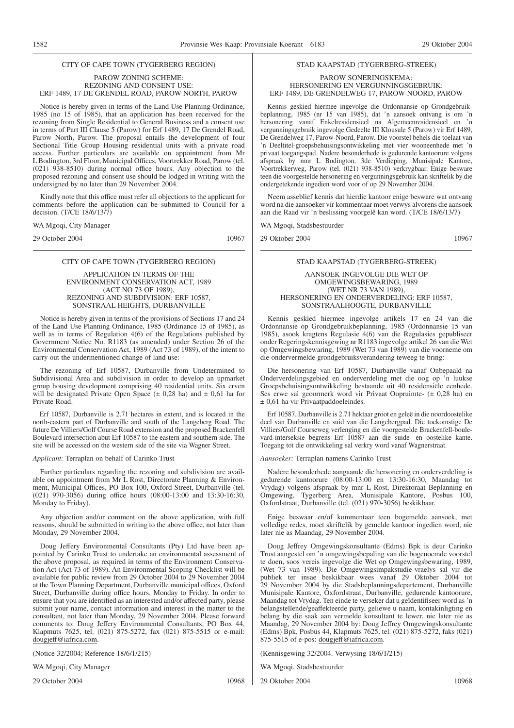#### CITY OF CAPE TOWN (TYGERBERG REGION)

#### PAROW ZONING SCHEME: REZONING AND CONSENT USE: ERF 1489, 17 DE GRENDEL ROAD, PAROW NORTH, PAROW

Notice is hereby given in terms of the Land Use Planning Ordinance, 1985 (no 15 of 1985), that an application has been received for the rezoning from Single Residential to General Business and a consent use in terms of Part III Clause 5 (Parow) for Erf 1489, 17 De Grendel Road, Parow North, Parow. The proposal entails the development of four Sectional Title Group Housing residential units with a private road access. Further particulars are available on appointment from Mr L Bodington, 3rd Floor, Municipal Offices, Voortrekker Road, Parow (tel. (021) 938-8510) during normal office hours. Any objection to the proposed rezoning and consent use should be lodged in writing with the undersigned by no later than 29 November 2004.

Kindly note that this office must refer all objections to the applicant for comments before the application can be submitted to Council for a decision. (T/CE 18/6/13/7)

WA Mgoqi, City Manager

29 October 2004 10967

#### CITY OF CAPE TOWN (TYGERBERG REGION)

#### APPLICATION IN TERMS OF THE ENVIRONMENT CONSERVATION ACT, 1989 (ACT NO 73 OF 1989), REZONING AND SUBDIVISION: ERF 10587, SONSTRAAL HEIGHTS, DURBANVILLE

Notice is hereby given in terms of the provisions of Sections 17 and 24 of the Land Use Planning Ordinance, 1985 (Ordinance 15 of 1985), as well as in terms of Regulation 4(6) of the Regulations published by Government Notice No. R1183 (as amended) under Section 26 of the Environmental Conservation Act, 1989 (Act 73 of 1989), of the intent to carry out the undermentioned change of land use:

The rezoning of Erf 10587, Durbanville from Undetermined to Subdivisional Area and subdivision in order to develop an upmarket group housing development comprising 40 residential units. Six erven will be designated Private Open Space  $(\pm 0.28 \text{ ha})$  and  $\pm 0.61$  ha for Private Road.

Erf 10587, Durbanville is 2.71 hectares in extent, and is located in the north-eastern part of Durbanville and south of the Langeberg Road. The future De Villiers/Golf Course Road extension and the proposed Brackenfell Boulevard intersection abut Erf 10587 to the eastern and southern side. The site will be accessed on the western side of the site via Wagner Street.

#### *Applicant:* Terraplan on behalf of Carinko Trust

Further particulars regarding the rezoning and subdivision are available on appointment from Mr L Rost, Directorate Planning & Environment, Municipal Offices, PO Box 100, Oxford Street, Durbanville (tel. (021) 970-3056) during office hours (08:00-13:00 and 13:30-16:30, Monday to Friday).

Any objection and/or comment on the above application, with full reasons, should be submitted in writing to the above office, not later than Monday, 29 November 2004.

Doug Jeffery Environmental Consultants (Pty) Ltd have been appointed by Carinko Trust to undertake an environmental assessment of the above proposal, as required in terms of the Environment Conservation Act (Act 73 of 1989). An Environmental Scoping Checklist will be available for public review from 29 October 2004 to 29 November 2004 at the Town Planning Department, Durbanville municipal offices, Oxford Street, Durbanville during office hours, Monday to Friday. In order to ensure that you are identified as an interested and/or affected party, please submit your name, contact information and interest in the matter to the consultant, not later than Monday, 29 November 2004. Please forward comments to: Doug Jeffery Environmental Consultants, PO Box 44, Klapmuts 7625, tel. (021) 875-5272, fax (021) 875-5515 or e-mail: dougjeff@iafrica.com.

(Notice 32/2004; Reference 18/6/1/215)

WA Mgoqi, City Manager

29 October 2004 10968

# STAD KAAPSTAD (TYGERBERG-STREEK)

#### PAROW SONERINGSKEMA: HERSONERING EN VERGUNNINGSGEBRUIK: ERF 1489, DE GRENDELWEG 17, PAROW-NOORD, PAROW

Kennis geskied hiermee ingevolge die Ordonnansie op Grondgebruikbeplanning, 1985 (nr 15 van 1985), dat 'n aansoek ontvang is om 'n hersonering vanaf Enkelresidensieel na Algemeenresidensieel en 'n vergunningsgebruik ingevolge Gedeelte III Klousule 5 (Parow) vir Erf 1489, De Grendelweg 17, Parow-Noord, Parow. Die voorstel behels die toelaat van 'n Deeltitel-groepsbehuisingsontwikkeling met vier wooneenhede met 'n privaat toegangspad. Nadere besonderhede is gedurende kantoorure volgens afspraak by mnr L Bodington, 3de Verdieping, Munisipale Kantore, Voortrekkerweg, Parow (tel. (021) 938-8510) verkrygbaar. Enige besware teen die voorgestelde hersonering en vergunningsgebruik kan skriftelik by die ondergetekende ingedien word voor of op 29 November 2004.

Neem asseblief kennis dat hierdie kantoor enige besware wat ontvang word na die aansoeker vir kommentaar moet verwys alvorens die aansoek aan die Raad vir 'n beslissing voorgelê kan word. (T/CE 18/6/13/7)

WA Mgoqi, Stadsbestuurder

29 Oktober 2004 10967

#### STAD KAAPSTAD (TYGERBERG-STREEK)

#### AANSOEK INGEVOLGE DIE WET OP OMGEWINGSBEWARING, 1989 (WET NR 73 VAN 1989), HERSONERING EN ONDERVERDELING: ERF 10587, SONSTRAALHOOGTE, DURBANVILLE

Kennis geskied hiermee ingevolge artikels 17 en 24 van die Ordonnansie op Grondgebruikbeplanning, 1985 (Ordonnansie 15 van 1985), asook kragtens Regulasie 4(6) van die Regulasies gepubliseer onder Regeringskennisgewing nr R1183 ingevolge artikel 26 van die Wet op Omgewingsbewaring, 1989 (Wet 73 van 1989) van die voorneme om die ondervermelde grondgebruiksverandering teweeg te bring:

Die hersonering van Erf 10587, Durbanville vanaf Onbepaald na Onderverdelingsgebied en onderverdeling met die oog op 'n luukse Groepsbehuisingsontwikkeling bestaande uit 40 residensiële eenhede. Ses erwe sal geoormerk word vir Privaat Oopruimte- (± 0,28 ha) en ± 0,61 ha vir Privaatpaddoeleindes.

Erf 10587, Durbanville is 2.71 hektaar groot en geleë in die noordoostelike deel van Durbanville en suid van die Langebergpad. Die toekomstige De Villiers/Golf Courseweg verlenging en die voorgestelde Brackenfell-boulevard-interseksie begrens Erf 10587 aan die suide- en oostelike kante. Toegang tot die ontwikkeling sal verkry word vanaf Wagnerstraat.

#### *Aansoeker:* Terraplan namens Carinko Trust

Nadere besonderhede aangaande die hersonering en onderverdeling is gedurende kantoorure (08:00-13:00 en 13:30-16:30, Maandag tot Vrydag) volgens afspraak by mnr L Rost, Direktoraat Beplanning en Omgewing, Tygerberg Area, Munisipale Kantore, Posbus 100, Oxfordstraat, Durbanville (tel. (021) 970-3056) beskikbaar.

Enige beswaar en/of kommentaar teen bogemelde aansoek, met volledige redes, moet skriftelik by gemelde kantoor ingedien word, nie later nie as Maandag, 29 November 2004.

Doug Jeffrey Omgewingskonsultante (Edms) Bpk is deur Carinko Trust aangestel om 'n omgewingsbepaling van die bogenoemde voorstel te doen, soos vereis ingevolge die Wet op Omgewingsbewaring, 1989, (Wet 73 van 1989). Die Omgewingsimpakstudie-vraelys sal vir die publiek ter insae beskikbaar wees vanaf 29 Oktober 2004 tot 29 November 2004 by die Stadsbeplanningsdepartement, Durbanville Munisipale Kantore, Oxfordstraat, Durbanville, gedurende kantoorure, Maandag tot Vrydag. Ten einde te verseker dat u geïdentifiseer word as 'n belangstellende/geaffekteerde party, geliewe u naam, kontakinligting en belang by die saak aan vermelde konsultant te lewer, nie later nie as Maandag, 29 November 2004 by: Doug Jeffrey Omgewingskonsultante (Edms) Bpk, Posbus 44, Klapmuts 7625, tel. (021) 875-5272, faks (021) 875-5515 of e-pos: dougjeff@iafrica.com.

(Kennisgewing 32/2004. Verwysing 18/6/1/215)

WA Mgoqi, Stadsbestuurder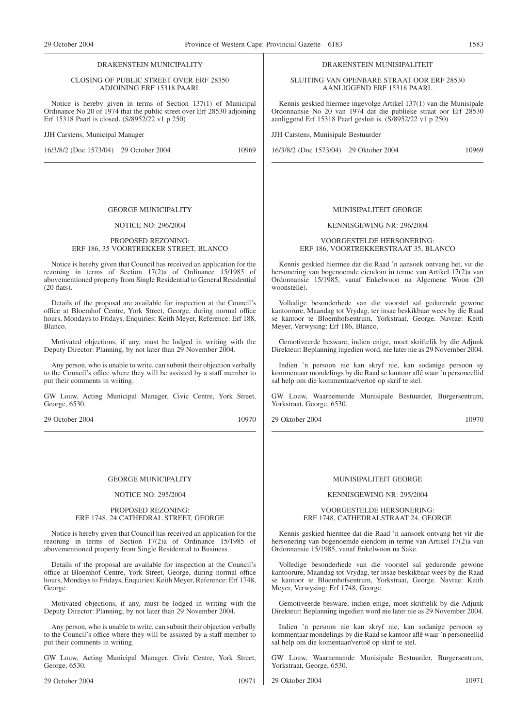#### DRAKENSTEIN MUNICIPALITY

#### CLOSING OF PUBLIC STREET OVER ERF 28350 ADJOINING ERF 15318 PAARL

Notice is hereby given in terms of Section 137(1) of Municipal Ordinance No 20 of 1974 that the public street over Erf 28530 adjoining Erf 15318 Paarl is closed. (S/8952/22 v1 p 250)

JJH Carstens, Municipal Manager

16/3/8/2 (Doc 1573/04) 29 October 2004 10969

#### GEORGE MUNICIPALITY

#### NOTICE NO: 296/2004

#### PROPOSED REZONING: ERF 186, 35 VOORTREKKER STREET, BLANCO

Notice is hereby given that Council has received an application for the rezoning in terms of Section 17(2)a of Ordinance 15/1985 of abovementioned property from Single Residential to General Residential (20 flats).

Details of the proposal are available for inspection at the Council's office at Bloemhof Centre, York Street, George, during normal office hours, Mondays to Fridays. Enquiries: Keith Meyer, Reference: Erf 188, Blanco.

Motivated objections, if any, must be lodged in writing with the Deputy Director: Planning, by not later than 29 November 2004.

Any person, who is unable to write, can submit their objection verbally to the Council's office where they will be assisted by a staff member to put their comments in writing.

GW Louw, Acting Municipal Manager, Civic Centre, York Street, George, 6530.

29 October 2004 10970

#### GEORGE MUNICIPALITY

#### NOTICE NO: 295/2004

#### PROPOSED REZONING: ERF 1748, 24 CATHEDRAL STREET, GEORGE

Notice is hereby given that Council has received an application for the rezoning in terms of Section 17(2)a of Ordinance 15/1985 of abovementioned property from Single Residential to Business.

Details of the proposal are available for inspection at the Council's office at Bloemhof Centre, York Street, George, during normal office hours, Mondays to Fridays, Enquiries: Keith Meyer, Reference: Erf 1748, George.

Motivated objections, if any, must be lodged in writing with the Deputy Director: Planning, by not later than 29 November 2004.

Any person, who is unable to write, can submit their objection verbally to the Council's office where they will be assisted by a staff member to put their comments in writing.

GW Louw, Acting Municipal Manager, Civic Centre, York Street, George, 6530.

29 October 2004 10971

#### DRAKENSTEIN MUNISIPALITEIT

SLUITING VAN OPENBARE STRAAT OOR ERF 28530 AANLIGGEND ERF 15318 PAARL

Kennis geskied hiermee ingevolge Artikel 137(1) van die Munisipale Ordonnansie No 20 van 1974 dat die publieke straat oor Erf 28530 aanliggend Erf 15318 Paarl gesluit is. (S/8952/22 v1 p 250)

JJH Carstens, Munisipale Bestuurder

16/3/8/2 (Doc 1573/04) 29 Oktober 2004 10969

#### MUNISIPALITEIT GEORGE

#### KENNISGEWING NR: 296/2004

#### VOORGESTELDE HERSONERING: ERF 186, VOORTREKKERSTRAAT 35, BLANCO

Kennis geskied hiermee dat die Raad 'n aansoek ontvang het, vir die hersonering van bogenoemde eiendom in terme van Artikel 17(2)a van Ordonnansie 15/1985, vanaf Enkelwoon na Algemene Woon (20 woonstelle).

Volledige besonderhede van die voorstel sal gedurende gewone kantoorure, Maandag tot Vrydag, ter insae beskikbaar wees by die Raad se kantoor te Bloemhofsentrum, Yorkstraat, George. Navrae: Keith Meyer, Verwysing: Erf 186, Blanco.

Gemotiveerde besware, indien enige, moet skriftelik by die Adjunk Direkteur: Beplanning ingedien word, nie later nie as 29 November 2004.

Indien 'n persoon nie kan skryf nie, kan sodanige persoon sy kommentaar mondelings by die Raad se kantoor aflê waar 'n personeellid sal help om die kommentaar/vertoë op skrif te stel.

GW Louw, Waarnemende Munisipale Bestuurder, Burgersentrum, Yorkstraat, George, 6530.

29 Oktober 2004 10970

# MUNISIPALITEIT GEORGE

#### KENNISGEWING NR: 295/2004

#### VOORGESTELDE HERSONERING: ERF 1748, CATHEDRALSTRAAT 24, GEORGE

Kennis geskied hiermee dat die Raad 'n aansoek ontvang het vir die hersonering van bogenoemde eiendom in terme van Artikel 17(2)a van Ordonnansie 15/1985, vanaf Enkelwoon na Sake.

Volledige besonderhede van die voorstel sal gedurende gewone kantoorure, Maandag tot Vrydag, ter insae beskikbaar wees by die Raad se kantoor te Bloemhofsentrum, Yorkstraat, George. Navrae: Keith Meyer, Verwysing: Erf 1748, George.

Gemotiveerde besware, indien enige, moet skriftelik by die Adjunk Direkteur: Beplanning ingedien word nie later nie as 29 November 2004.

Indien 'n persoon nie kan skryf nie, kan sodanige persoon sy kommentaar mondelings by die Raad se kantoor aflê waar 'n personeellid sal help om die komentaar/vertoë op skrif te stel.

GW Louw, Waarnemende Munisipale Bestuurder, Burgersentrum, Yorkstraat, George, 6530.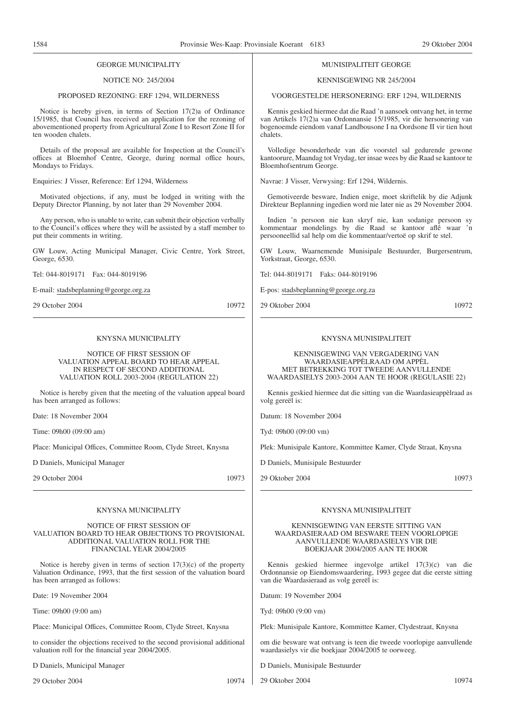#### GEORGE MUNICIPALITY

#### NOTICE NO: 245/2004

#### PROPOSED REZONING: ERF 1294, WILDERNESS

Notice is hereby given, in terms of Section 17(2)a of Ordinance 15/1985, that Council has received an application for the rezoning of abovementioned property from Agricultural Zone I to Resort Zone II for ten wooden chalets.

Details of the proposal are available for Inspection at the Council's offices at Bloemhof Centre, George, during normal office hours, Mondays to Fridays.

Enquiries: J Visser, Reference: Erf 1294, Wilderness

Motivated objections, if any, must be lodged in writing with the Deputy Director Planning, by not later than 29 November 2004.

Any person, who is unable to write, can submit their objection verbally to the Council's offices where they will be assisted by a staff member to put their comments in writing.

GW Louw, Acting Municipal Manager, Civic Centre, York Street, George, 6530.

Tel: 044-8019171 Fax: 044-8019196

E-mail: stadsbeplanning@george.org.za

29 October 2004 10972

# KNYSNA MUNICIPALITY

NOTICE OF FIRST SESSION OF VALUATION APPEAL BOARD TO HEAR APPEAL IN RESPECT OF SECOND ADDITIONAL VALUATION ROLL 2003-2004 (REGULATION 22)

Notice is hereby given that the meeting of the valuation appeal board has been arranged as follows:

Date: 18 November 2004

Time: 09h00 (09:00 am)

Place: Municipal Offices, Committee Room, Clyde Street, Knysna

D Daniels, Municipal Manager

29 October 2004 10973

#### KNYSNA MUNICIPALITY

NOTICE OF FIRST SESSION OF VALUATION BOARD TO HEAR OBJECTIONS TO PROVISIONAL ADDITIONAL VALUATION ROLL FOR THE FINANCIAL YEAR 2004/2005

Notice is hereby given in terms of section  $17(3)(c)$  of the property Valuation Ordinance, 1993, that the first session of the valuation board has been arranged as follows:

Date: 19 November 2004

Time: 09h00 (9:00 am)

Place: Municipal Offices, Committee Room, Clyde Street, Knysna

to consider the objections received to the second provisional additional valuation roll for the financial year 2004/2005.

D Daniels, Municipal Manager

29 October 2004 10974

#### MUNISIPALITEIT GEORGE

#### KENNISGEWING NR 245/2004

VOORGESTELDE HERSONERING: ERF 1294, WILDERNIS

Kennis geskied hiermee dat die Raad 'n aansoek ontvang het, in terme van Artikels 17(2)a van Ordonnansie 15/1985, vir die hersonering van bogenoemde eiendom vanaf Landbousone I na Oordsone II vir tien hout chalets.

Volledige besonderhede van die voorstel sal gedurende gewone kantoorure, Maandag tot Vrydag, ter insae wees by die Raad se kantoor te Bloemhofsentrum George.

Navrae: J Visser, Verwysing: Erf 1294, Wildernis.

Gemotiveerde besware, Indien enige, moet skriftelik by die Adjunk Direkteur Beplanning ingedien word nie later nie as 29 November 2004.

Indien 'n persoon nie kan skryf nie, kan sodanige persoon sy kommentaar mondelings by die Raad se kantoor aflê waar 'n persooneellid sal help om die kommentaar/vertoë op skrif te stel.

GW Louw, Waarnemende Munisipale Bestuurder, Burgersentrum, Yorkstraat, George, 6530.

Tel: 044-8019171 Faks: 044-8019196

E-pos: stadsbeplanning@george.org.za

29 Oktober 2004 10972

# KNYSNA MUNISIPALITEIT

#### KENNISGEWING VAN VERGADERING VAN WAARDASIEAPPÈLRAAD OM APPÈL MET BETREKKING TOT TWEEDE AANVULLENDE WAARDASIELYS 2003-2004 AAN TE HOOR (REGULASIE 22)

Kennis geskied hiermee dat die sitting van die Waardasieappèlraad as volg gereël is:

Datum: 18 November 2004

Tyd: 09h00 (09:00 vm)

Plek: Munisipale Kantore, Kommittee Kamer, Clyde Straat, Knysna

D Daniels, Munisipale Bestuurder

29 Oktober 2004 10973

#### KNYSNA MUNISIPALITEIT

#### KENNISGEWING VAN EERSTE SITTING VAN WAARDASIERAAD OM BESWARE TEEN VOORLOPIGE AANVULLENDE WAARDASIELYS VIR DIE BOEKJAAR 2004/2005 AAN TE HOOR

Kennis geskied hiermee ingevolge artikel 17(3)(c) van die Ordonnansie op Eiendomswaardering, 1993 gegee dat die eerste sitting van die Waardasieraad as volg gereël is:

Datum: 19 November 2004

Tyd: 09h00 (9:00 vm)

Plek: Munisipale Kantore, Kommittee Kamer, Clydestraat, Knysna

om die besware wat ontvang is teen die tweede voorlopige aanvullende waardasielys vir die boekjaar 2004/2005 te oorweeg.

D Daniels, Munisipale Bestuurder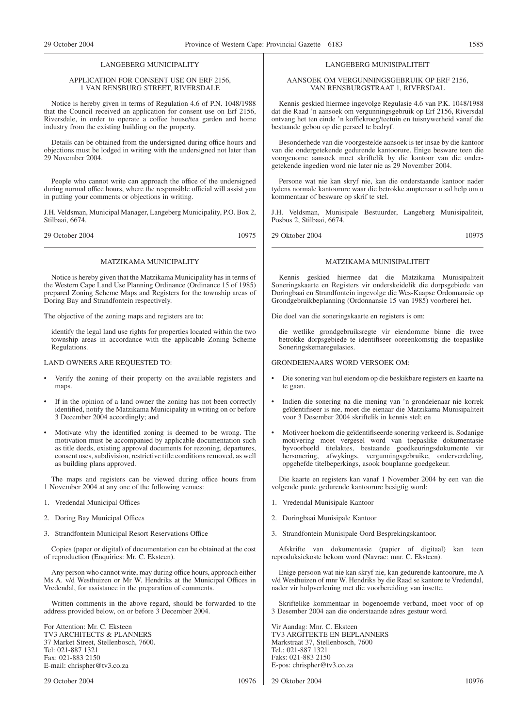#### LANGEBERG MUNICIPALITY

#### APPLICATION FOR CONSENT USE ON ERF 2156, 1 VAN RENSBURG STREET, RIVERSDALE

Notice is hereby given in terms of Regulation 4.6 of P.N. 1048/1988 that the Council received an application for consent use on Erf 2156, Riversdale, in order to operate a coffee house/tea garden and home industry from the existing building on the property.

Details can be obtained from the undersigned during office hours and objections must be lodged in writing with the undersigned not later than 29 November 2004.

People who cannot write can approach the office of the undersigned during normal office hours, where the responsible official will assist you in putting your comments or objections in writing.

J.H. Veldsman, Municipal Manager, Langeberg Municipality, P.O. Box 2, Stilbaai, 6674.

29 October 2004 10975

#### MATZIKAMA MUNICIPALITY

Notice is hereby given that the Matzikama Municipality has in terms of the Western Cape Land Use Planning Ordinance (Ordinance 15 of 1985) prepared Zoning Scheme Maps and Registers for the township areas of Doring Bay and Strandfontein respectively.

The objective of the zoning maps and registers are to:

identify the legal land use rights for properties located within the two township areas in accordance with the applicable Zoning Scheme Regulations.

LAND OWNERS ARE REQUESTED TO:

- Verify the zoning of their property on the available registers and maps.
- If in the opinion of a land owner the zoning has not been correctly identified, notify the Matzikama Municipality in writing on or before 3 December 2004 accordingly; and
- Motivate why the identified zoning is deemed to be wrong. The motivation must be accompanied by applicable documentation such as title deeds, existing approval documents for rezoning, departures, consent uses, subdivision, restrictive title conditions removed, as well as building plans approved.

The maps and registers can be viewed during office hours from 1 November 2004 at any one of the following venues:

- 1. Vredendal Municipal Offices
- 2. Doring Bay Municipal Offices
- 3. Strandfontein Municipal Resort Reservations Office

Copies (paper or digital) of documentation can be obtained at the cost of reproduction (Enquiries: Mr. C. Eksteen).

Any person who cannot write, may during office hours, approach either Ms A. v/d Westhuizen or Mr W. Hendriks at the Municipal Offices in Vredendal, for assistance in the preparation of comments.

Written comments in the above regard, should be forwarded to the address provided below, on or before 3 December 2004.

For Attention: Mr. C. Eksteen TV3 ARCHITECTS & PLANNERS 37 Market Street, Stellenbosch, 7600. Tel: 021-887 1321 Fax: 021-883 2150 E-mail: chrispher@tv3.co.za

29 October 2004 10976

#### LANGEBERG MUNISIPALITEIT

AANSOEK OM VERGUNNINGSGEBRUIK OP ERF 2156, VAN RENSBURGSTRAAT 1, RIVERSDAL

Kennis geskied hiermee ingevolge Regulasie 4.6 van P.K. 1048/1988 dat die Raad 'n aansoek om vergunningsgebruik op Erf 2156, Riversdal ontvang het ten einde 'n koffiekroeg/teetuin en tuisnywerheid vanaf die bestaande gebou op die perseel te bedryf.

Besonderhede van die voorgestelde aansoek is ter insae by die kantoor van die ondergetekende gedurende kantoorure. Enige besware teen die voorgenome aansoek moet skriftelik by die kantoor van die ondergetekende ingedien word nie later nie as 29 November 2004.

Persone wat nie kan skryf nie, kan die onderstaande kantoor nader tydens normale kantoorure waar die betrokke amptenaar u sal help om u kommentaar of besware op skrif te stel.

J.H. Veldsman, Munisipale Bestuurder, Langeberg Munisipaliteit, Posbus 2, Stilbaai, 6674.

29 Oktober 2004 10975

# MATZIKAMA MUNISIPALITEIT

Kennis geskied hiermee dat die Matzikama Munisipaliteit Soneringskaarte en Registers vir onderskeidelik die dorpsgebiede van Doringbaai en Strandfontein ingevolge die Wes-Kaapse Ordonnansie op Grondgebruikbeplanning (Ordonnansie 15 van 1985) voorberei het.

Die doel van die soneringskaarte en registers is om:

die wetlike grondgebruiksregte vir eiendomme binne die twee betrokke dorpsgebiede te identifiseer ooreenkomstig die toepaslike Soneringskemaregulasies.

GRONDEIENAARS WORD VERSOEK OM:

- Die sonering van hul eiendom op die beskikbare registers en kaarte na te gaan.
- Indien die sonering na die mening van 'n grondeienaar nie korrek geïdentifiseer is nie, moet die eienaar die Matzikama Munisipaliteit voor 3 Desember 2004 skriftelik in kennis stel; en
- Motiveer hoekom die geïdentifiseerde sonering verkeerd is. Sodanige motivering moet vergesel word van toepaslike dokumentasie byvoorbeeld titelaktes, bestaande goedkeuringsdokumente vir hersonering, afwykings, vergunningsgebruike, onderverdeling, opgehefde titelbeperkings, asook bouplanne goedgekeur.

Die kaarte en registers kan vanaf 1 November 2004 by een van die volgende punte gedurende kantoorure besigtig word:

- 1. Vredendal Munisipale Kantoor
- 2. Doringbaai Munisipale Kantoor
- 3. Strandfontein Munisipale Oord Besprekingskantoor.

Afskrifte van dokumentasie (papier of digitaal) kan teen reproduksiekoste bekom word (Navrae: mnr. C. Eksteen).

Enige persoon wat nie kan skryf nie, kan gedurende kantoorure, me A v/d Westhuizen of mnr W. Hendriks by die Raad se kantore te Vredendal, nader vir hulpverlening met die voorbereiding van insette.

Skriftelike kommentaar in bogenoemde verband, moet voor of op 3 Desember 2004 aan die onderstaande adres gestuur word.

Vir Aandag: Mnr. C. Eksteen TV3 ARGITEKTE EN BEPLANNERS Markstraat 37, Stellenbosch, 7600 Tel.: 021-887 1321 Faks: 021-883 2150 E-pos: chrispher@tv3.co.za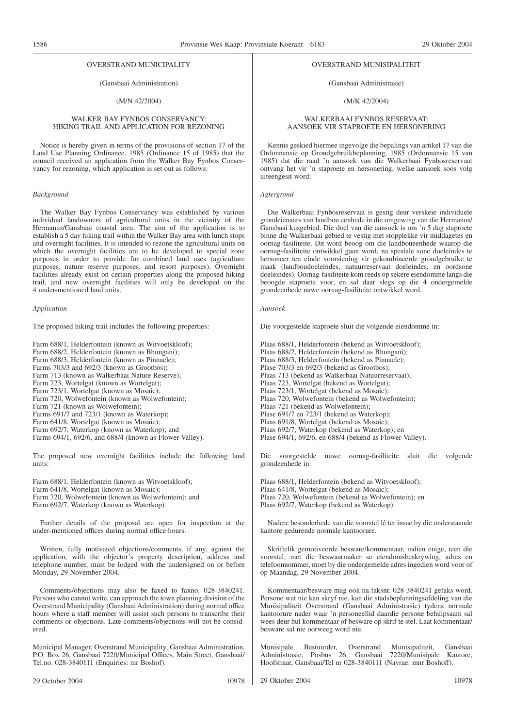#### (Gansbaai Administration)

#### (M/N 42/2004)

## WALKER BAY FYNBOS CONSERVANCY: HIKING TRAIL AND APPLICATION FOR REZONING

Notice is hereby given in terms of the provisions of section 17 of the Land Use Planning Ordinance, 1985 (Ordinance 15 of 1985) that the council received an application from the Walker Bay Fynbos Conservancy for rezoning, which application is set out as follows:

#### *Background*

The Walker Bay Fynbos Conservancy was established by various individual landowners of agricultural units in the vicinity of the Hermanus/Gansbaai coastal area. The aim of the application is to establish a 5 day hiking trail within the Walker Bay area with lunch stops and overnight facilities. It is intended to rezone the agricultural units on which the overnight facilities are to be developed to special zone purposes in order to provide for combined land uses (agriculture purposes, nature reserve purposes, and resort purposes). Overnight facilities already exist on certain properties along the proposed hiking trail, and new overnight facilities will only be developed on the 4 under-mentioned land units.

#### *Application*

The proposed hiking trail includes the following properties:

Farm 688/1, Helderfontein (known as Witvoetskloof); Farm 688/2, Helderfontein (known as Bhungani); Farm 688/3, Helderfontein (known as Pinnacle); Farms 703/3 and 692/3 (known as Grootbos): Farm 713 (known as Walkerbaai Nature Reserve); Farm 723, Wortelgat (known as Wortelgat); Farm 723/1, Wortelgat (known as Mosaic); Farm 720, Wolwefontein (known as Wolwefontein); Farm 721 (known as Wolwefontein); Farms 691/7 and 723/1 (known as Waterkop); Farm 641/8, Wortelgat (known as Mosaic); Farm 692/7, Waterkop (known as Waterkop); and Farms 694/1, 692/6, and 688/4 (known as Flower Valley).

The proposed new overnight facilities include the following land units:

Farm 688/1, Helderfontein (known as Witvoetskloof); Farm 641/8, Wortelgat (known as Mosaic); Farm 720, Wolwefontein (known as Wolwefontein); and Farm 692/7, Waterkop (known as Waterkop).

Further details of the proposal are open for inspection at the under-mentioned offices during normal office hours.

Written, fully motivated objections/comments, if any, against the application, with the objector's property description, address and telephone number, must be lodged with the undersigned on or before Monday, 29 November 2004.

Comments/objections may also be faxed to faxno. 028-3840241. Persons who cannot write, can approach the town planning division of the Overstrand Municipality (Gansbaai Administration) during normal office hours where a staff member will assist such persons to transcribe their comments or objections. Late comments/objections will not be considered.

Municipal Manager, Overstrand Municipality, Gansbaai Administration, P.O. Box 26, Gansbaai 7220/Municipal Offices, Main Street, Gansbaai/ Tel.no. 028-3840111 (Enquiries: mr Boshof).

#### OVERSTRAND MUNISIPALITEIT

#### (Gansbaai Administrasie)

#### (M/K 42/2004)

#### WALKERBAAI FYNBOS RESERVAAT: AANSOEK VIR STAPROETE EN HERSONERING

Kennis geskied hiermee ingevolge die bepalings van artikel 17 van die Ordonnansie op Grondgebruikbeplanning, 1985 (Ordonnansie 15 van 1985) dat die raad 'n aansoek van die Walkerbaai Fynbosreservaat ontvang het vir 'n staproete en hersonering, welke aansoek soos volg uiteengesit word:

#### *Agtergrond*

Die Walkerbaai Fynbosreservaat is gestig deur verskeie individuele grondeienaars van landbou eenhede in die omgewing van die Hermanus/ Gansbaai kusgebied. Die doel van die aansoek is om 'n 5 dag staproete binne die Walkerbaai gebied te vestig met stopplekke vir middagetes en oornag-fasiliteite. Dit word beoog om die landboueenhede waarop die oornag-fasiliteite ontwikkel gaan word, na spesiale sone doeleindes te hersoneer ten einde voorsiening vir gekombineerde grondgebruike te maak (landboudoeleindes, natuurreservaat doeleindes, en oordsone doeleindes). Oornag-fasiliteite kom reeds op sekere eiendomme langs die beoogde staproete voor, en sal daar slegs op die 4 ondergemelde grondeenhede nuwe oornag-fasiliteite ontwikkel word.

#### *Aansoek*

Die voorgestelde staproete sluit die volgende eiendomme in:

Plaas 688/1, Helderfontein (bekend as Witvoetskloof); Plaas 688/2, Helderfontein (bekend as Bhungani); Plaas 688/3, Helderfontein (bekend as Pinnacle); Plase 703/3 en 692/3 (bekend as Grootbos); Plaas 713 (bekend as Walkerbaai Natuurreservaat); Plaas 723, Wortelgat (bekend as Wortelgat); Plaas 723/1, Wortelgat (bekend as Mosaic); Plaas 720, Wolwefontein (bekend as Wolwefontein); Plaas 721 (bekend as Wolwefontein); Plase 691/7 en 723/1 (bekend as Waterkop); Plaas 691/8, Wortelgat (bekend as Mosaic); Plaas 692/7, Waterkop (bekend as Waterkop); en Plase 694/1, 692/6, en 688/4 (bekend as Flower Valley).

Die voorgestelde nuwe oornag-fasiliteite sluit die volgende grondeenhede in:

Plaas 688/1, Helderfontein (bekend as Witvoetskloof); Plaas 641/8, Wortelgat (bekend as Mosaic); Plaas 720, Wolwefontein (bekend as Wolwefontein); en Plaas 692/7, Waterkop (bekend as Waterkop).

Nadere besonderhede van die voorstel lê ter insae by die onderstaande kantore gedurende normale kantoorure.

Skriftelik gemotiveerde besware/kommentaar, indien enige, teen die voorstel, met die beswaarmaker se eiendomsbeskrywing, adres en telefoonnommer, moet by die ondergemelde adres ingedien word voor of op Maandag, 29 November 2004.

Kommentaar/besware mag ook na faksnr. 028-3840241 gefaks word. Persone wat nie kan skryf nie, kan die stadsbeplanningsafdeling van die Munisipaliteit Overstrand (Gansbaai Administrasie) tydens normale kantoorure nader waar 'n personeellid daardie persone behulpsaam sal wees deur hul kommentaar of besware op skrif te stel. Laat kommentaar/ besware sal nie oorweeg word nie.

Munisipale Bestuurder, Overstrand Munisipaliteit, Gansbaai Administrasie, Posbus 26, Gansbaai Hoofstraat, Gansbaai/Tel nr 028-3840111 (Navrae: mnr Boshoff).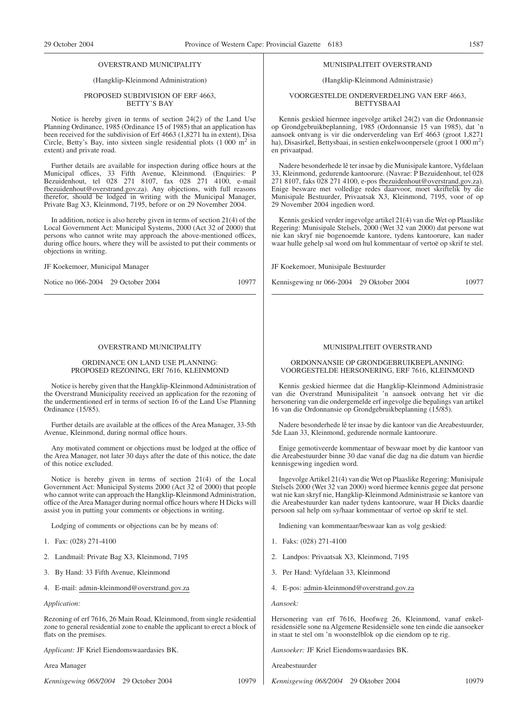(Hangklip-Kleinmond Administration)

#### PROPOSED SUBDIVISION OF ERF 4663, BETTY'S BAY

Notice is hereby given in terms of section 24(2) of the Land Use Planning Ordinance, 1985 (Ordinance 15 of 1985) that an application has been received for the subdivision of Erf 4663 (1,8271 ha in extent), Disa Circle, Betty's Bay, into sixteen single residential plots  $(1\ 000\ m^2)$  in extent) and private road.

Further details are available for inspection during office hours at the Municipal offices, 33 Fifth Avenue, Kleinmond. (Enquiries: P Bezuidenhout, tel 028 271 8107, fax 028 271 4100, e-mail fbezuidenhout@overstrand.gov.za). Any objections, with full reasons therefor, should be lodged in writing with the Municipal Manager, Private Bag X3, Kleinmond, 7195, before or on 29 November 2004.

In addition, notice is also hereby given in terms of section 21(4) of the Local Government Act: Municipal Systems, 2000 (Act 32 of 2000) that persons who cannot write may approach the above-mentioned offices, during office hours, where they will be assisted to put their comments or objections in writing.

#### JF Koekemoer, Municipal Manager

Notice no 066-2004 29 October 2004 10977

#### OVERSTRAND MUNICIPALITY

#### ORDINANCE ON LAND USE PLANNING: PROPOSED REZONING, ERf 7616, KLEINMOND

Notice is hereby given that the Hangklip-Kleinmond Administration of the Overstrand Municipality received an application for the rezoning of the undermentioned erf in terms of section 16 of the Land Use Planning Ordinance (15/85).

Further details are available at the offices of the Area Manager, 33-5th Avenue, Kleinmond, during normal office hours.

Any motivated comment or objections must be lodged at the office of the Area Manager, not later 30 days after the date of this notice, the date of this notice excluded.

Notice is hereby given in terms of section 21(4) of the Local Government Act: Municipal Systems 2000 (Act 32 of 2000) that people who cannot write can approach the Hangklip-Kleinmond Administration, office of the Area Manager during normal office hours where H Dicks will assist you in putting your comments or objections in writing.

Lodging of comments or objections can be by means of:

- 1. Fax: (028) 271-4100
- 2. Landmail: Private Bag X3, Kleinmond, 7195
- 3. By Hand: 33 Fifth Avenue, Kleinmond
- 4. E-mail: admin-kleinmond@overstrand.gov.za

*Application:*

Rezoning of erf 7616, 26 Main Road, Kleinmond, from single residential zone to general residential zone to enable the applicant to erect a block of flats on the premises.

*Applicant:* JF Kriel Eiendomswaardasies BK.

Area Manager

*Kennisgewing 068/2004* 29 October 2004 10979

#### MUNISIPALITEIT OVERSTRAND

# (Hangklip-Kleinmond Administrasie)

VOORGESTELDE ONDERVERDELlNG VAN ERF 4663, BETTYSBAAI

Kennis geskied hiermee ingevolge artikel 24(2) van die Ordonnansie op Grondgebruikbeplanning, 1985 (Ordonnansie 15 van 1985), dat 'n aansoek ontvang is vir die onderverdeling van Erf 4663 (groot 1,8271 ha), Disasirkel, Bettysbaai, in sestien enkelwoonpersele (groot 1 000 m<sup>2</sup>) en privaatpad.

Nadere besonderhede lê ter insae by die Munisipale kantore, Vyfdelaan 33, Kleinmond, gedurende kantoorure. (Navrae: P Bezuidenhout, tel 028 271 8107, faks 028 271 4100, e-pos fbezuidenhout@overstrand.gov.za). Enige besware met volledige redes daarvoor, moet skriftelik by die Munisipale Bestuurder, Privaatsak X3, Kleinmond, 7195, voor of op 29 November 2004 ingedien word.

Kennis geskied verder ingevolge artikel 21(4) van die Wet op Plaaslike Regering: Munisipale Stelsels, 2000 (Wet 32 van 2000) dat persone wat nie kan skryf nie bogenoemde kantore, tydens kantoorure, kan nader waar hulle gehelp sal word om hul kommentaar of vertoë op skrif te stel.

JF Koekemoer, Munisipale Bestuurder

Kennisgewing nr 066-2004 29 Oktober 2004 10977

#### MUNISIPALITEIT OVERSTRAND

ORDONNANSIE OP GRONDGEBRUIKBEPLANNING: VOORGESTELDE HERSONERING, ERF 7616, KLEINMOND

Kennis geskied hiermee dat die Hangklip-Kleinmond Administrasie van die Overstrand Munisipaliteit 'n aansoek ontvang het vir die hersonering van die ondergemelde erf ingevolge die bepalings van artikel 16 van die Ordonnansie op Grondgebruikbeplanning (15/85).

Nadere besonderhede lê ter insae by die kantoor van die Areabestuurder, 5de Laan 33, Kleinmond, gedurende normale kantoorure.

Enige gemotiveerde kommentaar of beswaar moet by die kantoor van die Areabestuurder binne 30 dae vanaf die dag na die datum van hierdie kennisgewing ingedien word.

Ingevolge Artikel 21(4) van die Wet op Plaaslike Regering: Munisipale Stelsels 2000 (Wet 32 van 2000) word hiermee kennis gegee dat persone wat nie kan skryf nie, Hangklip-Kleinmond Administrasie se kantore van die Areabestuurder kan nader tydens kantoorure, waar H Dicks daardie persoon sal help om sy/haar kommentaar of vertoë op skrif te stel.

Indiening van kommentaar/beswaar kan as volg geskied:

- 1. Faks: (028) 271-4100
- 2. Landpos: Privaatsak X3, Kleinmond, 7195
- 3. Per Hand: Vyfdelaan 33, Kleinmond
- 4. E-pos: admin-kleinmond@overstrand.gov.za

*Aansoek:*

Hersonering van erf 7616, Hoofweg 26, Kleinmond, vanaf enkelresidensiële sone na Algemene Residensiële sone ten einde die aansoeker in staat te stel om 'n woonstelblok op die eiendom op te rig.

*Aansoeker:* JF Kriel Eiendomswaardasies BK.

Areabestuurder

*Kennisgewing 068/2004* 29 Oktober 2004 10979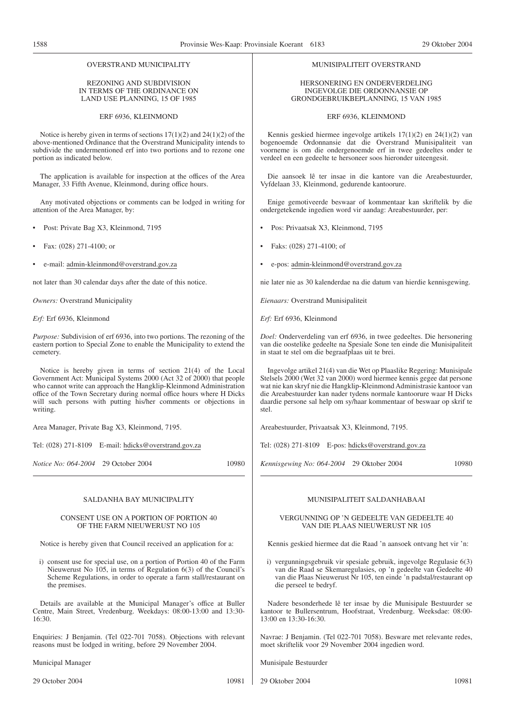#### REZONING AND SUBDIVISION IN TERMS OF THE ORDINANCE ON LAND USE PLANNING, 15 OF 1985

ERF 6936, KLEINMOND

Notice is hereby given in terms of sections 17(1)(2) and 24(1)(2) of the above-mentioned Ordinance that the Overstrand Municipality intends to subdivide the undermentioned erf into two portions and to rezone one portion as indicated below.

The application is available for inspection at the offices of the Area Manager, 33 Fifth Avenue, Kleinmond, during office hours.

Any motivated objections or comments can be lodged in writing for attention of the Area Manager, by:

- Post: Private Bag X3, Kleinmond, 7195
- Fax: (028) 271-4100; or
- e-mail: admin-kleinmond@overstrand.gov.za

not later than 30 calendar days after the date of this notice.

*Owners:* Overstrand Municipality

*Erf:* Erf 6936, Kleinmond

*Purpose:* Subdivision of erf 6936, into two portions. The rezoning of the eastern portion to Special Zone to enable the Municipality to extend the cemetery.

Notice is hereby given in terms of section 21(4) of the Local Government Act: Municipal Systems 2000 (Act 32 of 2000) that people who cannot write can approach the Hangklip-Kleinmond Administration office of the Town Secretary during normal office hours where H Dicks will such persons with putting his/her comments or objections in writing.

Area Manager, Private Bag X3, Kleinmond, 7195.

Tel: (028) 271-8109 E-mail: hdicks@overstrand.gov.za

*Notice No:* 064-2004 29 October 2004 10980

#### SALDANHA BAY MUNICIPALITY

#### CONSENT USE ON A PORTION OF PORTION 40 OF THE FARM NIEUWERUST NO 105

Notice is hereby given that Council received an application for a:

i) consent use for special use, on a portion of Portion 40 of the Farm Nieuwerust No 105, in terms of Regulation 6(3) of the Council's Scheme Regulations, in order to operate a farm stall/restaurant on the premises.

Details are available at the Municipal Manager's office at Buller Centre, Main Street, Vredenburg. Weekdays: 08:00-13:00 and 13:30- 16:30.

Enquiries: J Benjamin. (Tel 022-701 7058). Objections with relevant reasons must be lodged in writing, before 29 November 2004.

Municipal Manager

#### MUNISIPALITEIT OVERSTRAND

#### HERSONERING EN ONDERVERDELING INGEVOLGE DIE ORDONNANSIE OP GRONDGEBRUIKBEPLANNING, 15 VAN 1985

#### ERF 6936, KLEINMOND

Kennis geskied hiermee ingevolge artikels 17(1)(2) en 24(1)(2) van bogenoemde Ordonnansie dat die Overstrand Munisipaliteit van voorneme is om die ondergenoemde erf in twee gedeeltes onder te verdeel en een gedeelte te hersoneer soos hieronder uiteengesit.

Die aansoek lê ter insae in die kantore van die Areabestuurder, Vyfdelaan 33, Kleinmond, gedurende kantoorure.

Enige gemotiveerde beswaar of kommentaar kan skriftelik by die ondergetekende ingedien word vir aandag: Areabestuurder, per:

- Pos: Privaatsak X3, Kleinmond, 7195
- Faks: (028) 271-4100; of
- e-pos: admin-kleinmond@overstrand.gov.za

nie later nie as 30 kalenderdae na die datum van hierdie kennisgewing.

*Eienaars:* Overstrand Munisipaliteit

*Erf:* Erf 6936, Kleinmond

*Doel:* Onderverdeling van erf 6936, in twee gedeeltes. Die hersonering van die oostelike gedeelte na Spesiale Sone ten einde die Munisipaliteit in staat te stel om die begraafplaas uit te brei.

Ingevolge artikel 21(4) van die Wet op Plaaslike Regering: Munisipale Stelsels 2000 (Wet 32 van 2000) word hiermee kennis gegee dat persone wat nie kan skryf nie die Hangklip-Kleinmond Administrasie kantoor van die Areabestuurder kan nader tydens normale kantoorure waar H Dicks daardie persone sal help om sy/haar kommentaar of beswaar op skrif te stel.

Areabestuurder, Privaatsak X3, Kleinmond, 7195.

Tel: (028) 271-8109 E-pos: hdicks@overstrand.gov.za

*Kennisgewing No: 064-2004* 29 Oktober 2004 10980

# MUNISIPALITEIT SALDANHABAAI

#### VERGUNNING OP 'N GEDEELTE VAN GEDEELTE 40 VAN DIE PLAAS NIEUWERUST NR 105

Kennis geskied hiermee dat die Raad 'n aansoek ontvang het vir 'n:

i) vergunningsgebruik vir spesiale gebruik, ingevolge Regulasie 6(3) van die Raad se Skemaregulasies, op 'n gedeelte van Gedeelte 40 van die Plaas Nieuwerust Nr 105, ten einde 'n padstal/restaurant op die perseel te bedryf.

Nadere besonderhede lê ter insae by die Munisipale Bestuurder se kantoor te Bullersentrum, Hoofstraat, Vredenburg. Weeksdae: 08:00- 13:00 en 13:30-16:30.

Navrae: J Benjamin. (Tel 022-701 7058). Besware met relevante redes, moet skriftelik voor 29 November 2004 ingedien word.

Munisipale Bestuurder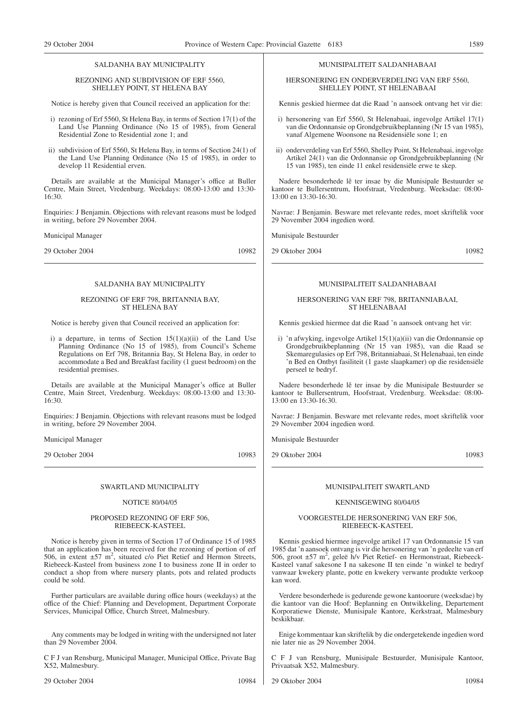#### SALDANHA BAY MUNICIPALITY

#### REZONING AND SUBDIVISION OF ERF 5560, SHELLEY POINT, ST HELENA BAY

Notice is hereby given that Council received an application for the:

- i) rezoning of Erf 5560, St Helena Bay, in terms of Section 17(1) of the Land Use Planning Ordinance (No 15 of 1985), from General Residential Zone to Residential zone 1; and
- ii) subdivision of Erf 5560, St Helena Bay, in terms of Section 24(1) of the Land Use Planning Ordinance (No 15 of 1985), in order to develop 11 Residential erven.

Details are available at the Municipal Manager's office at Buller Centre, Main Street, Vredenburg. Weekdays: 08:00-13:00 and 13:30- 16:30.

Enquiries: J Benjamin. Objections with relevant reasons must be lodged in writing, before 29 November 2004.

Municipal Manager

29 October 2004 10982

# SALDANHA BAY MUNICIPALITY

#### REZONING OF ERF 798, BRITANNIA BAY, ST HELENA BAY

Notice is hereby given that Council received an application for:

i) a departure, in terms of Section  $15(1)(a)(ii)$  of the Land Use Planning Ordinance (No 15 of 1985), from Council's Scheme Regulations on Erf 798, Britannia Bay, St Helena Bay, in order to accommodate a Bed and Breakfast facility (1 guest bedroom) on the residential premises.

Details are available at the Municipal Manager's office at Buller Centre, Main Street, Vredenburg. Weekdays: 08:00-13:00 and 13:30- 16:30.

Enquiries: J Benjamin. Objections with relevant reasons must be lodged in writing, before 29 November 2004.

Municipal Manager

29 October 2004 10983

# SWARTLAND MUNICIPALITY

#### NOTICE 80/04/05

#### PROPOSED REZONING OF ERF 506, RIEBEECK-KASTEEL

Notice is hereby given in terms of Section 17 of Ordinance 15 of 1985 that an application has been received for the rezoning of portion of erf 506, in extent  $\pm 57$  m<sup>2</sup>, situated c/o Piet Retief and Hermon Streets, Riebeeck-Kasteel from business zone I to business zone II in order to conduct a shop from where nursery plants, pots and related products could be sold.

Further particulars are available during office hours (weekdays) at the office of the Chief: Planning and Development, Department Corporate Services, Municipal Office, Church Street, Malmesbury.

Any comments may be lodged in writing with the undersigned not later than 29 November 2004.

C F J van Rensburg, Municipal Manager, Municipal Office, Private Bag X52, Malmesbury.

29 October 2004 10984

#### MUNISIPALITEIT SALDANHABAAI

HERSONERING EN ONDERVERDELING VAN ERF 5560, SHELLEY POINT, ST HELENABAAI

Kennis geskied hiermee dat die Raad 'n aansoek ontvang het vir die:

- i) hersonering van Erf 5560, St Helenabaai, ingevolge Artikel 17(1) van die Ordonnansie op Grondgebruikbeplanning (Nr 15 van 1985), vanaf Algemene Woonsone na Residensiële sone 1; en
- ii) onderverdeling van Erf 5560, Shelley Point, St Helenabaai, ingevolge Artikel 24(1) van die Ordonnansie op Grondgebruikbeplanning (Nr 15 van 1985), ten einde 11 enkel residensiële erwe te skep.

Nadere besonderhede lê ter insae by die Munisipale Bestuurder se kantoor te Bullersentrum, Hoofstraat, Vredenburg. Weeksdae: 08:00- 13:00 en 13:30-16:30.

Navrae: J Benjamin. Besware met relevante redes, moet skriftelik voor 29 November 2004 ingedien word.

Munisipale Bestuurder

29 Oktober 2004 10982

#### MUNISIPALITEIT SALDANHABAAI

#### HERSONERING VAN ERF 798, BRITANNIABAAI, ST HELENABAAI

Kennis geskied hiermee dat die Raad 'n aansoek ontvang het vir:

i) 'n afwyking, ingevolge Artikel 15(1)(a)(ii) van die Ordonnansie op Grondgebruikbeplanning (Nr 15 van 1985), van die Raad se Skemaregulasies op Erf 798, Britanniabaai, St Helenabaai, ten einde 'n Bed en Ontbyt fasiliteit (1 gaste slaapkamer) op die residensiële perseel te bedryf.

Nadere besonderhede lê ter insae by die Munisipale Bestuurder se kantoor te Bullersentrum, Hoofstraat, Vredenburg. Weeksdae: 08:00- 13:00 en 13:30-16:30.

Navrae: J Benjamin. Besware met relevante redes, moet skriftelik voor 29 November 2004 ingedien word.

Munisipale Bestuurder

29 Oktober 2004 10983

#### MUNISIPALITEIT SWARTLAND

#### KENNISGEWING 80/04/05

#### VOORGESTELDE HERSONERING VAN ERF 506, RIEBEECK-KASTEEL

Kennis geskied hiermee ingevolge artikel 17 van Ordonnansie 15 van 1985 dat 'n aansoek ontvang is vir die hersonering van 'n gedeelte van erf 506, groot ±57 m<sup>2</sup>, geleë h/v Piet Retief- en Hermonstraat, Riebeeck-Kasteel vanaf sakesone I na sakesone II ten einde 'n winkel te bedryf vanwaar kwekery plante, potte en kwekery verwante produkte verkoop kan word.

Verdere besonderhede is gedurende gewone kantoorure (weeksdae) by die kantoor van die Hoof: Beplanning en Ontwikkeling, Departement Korporatiewe Dienste, Munisipale Kantore, Kerkstraat, Malmesbury beskikbaar.

Enige kommentaar kan skriftelik by die ondergetekende ingedien word nie later nie as 29 November 2004.

C F J van Rensburg, Munisipale Bestuurder, Munisipale Kantoor, Privaatsak X52, Malmesbury.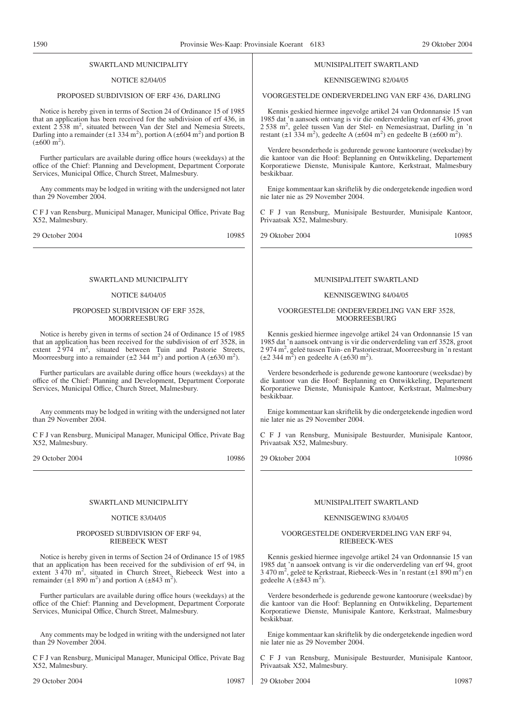#### SWARTLAND MUNICIPALITY

#### NOTICE 82/04/05

## PROPOSED SUBDIVISION OF ERF 436, DARLING

Notice is hereby given in terms of Section 24 of Ordinance 15 of 1985 that an application has been received for the subdivision of erf 436, in extent 2 538 m<sup>2</sup>, situated between Van der Stel and Nemesia Streets, Darling into a remainder  $(\pm 1, 334 \text{ m}^2)$ , portion A  $(\pm 604 \text{ m}^2)$  and portion B  $(\pm 600 \text{ m}^2)$ .

Further particulars are available during office hours (weekdays) at the office of the Chief: Planning and Development, Department Corporate Services, Municipal Office, Church Street, Malmesbury.

Any comments may be lodged in writing with the undersigned not later than 29 November 2004.

C F J van Rensburg, Municipal Manager, Municipal Office, Private Bag X52, Malmesbury.

29 October 2004 10985

## SWARTLAND MUNICIPALITY

#### NOTICE 84/04/05

#### PROPOSED SUBDIVISION OF ERF 3528, **MOORREESBURG**

Notice is hereby given in terms of section 24 of Ordinance 15 of 1985 that an application has been received for the subdivision of erf 3528, in extent  $2^{12}$  974 m<sup>2</sup>, situated between Tuin and Pastorie Streets, Moorreesburg into a remainder  $(\pm 2.344 \text{ m}^2)$  and portion A  $(\pm 630 \text{ m}^2)$ .

Further particulars are available during office hours (weekdays) at the office of the Chief: Planning and Development, Department Corporate Services, Municipal Office, Church Street, Malmesbury.

Any comments may be lodged in writing with the undersigned not later than 29 November 2004.

C F J van Rensburg, Municipal Manager, Municipal Office, Private Bag X52, Malmesbury.

29 October 2004 10986

#### SWARTLAND MUNICIPALITY

#### NOTICE 83/04/05

#### PROPOSED SUBDIVISION OF ERF 94, RIEBEECK WEST

Notice is hereby given in terms of Section 24 of Ordinance 15 of 1985 that an application has been received for the subdivision of erf 94, in extent 3 470 m<sup>2</sup>, situated in Church Street, Riebeeck West into a remainder  $(\pm 1\ 890\ \text{m}^2)$  and portion A  $(\pm 843\ \text{m}^2)$ .

Further particulars are available during office hours (weekdays) at the office of the Chief: Planning and Development, Department Corporate Services, Municipal Office, Church Street, Malmesbury.

Any comments may be lodged in writing with the undersigned not later than 29 November 2004

C F J van Rensburg, Municipal Manager, Municipal Office, Private Bag X52, Malmesbury.

#### MUNISIPALITEIT SWARTLAND

#### KENNISGEWING 82/04/05

#### VOORGESTELDE ONDERVERDELING VAN ERF 436, DARLING

Kennis geskied hiermee ingevolge artikel 24 van Ordonnansie 15 van 1985 dat 'n aansoek ontvang is vir die onderverdeling van erf 436, groot 2 538 m2 , geleë tussen Van der Stel- en Nemesiastraat, Darling in 'n restant (±1 334 m<sup>2</sup>), gedeelte A (±604 m<sup>2</sup>) en gedeelte B (±600 m<sup>2</sup>).

Verdere besonderhede is gedurende gewone kantoorure (weeksdae) by die kantoor van die Hoof: Beplanning en Ontwikkeling, Departement Korporatiewe Dienste, Munisipale Kantore, Kerkstraat, Malmesbury beskikbaar.

Enige kommentaar kan skriftelik by die ondergetekende ingedien word nie later nie as 29 November 2004.

C F J van Rensburg, Munisipale Bestuurder, Munisipale Kantoor, Privaatsak X52, Malmesbury.

29 Oktober 2004 10985

## MUNISIPALITEIT SWARTLAND

#### KENNISGEWING 84/04/05

#### VOORGESTELDE ONDERVERDELING VAN ERF 3528, **MOORREESBURG**

Kennis geskied hiermee ingevolge artikel 24 van Ordonnansie 15 van 1985 dat 'n aansoek ontvang is vir die onderverdeling van erf 3528, groot 2 974 m2 , geleë tussen Tuin- en Pastoriestraat, Moorreesburg in 'n restant  $(\pm 2 \ 344 \text{ m}^2)$  en gedeelte A ( $\pm 630 \text{ m}^2$ ).

Verdere besonderhede is gedurende gewone kantoorure (weeksdae) by die kantoor van die Hoof: Beplanning en Ontwikkeling, Departement Korporatiewe Dienste, Munisipale Kantoor, Kerkstraat, Malmesbury beskikbaar.

Enige kommentaar kan skriftelik by die ondergetekende ingedien word nie later nie as 29 November 2004.

C F J van Rensburg, Munisipale Bestuurder, Munisipale Kantoor, Privaatsak X52, Malmesbury.

29 Oktober 2004 10986

#### MUNISIPALITEIT SWARTLAND

#### KENNISGEWING 83/04/05

#### VOORGESTELDE ONDERVERDELING VAN ERF 94, RIEBEECK-WES

Kennis geskied hiermee ingevolge artikel 24 van Ordonnansie 15 van 1985 dat 'n aansoek ontvang is vir die onderverdeling van erf 94, groot 3 470 m2 , geleë te Kerkstraat, Riebeeck-Wes in 'n restant (±1 890 m2 ) en gedeelte A  $(\pm 843 \text{ m}^2)$ .

Verdere besonderhede is gedurende gewone kantoorure (weeksdae) by die kantoor van die Hoof: Beplanning en Ontwikkeling, Departement Korporatiewe Dienste, Munisipale Kantore, Kerkstraat, Malmesbury beskikbaar.

Enige kommentaar kan skriftelik by die ondergetekende ingedien word nie later nie as 29 November 2004.

C F J van Rensburg, Munisipale Bestuurder, Munisipale Kantoor, Privaatsak X52, Malmesbury.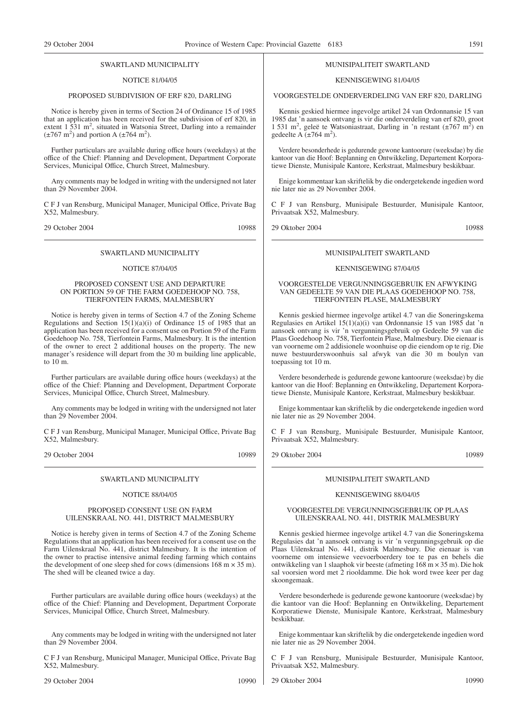#### SWARTLAND MUNICIPALITY

# NOTICE 81/04/05

# PROPOSED SUBDIVISION OF ERF 820, DARLING

Notice is hereby given in terms of Section 24 of Ordinance 15 of 1985 that an application has been received for the subdivision of erf 820, in extent 1 531 m<sup>2</sup>, situated in Watsonia Street, Darling into a remainder  $(\pm 767 \text{ m}^2)$  and portion A  $(\pm 764 \text{ m}^2)$ .

Further particulars are available during office hours (weekdays) at the office of the Chief: Planning and Development, Department Corporate Services, Municipal Office, Church Street, Malmesbury.

Any comments may be lodged in writing with the undersigned not later than 29 November 2004.

C F J van Rensburg, Municipal Manager, Municipal Office, Private Bag X52, Malmesbury.

29 October 2004 10988

#### SWARTLAND MUNICIPALITY

#### NOTICE 87/04/05

#### PROPOSED CONSENT USE AND DEPARTURE ON PORTION 59 OF THE FARM GOEDEHOOP NO. 758, TIERFONTEIN FARMS, MALMESBURY

Notice is hereby given in terms of Section 4.7 of the Zoning Scheme Regulations and Section  $15(1)(a)(i)$  of Ordinance 15 of 1985 that an application has been received for a consent use on Portion 59 of the Farm Goedehoop No. 758, Tierfontein Farms, Malmesbury. It is the intention of the owner to erect 2 additional houses on the property. The new manager's residence will depart from the 30 m building line applicable, to 10 m.

Further particulars are available during office hours (weekdays) at the office of the Chief: Planning and Development, Department Corporate Services, Municipal Office, Church Street, Malmesbury.

Any comments may be lodged in writing with the undersigned not later than 29 November 2004.

C F J van Rensburg, Municipal Manager, Municipal Office, Private Bag X52, Malmesbury.

29 October 2004 10989

#### SWARTLAND MUNICIPALITY

#### NOTICE 88/04/05

#### PROPOSED CONSENT USE ON FARM UILENSKRAAL NO. 441, DISTRICT MALMESBURY

Notice is hereby given in terms of Section 4.7 of the Zoning Scheme Regulations that an application has been received for a consent use on the Farm Uilenskraal No. 441, district Malmesbury. It is the intention of the owner to practise intensive animal feeding farming which contains the development of one sleep shed for cows (dimensions  $168 \text{ m} \times 35 \text{ m}$ ). The shed will be cleaned twice a day.

Further particulars are available during office hours (weekdays) at the office of the Chief: Planning and Development, Department Corporate Services, Municipal Office, Church Street, Malmesbury.

Any comments may be lodged in writing with the undersigned not later than 29 November 2004

C F J van Rensburg, Municipal Manager, Municipal Office, Private Bag X52, Malmesbury.

29 October 2004 10990

#### MUNISIPALITEIT SWARTLAND

#### KENNISGEWING 81/04/05

#### VOORGESTELDE ONDERVERDELING VAN ERF 820, DARLING

Kennis geskied hiermee ingevolge artikel 24 van Ordonnansie 15 van 1985 dat 'n aansoek ontvang is vir die onderverdeling van erf 820, groot 1 531 m<sup>2</sup>, geleë te Watsoniastraat, Darling in 'n restant  $(\pm 767 \text{ m}^2)$  en gedeelte A  $(\pm 764 \text{ m}^2)$ .

Verdere besonderhede is gedurende gewone kantoorure (weeksdae) by die kantoor van die Hoof: Beplanning en Ontwikkeling, Departement Korporatiewe Dienste, Munisipale Kantore, Kerkstraat, Malmesbury beskikbaar.

Enige kommentaar kan skriftelik by die ondergetekende ingedien word nie later nie as 29 November 2004.

C F J van Rensburg, Munisipale Bestuurder, Munisipale Kantoor, Privaatsak X52, Malmesbury.

29 Oktober 2004 10988

# MUNISIPALITEIT SWARTLAND

#### KENNISGEWING 87/04/05

#### VOORGESTELDE VERGUNNINGSGEBRUIK EN AFWYKING VAN GEDEELTE 59 VAN DIE PLAAS GOEDEHOOP NO. 758, TIERFONTEIN PLASE, MALMESBURY

Kennis geskied hiermee ingevolge artikel 4.7 van die Soneringskema Regulasies en Artikel 15(1)(a)(i) van Ordonnansie 15 van 1985 dat 'n aansoek ontvang is vir 'n vergunningsgebruik op Gedeelte 59 van die Plaas Goedehoop No. 758, Tierfontein Plase, Malmesbury. Die eienaar is van voorneme om 2 addisionele woonhuise op die eiendom op te rig. Die nuwe bestuurderswoonhuis sal afwyk van die 30 m boulyn van toepassing tot 10 m.

Verdere besonderhede is gedurende gewone kantoorure (weeksdae) by die kantoor van die Hoof: Beplanning en Ontwikkeling, Departement Korporatiewe Dienste, Munisipale Kantore, Kerkstraat, Malmesbury beskikbaar.

Enige kommentaar kan skriftelik by die ondergetekende ingedien word nie later nie as 29 November 2004.

C F J van Rensburg, Munisipale Bestuurder, Munisipale Kantoor, Privaatsak X52, Malmesbury.

29 Oktober 2004 10989

# MUNISIPALITEIT SWARTLAND

#### KENNISGEWING 88/04/05

#### VOORGESTELDE VERGUNNINGSGEBRUIK OP PLAAS UILENSKRAAL NO. 441, DISTRIK MALMESBURY

Kennis geskied hiermee ingevolge artikel 4.7 van die Soneringskema Regulasies dat 'n aansoek ontvang is vir 'n vergunningsgebruik op die Plaas Uilenskraal No. 441, distrik Malmesbury. Die eienaar is van voorneme om intensiewe veevoerboerdery toe te pas en behels die ontwikkeling van 1 slaaphok vir beeste (afmeting 168 m × 35 m). Die hok sal voorsien word met 2 riooldamme. Die hok word twee keer per dag skoongemaak.

Verdere besonderhede is gedurende gewone kantoorure (weeksdae) by die kantoor van die Hoof: Beplanning en Ontwikkeling, Departement Korporatiewe Dienste, Munisipale Kantore, Kerkstraat, Malmesbury beskikbaar.

Enige kommentaar kan skriftelik by die ondergetekende ingedien word nie later nie as 29 November 2004.

C F J van Rensburg, Munisipale Bestuurder, Munisipale Kantoor, Privaatsak X52, Malmesbury.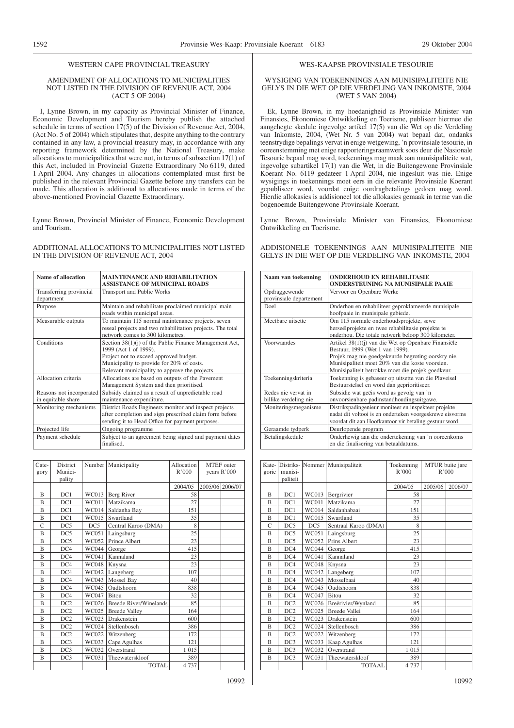#### WESTERN CAPE PROVINCIAL TREASURY

#### AMENDMENT OF ALLOCATIONS TO MUNICIPALITIES NOT LISTED IN THE DIVISION OF REVENUE ACT, 2004 (ACT 5 OF 2004)

I, Lynne Brown, in my capacity as Provincial Minister of Finance, Economic Development and Tourism hereby publish the attached schedule in terms of section 17(5) of the Division of Revenue Act, 2004, (Act No. 5 of 2004) which stipulates that, despite anything to the contrary contained in any law, a provincial treasury may, in accordance with any reporting framework determined by the National Treasury, make allocations to municipalities that were not, in terms of subsection 17(1) of this Act, included in Provincial Gazette Extraordinary No 6119, dated 1 April 2004. Any changes in allocations contemplated must first be published in the relevant Provincial Gazette before any transfers can be made. This allocation is additional to allocations made in terms of the above-mentioned Provincial Gazette Extraordinary.

Lynne Brown, Provincial Minister of Finance, Economic Development and Tourism.

#### ADDITIONAL ALLOCATIONS TO MUNICIPALITIES NOT LISTED IN THE DIVISION OF REVENUE ACT, 2004

| Name of allocation                             | <b>MAINTENANCE AND REHABILITATION</b><br><b>ASSISTANCE OF MUNICIPAL ROADS</b>                                                                                                                                            |
|------------------------------------------------|--------------------------------------------------------------------------------------------------------------------------------------------------------------------------------------------------------------------------|
| Transferring provincial<br>department          | Transport and Public Works                                                                                                                                                                                               |
| Purpose                                        | Maintain and rehabilitate proclaimed municipal main<br>roads within municipal areas.                                                                                                                                     |
| Measurable outputs                             | To maintain 115 normal maintenance projects, seven<br>reseal projects and two rehabilitation projects. The total<br>network comes to 300 kilometres.                                                                     |
| Conditions                                     | Section 38(1)(j) of the Public Finance Management Act,<br>1999 (Act 1 of 1999).<br>Project not to exceed approved budget.<br>Municipality to provide for 20% of costs.<br>Relevant municipality to approve the projects. |
| Allocation criteria                            | Allocations are based on outputs of the Pavement<br>Management System and then prioritised.                                                                                                                              |
| Reasons not incorporated<br>in equitable share | Subsidy claimed as a result of unpredictable road<br>maintenance expenditure.                                                                                                                                            |
| Monitoring mechanisms                          | District Roads Engineers monitor and inspect projects<br>after completion and sign prescribed claim form before<br>sending it to Head Office for payment purposes.                                                       |
| Projected life                                 | Ongoing programme                                                                                                                                                                                                        |
| Payment schedule                               | Subject to an agreement being signed and payment dates<br>finalised.                                                                                                                                                     |

| Cate-<br>gory  | <b>District</b><br>Munici-<br>pality |              | Number   Municipality         | Allocation<br>R'000 | years R'000     | <b>MTEF</b> outer |
|----------------|--------------------------------------|--------------|-------------------------------|---------------------|-----------------|-------------------|
|                |                                      |              |                               | 2004/05             | 2005/06 2006/07 |                   |
| B              | DC1                                  | WC013        | Berg River                    | 58                  |                 |                   |
| $\overline{B}$ | DC1                                  | WC011        | Matzikama                     | 27                  |                 |                   |
| B              | DC1                                  | <b>WC014</b> | Saldanha Bay                  | 151                 |                 |                   |
| B              | DC1                                  | WC015        | Swartland                     | 35                  |                 |                   |
| $\mathcal{C}$  | DC5                                  | DC5          | Central Karoo (DMA)           | 8                   |                 |                   |
| B              | DC5                                  | <b>WC051</b> | Laingsburg                    | 25                  |                 |                   |
| B              | DC5                                  | WC052        | Prince Albert                 | 23                  |                 |                   |
| B              | DC4                                  | WC044        | George                        | 415                 |                 |                   |
| B              | DC4                                  | WC041        | Kannaland                     | 23                  |                 |                   |
| B              | DC4                                  | WC048        | Knysna                        | 23                  |                 |                   |
| B              | DC4                                  | WC042        | Langeberg                     | 107                 |                 |                   |
| B              | DC4                                  | WC043        | Mossel Bay                    | 40                  |                 |                   |
| B              | DC4                                  | WC045        | Oudtshoorn                    | 838                 |                 |                   |
| B              | DC4                                  | WC047        | <b>Bitou</b>                  | 32                  |                 |                   |
| B              | DC <sub>2</sub>                      | WC026        | <b>Breede River/Winelands</b> | 85                  |                 |                   |
| B              | DC <sub>2</sub>                      | WC025        | <b>Breede Valley</b>          | 164                 |                 |                   |
| $\overline{B}$ | DC <sub>2</sub>                      | WC023        | Drakenstein                   | 600                 |                 |                   |
| B              | DC <sub>2</sub>                      | WC024        | Stellenbosch                  | 386                 |                 |                   |
| B              | DC <sub>2</sub>                      | WC022        | Witzenberg                    | 172                 |                 |                   |
| $\overline{B}$ | DC3                                  | WC033        | Cape Agulhas                  | 121                 |                 |                   |
| B              | DC3                                  | WC032        | Overstrand                    | 1015                |                 |                   |
| $\overline{B}$ | DC3                                  | WC031        | Theewaterskloof               | 389                 |                 |                   |
|                |                                      |              | <b>TOTAL</b>                  | 4 7 3 7             |                 |                   |

#### WES-KAAPSE PROVINSIALE TESOURIE

#### WYSIGING VAN TOEKENNINGS AAN MUNISIPALITEITE NIE GELYS IN DIE WET OP DIE VERDELING VAN INKOMSTE, 2004 (WET 5 VAN 2004)

Ek, Lynne Brown, in my hoedanigheid as Provinsiale Minister van Finansies, Ekonomiese Ontwikkeling en Toerisme, publiseer hiermee die aangehegte skedule ingevolge artikel 17(5) van die Wet op die Verdeling van Inkomste, 2004, (Wet Nr. 5 van 2004) wat bepaal dat, ondanks teenstrydige bepalings vervat in enige wetgewing, 'n provinsiale tesourie, in ooreenstemming met enige rapporteringsraamwerk soos deur die Nasionale Tesourie bepaal mag word, toekennings mag maak aan munisipaliteite wat, ingevolge subartikel 17(1) van die Wet, in die Buitengewone Provinsiale Koerant No. 6119 gedateer 1 April 2004, nie ingesluit was nie. Enige wysigings in toekennings moet eers in die relevante Provinsiale Koerant gepubliseer word, voordat enige oordragbetalings gedoen mag word. Hierdie allokasies is addisioneel tot die allokasies gemaak in terme van die bogenoemde Buitengewone Provinsiale Koerant.

Lynne Brown, Provinsiale Minister van Finansies, Ekonomiese Ontwikkeling en Toerisme.

#### ADDISIONELE TOEKENNINGS AAN MUNISIPALITEITE NIE GELYS IN DIE WET OP DIE VERDELING VAN INKOMSTE, 2004

| Naam van toekenning                          | <b>ONDERHOUD EN REHABILITASIE</b><br><b>ONDERSTEUNING NA MUNISIPALE PAAIE</b>                                                                                                                                                                        |
|----------------------------------------------|------------------------------------------------------------------------------------------------------------------------------------------------------------------------------------------------------------------------------------------------------|
| Opdraggewende<br>provinsiale departement     | Vervoer en Openbare Werke                                                                                                                                                                                                                            |
| Doel                                         | Onderhou en rehabiliteer geproklameerde munisipale<br>hoofpaaie in munisipale gebiede.                                                                                                                                                               |
| Meethare uitsette                            | Om 115 normale onderhoudsprojekte, sewe<br>herseëlprojekte en twee rehabilitasie projekte te<br>onderhou. Die totale netwerk beloop 300 kilometer.                                                                                                   |
| Voorwaardes                                  | Artikel 38(1)(j) van die Wet op Openbare Finansiële<br>Bestuur, 1999 (Wet 1 van 1999).<br>Projek mag nie goedgekeurde begroting oorskry nie.<br>Munisipaliteit moet 20% van die koste voorsien.<br>Munisipaliteit betrokke moet die projek goedkeur. |
| Toekenningskriteria                          | Toekenning is gebaseer op uitsette van die Plaveisel<br>Bestuurstelsel en word dan geprioritiseer.                                                                                                                                                   |
| Redes nie vervat in<br>billike verdeling nie | Subsidie wat geëis word as gevolg van 'n<br>onvoorsienbare padinstandhoudingsuitgawe.                                                                                                                                                                |
| Moniteringsmeganisme                         | Distrikspadingenieur moniteer en inspekteer projekte<br>nadat dit voltooi is en onderteken voorgeskrewe eisvorms<br>voordat dit aan Hoofkantoor vir betaling gestuur word.                                                                           |
| Geraamde tydperk                             | Deurlopende program                                                                                                                                                                                                                                  |
| Betalingskedule                              | Onderhewig aan die ondertekening van 'n ooreenkoms<br>en die finalisering van betaaldatums.                                                                                                                                                          |

| Kate-<br>gorie | munisi-<br>paliteit |       | Distriks- Nommer Munisipaliteit | Toekenning<br>R'000 | MTUR buite jare<br>R'000 |         |
|----------------|---------------------|-------|---------------------------------|---------------------|--------------------------|---------|
|                |                     |       |                                 | 2004/05             | 2005/06                  | 2006/07 |
| B              | DC1                 | WC013 | Bergrivier                      | 58                  |                          |         |
| B              | DC1                 | WC011 | Matzikama                       | 27                  |                          |         |
| $\mathbf{B}$   | DC1                 | WC014 | Saldanhabaai                    | 151                 |                          |         |
| B              | DC1                 | WC015 | Swartland                       | 35                  |                          |         |
| C              | DC5                 | DC5   | Sentraal Karoo (DMA)            | 8                   |                          |         |
| B              | DC5                 | WC051 | Laingsburg                      | 25                  |                          |         |
| B              | DC5                 | WC052 | Prins Albert                    | 23                  |                          |         |
| B              | DC4                 | WC044 | George                          | 415                 |                          |         |
| B              | DC4                 | WC041 | Kannaland                       | 23                  |                          |         |
| B              | DC4                 | WC048 | Knysna                          | 23                  |                          |         |
| B              | DC4                 | WC042 | Langeberg                       | 107                 |                          |         |
| B              | DC4                 | WC043 | Mosselbaai                      | 40                  |                          |         |
| $\overline{B}$ | DC4                 | WC045 | Oudtshoorn                      | 838                 |                          |         |
| B              | DC4                 | WC047 | <b>Bitou</b>                    | 32                  |                          |         |
| B              | DC2                 | WC026 | Breërivier/Wynland              | 85                  |                          |         |
| B              | DC <sub>2</sub>     | WC025 | Breede Vallei                   | 164                 |                          |         |
| B              | DC2                 | WC023 | Drakenstein                     | 600                 |                          |         |
| B              | DC <sub>2</sub>     | WC024 | Stellenbosch                    | 386                 |                          |         |
| B              | DC <sub>2</sub>     | WC022 | Witzenberg                      | 172                 |                          |         |
| $\overline{B}$ | DC3                 | WC033 | Kaap Agulhas                    | 121                 |                          |         |
| B              | DC3                 | WC032 | Overstrand                      | 1015                |                          |         |
| B              | DC3                 | WC031 | Theewaterskloof                 | 389                 |                          |         |
|                |                     |       | <b>TOTAAL</b>                   | 4 7 3 7             |                          |         |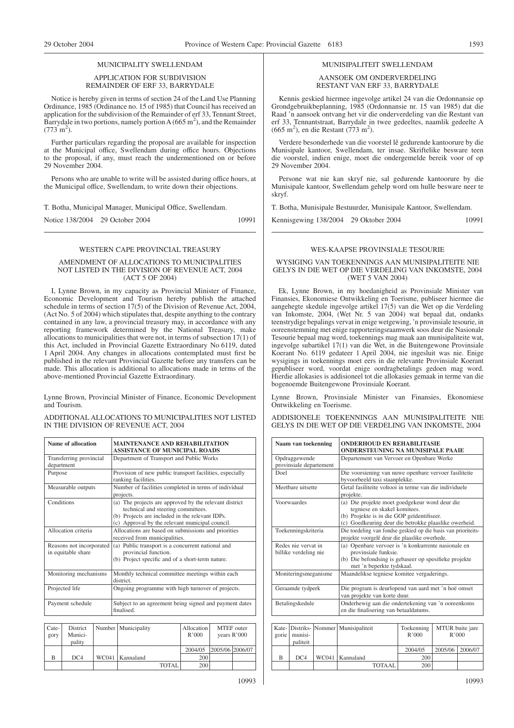# MUNICIPALITY SWELLENDAM APPLICATION FOR SUBDIVISION

# REMAINDER OF ERF 33, BARRYDALE

Notice is hereby given in terms of section 24 of the Land Use Planning Ordinance, 1985 (Ordinance no. 15 of 1985) that Council has received an application for the subdivision of the Remainder of erf 33, Tennant Street, Barrydale in two portions, namely portion  $A(665 m^2)$ , and the Remainder  $(773 \text{ m}^2)$ .

Further particulars regarding the proposal are available for inspection at the Municipal office, Swellendam during office hours. Objections to the proposal, if any, must reach the undermentioned on or before 29 November 2004.

Persons who are unable to write will be assisted during office hours, at the Municipal office, Swellendam, to write down their objections.

T. Botha, Municipal Manager, Municipal Office, Swellendam.

Notice 138/2004 29 October 2004 10991

# WESTERN CAPE PROVINCIAL TREASURY

#### AMENDMENT OF ALLOCATIONS TO MUNICIPALITIES NOT LISTED IN THE DIVISION OF REVENUE ACT, 2004 (ACT 5 OF 2004)

I, Lynne Brown, in my capacity as Provincial Minister of Finance, Economic Development and Tourism hereby publish the attached schedule in terms of section 17(5) of the Division of Revenue Act, 2004, (Act No. 5 of 2004) which stipulates that, despite anything to the contrary contained in any law, a provincial treasury may, in accordance with any reporting framework determined by the National Treasury, make allocations to municipalities that were not, in terms of subsection 17(1) of this Act, included in Provincial Gazette Extraordinary No 6119, dated 1 April 2004. Any changes in allocations contemplated must first be published in the relevant Provincial Gazette before any transfers can be made. This allocation is additional to allocations made in terms of the above-mentioned Provincial Gazette Extraordinary.

Lynne Brown, Provincial Minister of Finance, Economic Development and Tourism.

ADDITIONAL ALLOCATIONS TO MUNICIPALITIES NOT LISTED IN THE DIVISION OF REVENUE ACT, 2004

| <b>Name of allocation</b>                      | <b>MAINTENANCE AND REHABILITATION</b><br><b>ASSISTANCE OF MUNICIPAL ROADS</b>                                                                                                                      |
|------------------------------------------------|----------------------------------------------------------------------------------------------------------------------------------------------------------------------------------------------------|
| Transferring provincial<br>department          | Department of Transport and Public Works                                                                                                                                                           |
| Purpose                                        | Provision of new public transport facilities, especially<br>ranking facilities.                                                                                                                    |
| Measurable outputs                             | Number of facilities completed in terms of individual<br>projects.                                                                                                                                 |
| Conditions                                     | (a) The projects are approved by the relevant district<br>technical and steering committees.<br>(b) Projects are included in the relevant IDPs.<br>(c) Approval by the relevant municipal council. |
| Allocation criteria                            | Allocations are based on submissions and priorities<br>received from municipalities.                                                                                                               |
| Reasons not incorporated<br>in equitable share | (a) Public transport is a concurrent national and<br>provincial function.<br>(b) Project specific and of a short-term nature.                                                                      |
| Monitoring mechanisms                          | Monthly technical committee meetings within each<br>district.                                                                                                                                      |
| Projected life                                 | Ongoing programme with high turnover of projects.                                                                                                                                                  |
| Payment schedule                               | Subject to an agreement being signed and payment dates<br>finalised.                                                                                                                               |

| Cate-<br>gory | District<br>Munici-<br>pality | Number   Municipality |              | Allocation<br>R'000 |                 | <b>MTEF</b> outer<br>years R'000 |
|---------------|-------------------------------|-----------------------|--------------|---------------------|-----------------|----------------------------------|
|               |                               |                       |              | 2004/05             | 2005/06 2006/07 |                                  |
| B             | DC4                           | WC041   Kannaland     |              | 200                 |                 |                                  |
|               |                               |                       | <b>TOTAL</b> | 200                 |                 |                                  |

#### MUNISIPALITEIT SWELLENDAM

#### AANSOEK OM ONDERVERDELING RESTANT VAN ERF 33, BARRYDALE

Kennis geskied hiermee ingevolge artikel 24 van die Ordonnansie op Grondgebruikbeplanning, 1985 (Ordonnansie nr. 15 van 1985) dat die Raad 'n aansoek ontvang het vir die onderverdeling van die Restant van erf 33, Tennantstraat, Barrydale in twee gedeeltes, naamlik gedeelte A  $(665 \text{ m}^2)$ , en die Restant (773 m<sup>2</sup>).

Verdere besonderhede van die voorstel lê gedurende kantoorure by die Munisipale kantoor, Swellendam, ter insae. Skriftelike besware teen die voorstel, indien enige, moet die ondergemelde bereik voor of op 29 November 2004.

Persone wat nie kan skryf nie, sal gedurende kantoorure by die Munisipale kantoor, Swellendam gehelp word om hulle besware neer te skryf.

T. Botha, Munisipale Bestuurder, Munisipale Kantoor, Swellendam.

Kennisgewing 138/2004 29 Oktober 2004 10991

## WES-KAAPSE PROVINSIALE TESOURIE

#### WYSIGING VAN TOEKENNINGS AAN MUNISIPALITEITE NIE GELYS IN DIE WET OP DIE VERDELING VAN INKOMSTE, 2004 (WET 5 VAN 2004)

Ek, Lynne Brown, in my hoedanigheid as Provinsiale Minister van Finansies, Ekonomiese Ontwikkeling en Toerisme, publiseer hiermee die aangehegte skedule ingevolge artikel 17(5) van die Wet op die Verdeling van Inkomste, 2004, (Wet Nr. 5 van 2004) wat bepaal dat, ondanks teenstrydige bepalings vervat in enige wetgewing, 'n provinsiale tesourie, in ooreenstemming met enige rapporteringsraamwerk soos deur die Nasionale Tesourie bepaal mag word, toekennings mag maak aan munisipaliteite wat, ingevolge subartikel 17(1) van die Wet, in die Buitengewone Provinsiale Koerant No. 6119 gedateer 1 April 2004, nie ingesluit was nie. Enige wysigings in toekennings moet eers in die relevante Provinsiale Koerant gepubliseer word, voordat enige oordragbetalings gedoen mag word. Hierdie allokasies is addisioneel tot die allokasies gemaak in terme van die bogenoemde Buitengewone Provinsiale Koerant.

Lynne Brown, Provinsiale Minister van Finansies, Ekonomiese Ontwikkeling en Toerisme.

ADDISIONELE TOEKENNINGS AAN MUNISIPALITEITE NIE GELYS IN DIE WET OP DIE VERDELING VAN INKOMSTE, 2004

| Naam van toekenning                          | <b>ONDERHOUD EN REHABILITASIE</b><br><b>ONDERSTEUNING NA MUNISIPALE PAAIE</b>                                                                                                         |
|----------------------------------------------|---------------------------------------------------------------------------------------------------------------------------------------------------------------------------------------|
| Opdraggewende<br>provinsiale departement     | Departement van Vervoer en Openbare Werke                                                                                                                                             |
| Doel                                         | Die voorsiening van nuwe openbare vervoer fasiliteite<br>byvoorbeeld taxi staanplekke.                                                                                                |
| Meetbare uitsette                            | Getal fasiliteite voltooi in terme van die individuele<br>projekte.                                                                                                                   |
| Voorwaardes                                  | (a) Die projekte moet goedgekeur word deur die<br>tegniese en skakel komitees.<br>(b) Projekte is in die GOP geïdentifiseer.<br>(c) Goedkeuring deur die betrokke plaaslike owerheid. |
| Toekenningskriteria                          | Die toedeling van fondse geskied op die basis van prioriteits-<br>projekte voorgelê deur die plaaslike owerhede.                                                                      |
| Redes nie vervat in<br>billike verdeling nie | (a) Openbare vervoer is 'n konkurrente nasionale en<br>provinsiale funksie.<br>(b) Die befondsing is gebaseer op spesifieke projekte<br>met 'n beperkte tydskaal.                     |
| Moniteringsmeganisme                         | Maandelikse tegniese komitee vergaderings.                                                                                                                                            |
| Geraamde tydperk                             | Die program is deurlopend van aard met 'n hoë omset<br>van projekte van korte duur.                                                                                                   |
| Betalingskedule                              | Onderhewig aan die ondertekening van 'n ooreenkoms<br>en die finalisering van betaaldatums.                                                                                           |

| gorie | munisi-<br>paliteit | Kate- Distriks- Nommer   Munisipaliteit | Toekenning<br>R'000 |                   | MTUR buite jare<br>R'000 |
|-------|---------------------|-----------------------------------------|---------------------|-------------------|--------------------------|
|       |                     |                                         | 2004/05             | 2005/06   2006/07 |                          |
| B     | DC4                 | WC041   Kannaland                       | 200                 |                   |                          |
|       |                     | <b>TOTAAL</b>                           | 200                 |                   |                          |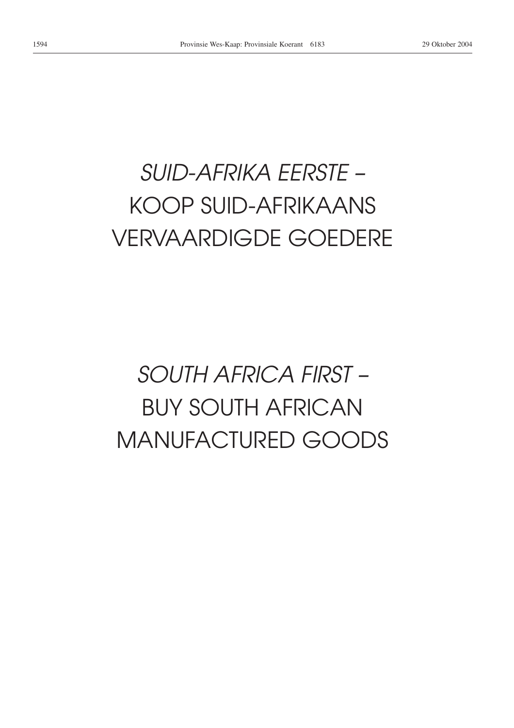# *SUID-AFRIKA EERSTE –* KOOP SUID-AFRIKAANS VERVAARDIGDE GOEDERE

# *SOUTH AFRICA FIRST –* BUY SOUTH AFRICAN MANUFACTURED GOODS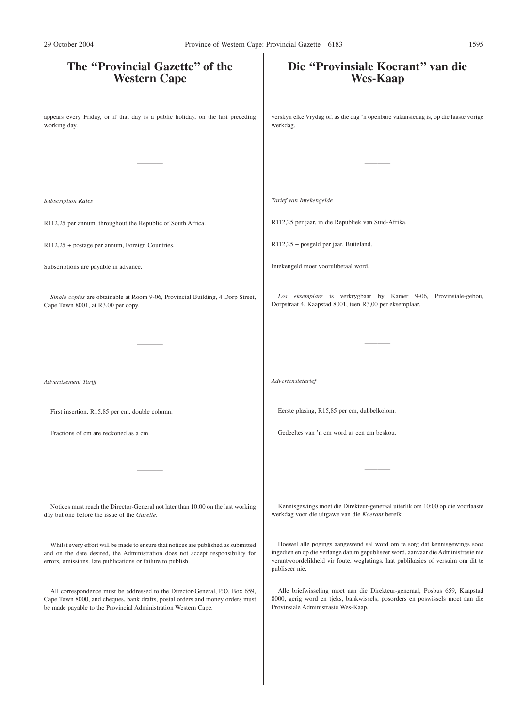| The "Provincial Gazette" of the<br><b>Western Cape</b>                                                                                                                                                                              | Die "Provinsiale Koerant" van die<br><b>Wes-Kaap</b>                                                                                                                                                                                                                |
|-------------------------------------------------------------------------------------------------------------------------------------------------------------------------------------------------------------------------------------|---------------------------------------------------------------------------------------------------------------------------------------------------------------------------------------------------------------------------------------------------------------------|
| appears every Friday, or if that day is a public holiday, on the last preceding<br>working day.                                                                                                                                     | verskyn elke Vrydag of, as die dag 'n openbare vakansiedag is, op die laaste vorige<br>werkdag.                                                                                                                                                                     |
|                                                                                                                                                                                                                                     |                                                                                                                                                                                                                                                                     |
| <b>Subscription Rates</b>                                                                                                                                                                                                           | Tarief van Intekengelde                                                                                                                                                                                                                                             |
| R112,25 per annum, throughout the Republic of South Africa.                                                                                                                                                                         | R112,25 per jaar, in die Republiek van Suid-Afrika.                                                                                                                                                                                                                 |
| R112,25 + postage per annum, Foreign Countries.                                                                                                                                                                                     | R112,25 + posgeld per jaar, Buiteland.                                                                                                                                                                                                                              |
| Subscriptions are payable in advance.                                                                                                                                                                                               | Intekengeld moet vooruitbetaal word.                                                                                                                                                                                                                                |
| Single copies are obtainable at Room 9-06, Provincial Building, 4 Dorp Street,<br>Cape Town 8001, at R3,00 per copy.                                                                                                                | Los eksemplare is verkrygbaar by Kamer 9-06, Provinsiale-gebou,<br>Dorpstraat 4, Kaapstad 8001, teen R3,00 per eksemplaar.                                                                                                                                          |
|                                                                                                                                                                                                                                     |                                                                                                                                                                                                                                                                     |
| Advertisement Tariff                                                                                                                                                                                                                | Advertensietarief                                                                                                                                                                                                                                                   |
| First insertion, R15,85 per cm, double column.                                                                                                                                                                                      | Eerste plasing, R15,85 per cm, dubbelkolom.                                                                                                                                                                                                                         |
| Fractions of cm are reckoned as a cm.                                                                                                                                                                                               | Gedeeltes van 'n cm word as een cm beskou.                                                                                                                                                                                                                          |
|                                                                                                                                                                                                                                     |                                                                                                                                                                                                                                                                     |
| Notices must reach the Director-General not later than 10:00 on the last working<br>day but one before the issue of the Gazette.                                                                                                    | Kennisgewings moet die Direkteur-generaal uiterlik om 10:00 op die voorlaaste<br>werkdag voor die uitgawe van die Koerant bereik.                                                                                                                                   |
| Whilst every effort will be made to ensure that notices are published as submitted<br>and on the date desired, the Administration does not accept responsibility for<br>errors, omissions, late publications or failure to publish. | Hoewel alle pogings aangewend sal word om te sorg dat kennisgewings soos<br>ingedien en op die verlange datum gepubliseer word, aanvaar die Administrasie nie<br>verantwoordelikheid vir foute, weglatings, laat publikasies of versuim om dit te<br>publiseer nie. |
| All correspondence must be addressed to the Director-General, P.O. Box 659,<br>Cape Town 8000, and cheques, bank drafts, postal orders and money orders must<br>be made payable to the Provincial Administration Western Cape.      | Alle briefwisseling moet aan die Direkteur-generaal, Posbus 659, Kaapstad<br>8000, gerig word en tjeks, bankwissels, posorders en poswissels moet aan die<br>Provinsiale Administrasie Wes-Kaap.                                                                    |
|                                                                                                                                                                                                                                     |                                                                                                                                                                                                                                                                     |